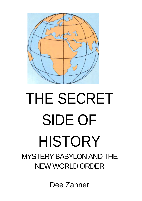

# THE SECRET SIDE OF **HISTORY** MYSTERY BABYLON AND THE

NEW WORLD ORDER

Dee Zahner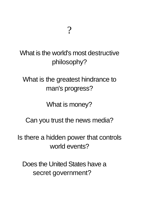What is the world's most destructive philosophy?

What is the greatest hindrance to man's progress?

What is money?

Can you trust the news media?

Is there a hidden power that controls world events?

Does the United States have a secret government?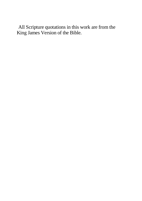All Scripture quotations in this work are from the King James Version of the Bible.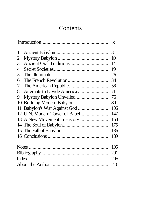# **Contents**

| 1. |                                | 3   |
|----|--------------------------------|-----|
| 2. |                                | 10  |
| 3. |                                | 14  |
| 4. |                                | 19  |
| 5. |                                | 26  |
| 6. |                                | 34  |
| 7. |                                | 56  |
| 8. |                                | 71  |
| 9. | Mystery Babylon Unveiled       | 76  |
|    |                                | 80  |
|    |                                | 106 |
|    | 12. U.N. Modern Tower of Babel | 147 |
|    |                                | 164 |
|    |                                | 175 |
|    |                                | 186 |
|    |                                | 189 |
|    |                                | 195 |
|    |                                |     |
|    |                                | 201 |
|    |                                | 205 |
|    |                                | 216 |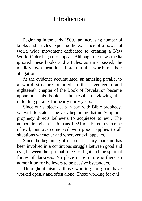# Introduction

Beginning in the early 1960s, an increasing number of books and articles exposing the existence of a powerful world wide movement dedicated to creating a New World Order began to appear. Although the news media ignored these books and articles, as time passed, the media's own headlines bore out the worth of their allegations.

As the evidence accumulated, an amazing parallel to a world structure pictured in the seventeenth and eighteenth chapter of the Book of Revelation became apparent. This book is the result of viewing that unfolding parallel for nearly thirty years.

Since our subject deals in part with Bible prophecy, we wish to state at the very beginning that no Scriptural prophecy directs believers to acquiesce to evil. The admonition given in Romans 12:21 to, "Be not overcome of evil, but overcome evil with good" applies to all situations whenever and wherever evil appears.

Since the beginning of recorded history mankind has been involved in a continuous struggle between good and evil, between the spiritual forces of light and the spiritual forces of darkness. No place in Scripture is there an admonition for believers to be passive bystanders.

Throughout history those working for good have worked openly and often alone. Those working for evil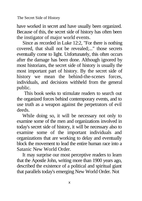The Secret Side of History

have worked in secret and have usually been organized. Because of this, the secret side of history has often been the instigator of major world events.

Since as recorded in Luke 12:2, "For there is nothing covered, that shall not be revealed;..." those secrets eventually come to light. Unfortunately, this often occurs after the damage has been done. Although ignored by most historians, the secret side of history is usually the most important part of history. By the secret side of history we mean the behind-the-scenes forces, individuals, and decisions withheld from the general public.

This book seeks to stimulate readers to search out the organized forces behind contemporary events, and to use truth as a weapon against the perpetrators of evil deeds.

While doing so, it will be necessary not only to examine some of the men and organizations involved in today's secret side of history, it will be necessary also to examine some of the important individuals and organizations that are working to delay and eventually block the movement to lead the entire human race into a Satanic New World Order.

It may surprise our most perceptive readers to learn that the Apostle John, writing more than 1900 years ago, described the existence of a political and spiritual giant that parallels today's emerging New World Order. Not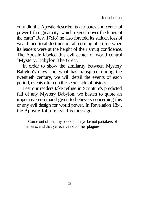only did the Apostle describe its attributes and center of power ("that great city, which reigneth over the kings of the earth" Rev. 17:18) he also foretold its sudden loss of wealth and total destruction, all coming at a time when its leaders were at the height of their smug confidence. The Apostle labeled this evil center of world control "Mystery, Babylon The Great."

In order to show the similarity between Mystery Babylon's days and what has transpired during the twentieth century, we will detail the events of each period, events often on the secret side of history.

Lest our readers take refuge in Scripture's predicted fall of any Mystery Babylon, we hasten to quote an imperative command given to believers concerning this or any evil design for world power. In Revelation 18:4, the Apostle John relays this message:

Come out of her, my people, that ye be not partakers of her sins, and that ye receive not of her plagues.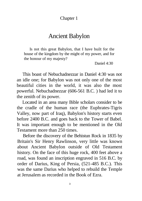#### Chapter 1

## Ancient Babylon

Is not this great Babylon, that I have built for the house of the kingdom by the might of my power, and for the honour of my majesty?

Daniel 4:30

This boast of Nebuchadnezzar in Daniel 4:30 was not an idle one; for Babylon was not only one of the most beautiful cities in the world, it was also the most powerful. Nebuchadnezzar (606-561 B.C. ) had led it to the zenith of its power.

Located in an area many Bible scholars consider to be the cradle of the human race (the Euphrates-Tigris Valley, now part of Iraq), Babylon's history starts even before 2400 B.C. and goes back to the Tower of Babel. It was important enough to be mentioned in the Old Testament more than 250 times.

Before the discovery of the Behistun Rock in 1835 by Britain's Sir Henry Rawlinson, very little was known about Ancient Babylon outside of Old Testament history. On the face of this huge rock, 400 feet above a road, was found an inscription engraved in 516 B.C. by order of Darius, King of Persia, (521-485 B.C.). This was the same Darius who helped to rebuild the Temple at Jerusalem as recorded in the Book of Ezra.

3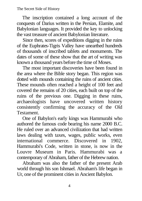The inscription contained a long account of the conquests of Darius written in the Persian, Elamite, and Babylonian languages. It provided the key to unlocking the vast treasure of ancient Babylonian literature.

Since then, scores of expeditions digging in the ruins of the Euphrates-Tigris Valley have unearthed hundreds of thousands of inscribed tablets and monuments. The dates of some of these show that the art of writing was known a thousand years before the time of Moses.

The most important discoveries have been found in the area where the Bible story began. This region was dotted with mounds containing the ruins of ancient cities. These mounds often reached a height of 100 feet and covered the remains of 20 cities, each built on top of the ruins of the previous one. Digging in these ruins, archaeologists have uncovered written history consistently confirming the accuracy of the Old **Testament** 

One of Babylon's early kings was Hammurabi who authored the famous code bearing his name 2000 B.C. He ruled over an advanced civilization that had written laws dealing with taxes, wages, public works, even international commerce. Discovered in 1902, Hammurabi's Code, written in stone, is now in the Louvre Museum in Paris. Hammurabi was a contemporary of Abraham, father of the Hebrew nation.

Abraham was also the father of the present Arab world through his son Ishmael. Abraham's life began in Ur, one of the prominent cities in Ancient Babylon.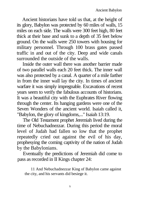Ancient historians have told us that, at the height of its glory, Babylon was protected by 60 miles of walls, 15 miles on each side. The walls were 300 feet high, 80 feet thick at their base and sunk to a depth of 35 feet below ground. On the walls were 250 towers with housing for military personnel. Through 100 brass gates passed traffic in and out of the city. Deep and wide canals surrounded the outside of the walls.

Inside the outer wall there was another barrier made of two parallel walls each 20 feet thick. The inner wall was also protected by a canal. A quarter of a mile farther in from the inner wall lay the city. In times of ancient warfare it was simply impregnable. Excavations of recent years seem to verify the fabulous accounts of historians. It was a beautiful city with the Euphrates River flowing through the center. Its hanging gardens were one of the Seven Wonders of the ancient world. Isaiah called it, "Babylon, the glory of kingdoms,..." Isaiah 13:19.

The Old Testament prophet Jeremiah lived during the time of Nebuchadnezzar. During this period the moral level of Judah had fallen so low that the prophet repeatedly cried out against the evil of his day, prophesying the coming captivity of the nation of Judah by the Babylonians.

Eventually the predictions of Jeremiah did come to pass as recorded in II Kings chapter 24:

11 And Nebuchadnezzar King of Babylon came against the city, and his servants did besiege it.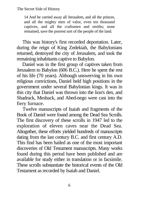14 And he carried away all Jerusalem, and all the princes, and all the mighty men of valor, even ten thousand captives, and all the craftsmen and smiths; none remained, save the poorest sort of the people of the land.

This was history's first recorded deportation. Later, during the reign of King Zedekiah, the Babylonians returned, destroyed the city of Jerusalem, and took the remaining inhabitants captive to Babylon.

Daniel was in the first group of captives taken from Jerusalem to Babylon (606 B.C.). Here he spent the rest of his life (70 years). Although unswerving in his own religious convictions, Daniel held high positions in the government under several Babylonian kings. It was in this city that Daniel was thrown into the lion's den, and Shadrack, Meshack, and Abed-nego were cast into the fiery furnace.

Twelve manuscripts of Isaiah and fragments of the Book of Daniel were found among the Dead Sea Scrolls. The first discovery of these scrolls in 1947 led to the exploration of eleven caves near the Dead Sea. Altogether, these efforts yielded hundreds of manuscripts dating from the last century B.C. and first century A.D. This find has been hailed as one of the most important discoveries of Old Testament manuscripts. Many works found during this period have been published and are available for study either in translation or in facsimile. These scrolls substantiate the historical events of the Old Testament as recorded by Isaiah and Daniel.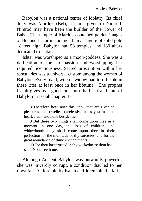Babylon was a national center of idolatry. Its chief deity was Marduk (Bel), a name given to Nimrod. Nimrod may have been the builder of the Tower of Babel. The temple of Marduk contained golden images of Bel and Ishtar including a human figure of solid gold 18 feet high. Babylon had 53 temples, and 180 altars dedicated to Ishtar.

Ishtar was worshiped as a moon-goddess. She was a deification of the sex passion and worshipping her required licentiousness. Sacred prostitution within her sanctuaries was a universal custom among the women of Babylon. Every maid, wife or widow had to officiate in these rites at least once in her lifetime . The prophet Isaiah gives us a good look into the heart and soul of Babylon in Isaiah chapter 47:

8 Therefore hear now this, thou that art given to pleasures, that dwellest carelessly, that sayest in thine heart, I am, and none beside me....

9 But these two things shall come upon thee in a moment in one day, the loss of children, and widowhood: they shall come upon thee in their perfection for the multitude of thy sorceries, and for the great abundance of thine enchantments.

10 For thou hast trusted in thy wickedness: thou has said, None seeth me.

Although Ancient Babylon was outwardly powerful she was inwardly corrupt, a condition that led to her downfall. As foretold by Isaiah and Jeremiah, the fall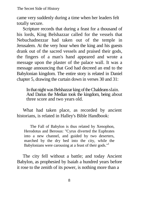The Secret Side of History

came very suddenly during a time when her leaders felt totally secure.

Scripture records that during a feast for a thousand of his lords, King Belshazzar called for the vessels that Nebuchadnezzar had taken out of the temple in Jerusalem. At the very hour when the king and his guests drank out of the sacred vessels and praised their gods, the fingers of a man's hand appeared and wrote a message upon the plaster of the palace wall. It was a message announcing that God had decreed an end to the Babylonian kingdom. The entire story is related in Daniel chapter 5, drawing the curtain down in verses 30 and 31:

In that night was Belshazzar king of the Chaldeans slain. And Darius the Median took the kingdom, being about three score and two years old.

What had taken place, as recorded by ancient historians, is related in Halley's Bible Handbook:

The Fall of Babylon is thus related by Xenophon, Herodotus and Berosus: "Cyrus diverted the Euphrates into a new channel, and guided by two deserters, marched by the dry bed into the city, while the Babylonians were carousing at a feast of their gods."

The city fell without a battle; and today Ancient Babylon, as prophesied by Isaiah a hundred years before it rose to the zenith of its power, is nothing more than a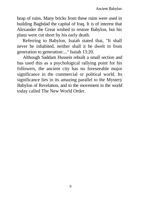heap of ruins. Many bricks from these ruins were used in building Baghdad the capital of Iraq. It is of interest that Alexander the Great wished to restore Babylon, but his plans were cut short by his early death.

Referring to Babylon, Isaiah stated that, "It shall never be inhabited, neither shall it be dwelt in from generation to generation:..." Isaiah 13:20.

Although Saddam Hussein rebuilt a small section and has used this as a psychological rallying point for his followers, the ancient city has no foreseeable major significance in the commercial or political world. Its significance lies in its amazing parallel to the Mystery Babylon of Revelation, and to the movement in the world today called The New World Order.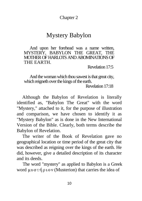Chapter 2

## Mystery Babylon

#### And upon her forehead was a name written, MYSTERY, BABYLON THE GREAT, THE MOTHER OF HARLOTS AND ABOMINATIONS OF THE EARTH.

Revelation 17:5

And the woman which thou sawest is that great city, which reigneth over the kings of the earth.

Revelation 17:18

Although the Babylon of Revelation is literally identified as, "Babylon The Great" with the word "Mystery," attached to it, for the purpose of illustration and comparison, we have chosen to identify it as "Mystery Babylon" as is done in the New International Version of the Bible. Clearly, both terms describe the Babylon of Revelation.

The writer of the Book of Revelation gave no geographical location or time period of the great city that was described as reigning over the kings of the earth. He did, however, give a detailed description of its character and its deeds.

The word "mystery" as applied to Babylon is a Greek word  $\mu\nu\sigma\tau\eta\rho\iota o\nu$  (Musterion) that carries the idea of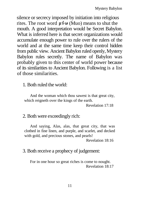silence or secrecy imposed by initiation into religious rites. The root word  $\mu\acute{\nu}\omega$  (Muo) means to shut the mouth. A good interpretation would be Secret Babylon. What is inferred here is that secret organizations would accumulate enough power to rule over the rulers of the world and at the same time keep their control hidden from public view. Ancient Babylon ruled openly, Mystery Babylon rules secretly. The name of Babylon was probably given to this center of world power because of its similarities to Ancient Babylon. Following is a list of those similarities.

#### 1. Both ruled the world:

And the woman which thou sawest is that great city, which reigneth over the kings of the earth.

Revelation 17:18

### 2. Both were exceedingly rich:

And saying, Alas, alas, that great city, that was clothed in fine linen, and purple, and scarlet, and decked with gold, and precious stones, and pearls!

Revelation 18:16

#### 3. Both receive a prophecy of judgement:

For in one hour so great riches is come to nought. Revelation 18:17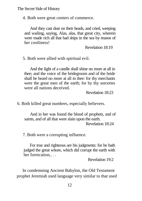The Secret Side of History

4. Both were great centers of commerce.

And they cast dust on their heads, and cried, weeping and wailing, saying, Alas, alas, that great city, wherein were made rich all that had ships in the sea by reason of her costliness!

Revelation 18:19

5. Both were allied with spiritual evil.

And the light of a candle shall shine no more at all in thee; and the voice of the bridegroom and of the bride shall be heard no more at all in thee: for thy merchants were the great men of the earth; for by thy sorceries were all nations deceived.

Revelation 18:23

6. Both killed great numbers, especially believers.

And in her was found the blood of prophets, and of saints, and of all that were slain upon the earth. Revelation 18:24

7. Both were a corrupting influence.

For true and righteous are his judgments: for he hath judged the great whore, which did corrupt the earth with her fornication,. . .

Revelation 19:2

In condemning Ancient Babylon, the Old Testament prophet Jeremiah used language very similar to that used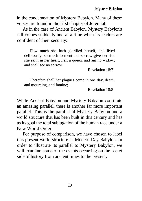Mystery Babylon

in the condemnation of Mystery Babylon. Many of these verses are found in the 51st chapter of Jeremiah.

As in the case of Ancient Babylon, Mystery Babylon's fall comes suddenly and at a time when its leaders are confident of their security:

How much she hath glorified herself, and lived deliriously, so much torment and sorrow give her: for she saith in her heart, I sit a queen, and am no widow, and shall see no sorrow.

Revelation 18:7

Therefore shall her plagues come in one day, death, and mourning, and famine;. . .

Revelation 18:8

While Ancient Babylon and Mystery Babylon constitute an amazing parallel, there is another far more important parallel. This is the parallel of Mystery Babylon and a world structure that has been built in this century and has as its goal the total subjugation of the human race under a New World Order.

For purpose of comparison, we have chosen to label this present world structure as Modern Day Babylon. In order to illustrate its parallel to Mystery Babylon, we will examine some of the events occurring on the secret side of history from ancient times to the present.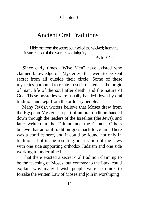Chapter 3

## Ancient Oral Traditions

Hide me from the secret counsel of the wicked; from the insurrection of the workers of iniquity: . . .

Psalm  $64.2$ 

Since early times, "Wise Men" have existed who claimed knowledge of "Mysteries" that were to be kept secret from all outside their circle. Some of these mysteries purported to relate to such matters as the origin of man, life of the soul after death, and the nature of God. These mysteries were usually handed down by oral tradition and kept from the ordinary people.

Many Jewish writers believe that Moses drew from the Egyptian Mysteries a part of an oral tradition handed down through the leaders of the Israelites (the Jews), and later written in the Talmud and the Cabala. Others believe that an oral tradition goes back to Adam. There was a conflict here, and it could be found not only in traditions, but in the resulting polarization of the Jews with one side supporting orthodox Judaism and one side working to undermine it.

That there existed a secret oral tradition claiming to be the teaching of Moses, but contrary to the Law, could explain why many Jewish people were so quick to forsake the written Law of Moses and join in worshiping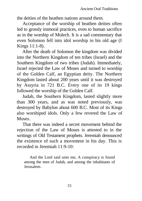the deities of the heathen nations around them.

Acceptance of the worship of heathen deities often led to grossly immoral practices, even to human sacrifice as in the worship of Molech. It is a sad commentary that even Solomon fell into idol worship in his old age (I Kings 11:1-8).

After the death of Solomon the kingdom was divided into the Northern Kingdom of ten tribes (Israel) and the Southern Kingdom of two tribes (Judah). Immediately, Israel rejected the Law of Moses and turned to worship of the Golden Calf, an Egyptian deity. The Northern Kingdom lasted about 200 years until it was destroyed by Assyria in 721 B.C. Every one of its 19 kings followed the worship of the Golden Calf.

Judah, the Southern Kingdom, lasted slightly more than 300 years, and as was noted previously, was destroyed by Babylon about 600 B.C. Most of its Kings also worshiped idols. Only a few revered the Law of Moses.

That there was indeed a secret movement behind the rejection of the Law of Moses is attested to in the writings of Old Testament prophets. Jeremiah denounced the existence of such a movement in his day. This is recorded in Jeremiah 11:9-10:

And the Lord said unto me, A conspiracy is found among the men of Judah, and among the inhabitants of Jerusalem.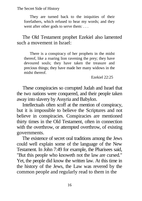The Secret Side of History

They are turned back to the iniquities of their forefathers, which refused to hear my words; and they went after other gods to serve them: . . .

The Old Testament prophet Ezekiel also lamented such a movement in Israel:

There is a conspiracy of her prophets in the midst thereof, like a roaring lion ravening the prey; they have devoured souls; they have taken the treasure and precious things; they have made her many widows in the midst thereof.

Ezekiel 22:25

These conspiracies so corrupted Judah and Israel that the two nations were conquered, and their people taken away into slavery by Assyria and Babylon.

Intellectuals often scoff at the mention of conspiracy, but it is impossible to believe the Scriptures and not believe in conspiracies. Conspiracies are mentioned thirty times in the Old Testament, often in connection with the overthrow, or attempted overthrow, of existing governments.

The existence of secret oral traditions among the Jews could well explain some of the language of the New Testament. In John 7:49 for example, the Pharisees said, "But this people who knoweth not the law are cursed." Yet, the people did know the written law. At this time in the history of the Jews, the Law was revered by the common people and regularly read to them in the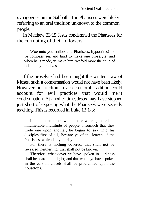synagogues on the Sabbath. The Pharisees were likely referring to an oral tradition unknown to the common people.

In Matthew 23:15 Jesus condemned the Pharisees for the corrupting of their followers:

Woe unto you scribes and Pharisees, hypocrites! for ye compass sea and land to make one proselyte, and when he is made, ye make him twofold more the child of hell than yourselves.

If the proselyte had been taught the written Law of Moses, such a condemnation would not have been likely. However, instruction in a secret oral tradition could account for evil practices that would merit condemnation. At another time, Jesus may have stopped just short of exposing what the Pharisees were secretly teaching. This is recorded in Luke 12:1-3:

In the mean time, when there were gathered an innumerable multitude of people, insomuch that they trode one upon another, he began to say unto his disciples first of all, Beware ye of the leaven of the Pharisees, which is hypocrisy.

For there is nothing covered, that shall not be revealed; neither hid, that shall not be known.

Therefore whatsoever ye have spoken in darkness shall be heard in the light; and that which ye have spoken in the ears in closets shall be proclaimed upon the housetops.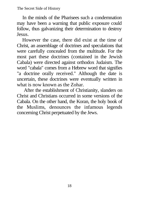In the minds of the Pharisees such a condemnation may have been a warning that public exposure could follow, thus galvanizing their determination to destroy Jesus.

However the case, there did exist at the time of Christ, an assemblage of doctrines and speculations that were carefully concealed from the multitude. For the most part these doctrines (contained in the Jewish Cabala) were directed against orthodox Judaism. The word "cabala" comes from a Hebrew word that signifies "a doctrine orally received." Although the date is uncertain, these doctrines were eventually written in what is now known as the Zohar.

After the establishment of Christianity, slanders on Christ and Christians occurred in some versions of the Cabala. On the other hand, the Koran, the holy book of the Muslims, denounces the infamous legends concerning Christ perpetuated by the Jews.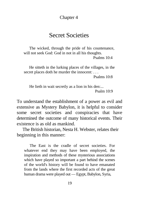Chapter 4

## Secret Societies

The wicked, through the pride of his countenance, will not seek God: God in not in all his thoughts.

Psalms 10:4

He sitteth in the lurking places of the villages, in the secret places doth he murder the innocent: . . .

Psalms 10:8

He lieth in wait secretly as a lion in his den:... Psalm 10:9

To understand the establishment of a power as evil and extensive as Mystery Babylon, it is helpful to consider some secret societies and conspiracies that have determined the outcome of many historical events. Their existence is as old as mankind.

The British historian, Nesta H. Webster, relates their beginning in this manner:

The East is the cradle of secret societies. For whatever end they may have been employed, the inspiration and methods of these mysterious associations which have played so important a part behind the scenes of the world's history will be found to have emanated from the lands where the first recorded acts of the great human drama were played out — Egypt, Babylon, Syria,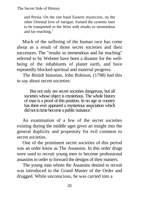The Secret Side of History

and Persia. On the one hand Eastern mysticism, on the other Oriental love of intrigue, framed the systems later to be transported to the West with results so tremendous and far-reaching. $<sup>1</sup>$ </sup>

Much of the suffering of the human race has come about as a result of those secret societies and their successors. The "results so tremendous and far reaching" referred to by Webster have been a disaster for the wellbeing of the inhabitants of planet earth, and have repeatedly blocked spiritual and material progress.

The British historian, John Robison, (1798) had this to say about secret societies:

But not only are secret societies dangerous, but all societies whose object is mysterious. The whole history of man is a proof of this position. In no age or country has there ever appeared a mysterious association which  $\rm{did}$  not in time become a public nuisance.<sup>2</sup>

An examination of a few of the secret societies existing during the middle ages gives an insight into the general duplicity and propensity for evil common to secret societies.

One of the prominent secret societies of this period was an order know as The Assassins. In this order drugs were used to recruit young men to become professional assassins in order to forward the designs of their masters.

The young man whom the Assassins desired to recruit was introduced to the Grand Master of the Order and drugged. While unconscious, he was carried into a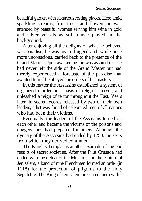beautiful garden with luxurious resting places. Here amid sparkling streams, fruit trees, and flowers he was attended by beautiful women serving him wine in gold and silver vessels as soft music played in the background.

After enjoying all the delights of what he believed was paradise, he was again drugged and, while once more unconscious, carried back to the presence of the Grand Master. Upon awakening, he was assured that he had never left the side of the Grand Master but had merely experienced a foretaste of the paradise that awaited him if he obeyed the orders of his masters.

In this matter the Assassins established a system of organized murder on a basis of religious fervor, and unleashed a reign of terror throughout the East. Years later, in secret records released by two of their own leaders, a list was found of celebrated men of all nations who had been their victims.

Eventually, the leaders of the Assassins turned on each other and became the victims of the poisons and daggers they had prepared for others. Although the dynasty of the Assassins had ended by 1250, the sects from which they derived continued.

The Knights Templar is another example of the end results of secret societies. After the First Crusade had ended with the defeat of the Muslims and the capture of Jerusalem, a band of nine Frenchmen formed an order (in 1118) for the protection of pilgrims to the Holy Sepulchre. The King of Jerusalem presented them with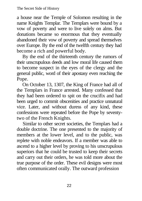a house near the Temple of Solomon resulting in the name Knights Templar. The Templars were bound by a vow of poverty and were to live solely on alms. But donations became so enormous that they eventually abandoned their vow of poverty and spread themselves over Europe. By the end of the twelfth century they had become a rich and powerful body.

By the end of the thirteenth century the rumors of their unscrupulous deeds and low moral life caused them to become suspect in the eyes of the clergy and the general public, word of their apostasy even reaching the Pope.

On October 13, 1307, the King of France had all of the Templars in France arrested. Many confessed that they had been ordered to spit on the crucifix and had been urged to commit obscenities and practice unnatural vice. Later, and without duress of any kind, these confessions were repeated before the Pope by seventytwo of the French Knights.

Similar to other secret societies, the Templars had a double doctrine. The one presented to the majority of members at the lower level, and to the public, was replete with noble endeavors. If a member was able to ascend to a higher level by proving to his unscrupulous superiors that he could be trusted to keep their secrets and carry out their orders, he was told more about the true purpose of the order. These evil designs were most often communicated orally. The outward profession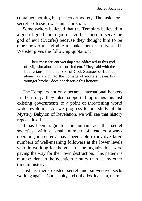contained nothing but perfect orthodoxy. The inside or secret profession was anti-Christian.

Some writers believed that the Templars believed in a god of good and a god of evil but chose to serve the god of evil (Lucifer) because they thought him to be more powerful and able to make them rich. Nesta H. Webster gives the following quotation:

Their most fervent worship was addressed to this god of evil, who alone could enrich them. "They said with the Luciferians: The elder son of God, Satanael or Lucifer alone has a right to the homage of mortals; Jesus his younger brother does not deserve this honour."<sup>3</sup>

The Templars not only became international bankers in their day, they also supported uprisings against existing governments to a point of threatening world wide revolution. As we progress to our study of the Mystery Babylon of Revelation, we will see that history repeats itself.

It has been tragic for the human race that secret societies, with a small number of leaders always operating in secrecy, have been able to involve large numbers of well-meaning followers at the lower levels who, in working for the goals of the organization, were paving the way for their own destruction. This pattern is more evident in the twentieth century than at any other time in history.

Just as there existed secret and subversive sects working against Christianity and orthodox Judaism, there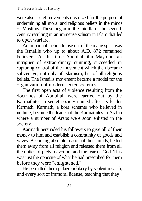were also secret movements organized for the purpose of undermining all moral and religious beliefs in the minds of Muslims. These began in the middle of the seventh century resulting in an immense schism in Islam that led to open warfare.

An important faction to rise out of the many splits was the Ismailis who up to about A.D. 872 remained believers. At this time Abdullah ibn Maymun, an intriguer of extraordinary cunning, succeeded in capturing control of the movement which then became subversive, not only of Islamism, but of all religious beliefs. The Ismailis movement became a model for the organization of modern secret societies.

The first open acts of violence resulting from the doctrines of Abdullah were carried out by the Karmathites, a secret society named after its leader Karmath. Karmath, a bora schemer who believed in nothing, became the leader of the Karmathites in Arabia where a number of Arabs were soon enlisted in the society.

Karmath persuaded his followers to give all of their money to him and establish a community of goods and wives. Becoming absolute master of their minds, he led them away from all religion and released them from all the duties of piety, devotion, and the fear of God. This was just the opposite of what he had prescribed for them before they were "enlightened."

He permitted them pillage (robbery by violent means), and every sort of immoral license, teaching that they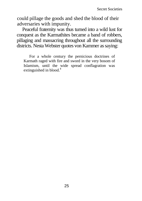could pillage the goods and shed the blood of their adversaries with impunity.

Peaceful fraternity was thus turned into a wild lust for conquest as the Karmathites became a band of robbers, pillaging and massacring throughout all the surrounding districts. Nesta Webster quotes von Kammer as saying:

For a whole century the pernicious doctrines of Karmath raged with fire and sword in the very bosom of Islamism, until the wide spread conflagration was extinguished in blood.<sup>4</sup>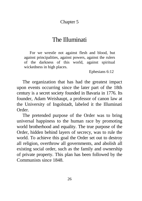Chapter 5

## The Illuminati

For we wrestle not against flesh and blood, but against principalities, against powers, against the rulers of the darkness of this world, against spiritual wickedness in high places.

Ephesians 6:12

The organization that has had the greatest impact upon events occurring since the later part of the 18th century is a secret society founded in Bavaria in 1776. Its founder, Adam Weishaupt, a professor of canon law at the University of Ingolstadt, labeled it the Illuminati Order.

The pretended purpose of the Order was to bring universal happiness to the human race by promoting world brotherhood and equality. The true purpose of the Order, hidden behind layers of secrecy, was to rule the world. To achieve this goal the Order set out to destroy all religion, overthrow all governments, and abolish all existing social order, such as the family and ownership of private property. This plan has been followed by the Communists since 1848.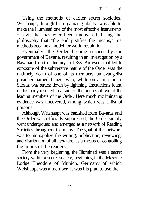Using the methods of earlier secret societies, Weishaupt, through his organizing ability, was able to make the Illuminati one of the most effective instruments of evil that has ever been uncovered. Using the philosophy that "the end justifies the means," his methods became a model for world revolution.

Eventually, the Order became suspect by the government of Bavaria, resulting in an investigation by a Bavarian Court of Inquiry in 1783. An event that led to exposure of the subversive nature of the Order was the untimely death of one of its members, an evangelist preacher named Lanze, who, while on a mission to Silesia, was struck down by lightning. Instructions found on his body resulted in a raid on the houses of two of the leading members of the Order. Here much mcriminating evidence was uncovered, among which was a list of poisons.

Although Weishaupt was banished from Bavaria, and the Order was officially suppressed, the Order simply went underground and emerged as a network of Reading Societies throughout Germany. The goal of this network was to monopolize the writing, publication, reviewing, and distribution of all literature, as a means of controlling the minds of the readers.

From the very beginning, the Illuminati was a secret society within a secret society, beginning in the Masonic Lodge Theodore of Munich, Germany of which Weishaupt was a member. It was his plan to use the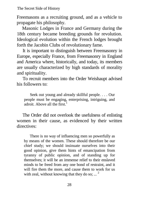The Secret Side of History

Freemasons as a recruiting ground, and as a vehicle to propagate his philosophy.

Masonic Lodges in France and Germany during the 18th century became breeding grounds for revolution. Ideological evolution within the French lodges brought forth the Jacobin Clubs of revolutionary fame.

It is important to distinguish between Freemasonry in Europe, especially France, from Freemasonry in England and America where, historically, and today, its members are usually characterized by high standards of morality and spirituality.

To recruit members into the Order Weishaupt advised his followers to:

Seek out young and already skillful people. . . . Our people must be engaging, enterprising, intriguing, and adroit. Above all the first.

The Order did not overlook the usefulness of enlisting women in their cause, as evidenced by their written directives:

There is no way of influencing men so powerfully as by means of the women. These should therefore be our chief study; we should insinuate ourselves into their good opinion, give them hints of emancipation from tyranny of public opinion, and of standing up for themselves; it will be an immense relief to their enslaved minds to be freed from any one bond of restraint, and it will fire them the more, and cause them to work for us with zeal, without knowing that they do so;  $\ldots$ <sup>2</sup>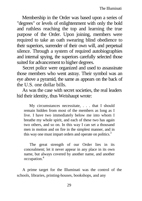Membership in the Order was based upon a series of "degrees" or levels of enlightenment with only the bold and ruthless reaching the top and learning the true purpose of the Order. Upon joining, members were required to take an oath swearing blind obedience to their superiors, surrender of their own will, and perpetual silence. Through a system of required autobiographies and internal spying, the superiors carefully selected those suited for advancement to higher degrees.

Secret police were organized and used to assassinate those members who went astray. Their symbol was an eye above a pyramid, the same as appears on the back of the U.S. one dollar bills.

As was the case with secret societies, the real leaders hid their identity, thus Weishaupt wrote:

My circumstances necessitate, . . . that I should remain hidden from most of the members as long as I live. I have two immediately below me into whom I breathe my whole spirit, and each of these two has again two others, and so on. In this way I can set a thousand men in motion and on fire in the simplest manner, and in this way one must impart orders and operate on politics.<sup>3</sup>

The great strength of our Order lies in its concealment; let it never appear in any place in its own name, but always covered by another name, and another occupation.<sup>4</sup>

A prime target for the Illuminati was the control of the schools, libraries, printing-houses, bookshops, and any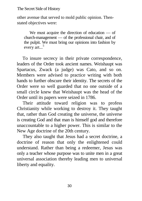The Secret Side of History

other avenue that served to mold public opinion. Thenstated objectives were:

We must acquire the direction of education — of church-management — of the professional chair, and of the pulpit. We must bring our opinions into fashion by every art...<sup>5</sup>

To insure secrecy in their private correspondence, leaders of the Order took ancient names. Weishaupt was Spartacus, Zwack (a judge) was Cato, and so on. Members were advised to practice writing with both hands to further obscure their identity. The secrets of the Order were so well guarded that no one outside of a small circle knew that Weishaupt was the head of the Order until its papers were seized in 1786.

Their attitude toward religion was to profess Christianity while working to destroy it. They taught that, rather than God creating the universe, the universe is creating God and that man is himself god and therefore unaccountable to a higher power. This is similar to the New Age doctrine of the 20th century.

They also taught that Jesus had a secret doctrine, a doctrine of reason that only the enlightened could understand. Rather than being a redeemer, Jesus was only a teacher whose purpose was to unite men in a great universal association thereby leading men to universal liberty and equality.

30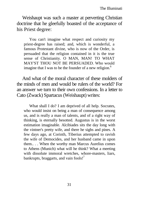Weishaupt was such a master at perverting Christian doctrine that he gleefully boasted of the acceptance of his Priest degree:

You can't imagine what respect and curiosity my priest-degree has raised; and, which is wonderful, a famous Protestant divine, who is now of the Order, is persuaded that the religion contained in it is the true sense of Christianity. O MAN, MAN! TO WHAT MAY'ST THOU NOT BE PERSUADED. Who would imagine that I was to be the founder of a new religion. $<sup>6</sup>$ </sup>

And what of the moral character of these molders of the minds of men and would be rulers of the world? For an answer we turn to their own confessions. In a letter to Cato (Zwack) Spartacus (Weishaupt) writes:

What shall I do? I am deprived of all help. Socrates, who would insist on being a man of consequence among us, and is really a man of talents, and of a right way of thinking, is eternally besotted. Augustus is in the worst estimation imaginable. Alcibiades sits the day long with the vintner's pretty wife, and there he sighs and pines. A few days ago, at Corinth, Tiberius attempted to ravish the wife of Democides, and her husband came in upon them.. . . When the worthy man Marcus Aurelius comes to Athens (Munich) what will he think? What a meeting with dissolute immoral wretches, whore-masters, liars, bankrupts, braggarts, and vain fools!<sup>7</sup>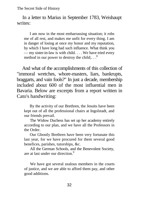In a letter to Marius in September 1783, Weishaupt writes<sup>.</sup>

I am now in the most embarrassing situation; it robs me of all rest, and makes me unfit for every thing. I am in danger of losing at once my honor and my reputation, by which I have long had such influence. What think you — my sister-in-law is with child. . . . We have tried every method in our power to destroy the child;...  $8^{\circ}$ 

And what of the accomplishments of this collection of "immoral wretches, whore-masters, liars, bankrupts, braggarts, and vain fools?" In just a decade, membership included about 600 of the most influential men in Bavaria. Below are excerpts from a report written in Cato's handwriting:

By the activity of our Brethren, the Jesuits have been kept out of all the professional chairs at Ingolstadt, and our friends prevail.

The Widow Duchess has set up her academy entirely according to our plan, and we have all the Professors in the Order.

Our Ghostly Brethren have been very fortunate this last year, for we have procured for them several good benefices, parishes, tutorships, &c.

All the German Schools, and the Benevolent Society, are at last under our direction.<sup>9</sup>

We have got several zealous members in the courts of justice, and we are able to afford them pay, and other good additions.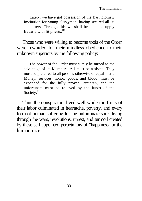Lately, we have got possession of the Bartholomew Institution for young clergymen, having secured all its supporters. Through this we shall be able to supply Bavaria with fit priests.<sup>10</sup>

Those who were willing to become tools of the Order were rewarded for their mindless obedience to their unknown superiors by the following policy:

The power of the Order must surely be turned to the advantage of its Members. All must be assisted. They must be preferred to all persons otherwise of equal merit. Money, services, honor, goods, and blood, must be expended for the fully proved Brethren, and the unfortunate must be relieved by the funds of the Society.<sup>11</sup>

Thus the conspirators lived well while the fruits of their labor culminated in heartache, poverty, and every form of human suffering for the unfortunate souls living through the wars, revolutions, unrest, and turmoil created by these self-appointed perpetrators of "happiness for the human race."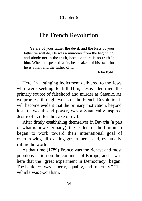## Chapter 6

## The French Revolution

Ye are of your father the devil, and the lusts of your father ye will do. He was a murderer from the beginning, and abode not in the truth, because there is no truth in him. When he speaketh a lie, he speaketh of his own: for he is a liar, and the father of it.

John 8:44

Here, in a stinging indictment delivered to the Jews who were seeking to kill Him, Jesus identified the primary source of falsehood and murder as Satanic. As we progress through events of the French Revolution it will become evident that the primary motivation, beyond lust for wealth and power, was a Satanically-inspired desire of evil for the sake of evil.

After firmly estabhshing themselves in Bavaria (a part of what is now Germany), the leaders of the Illuminati began to work toward their international goal of overthrowing all existing governments and, eventually, ruling the world.

At that time (1789) France was the richest and most populous nation on the continent of Europe; and it was here that the "great experiment in Democracy" began. The battle cry was "liberty, equality, and fraternity." The vehicle was Socialism.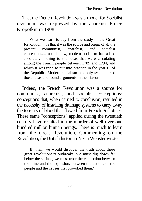That the French Revolution was a model for Socialist revolution was expressed by the anarchist Prince Kropotkin in 1908:

What we learn to-day from the study of the Great Revolution,... is that it was the source and origin of all the present communist, anarchist, and socialist conceptions.... up till now, modern socialism has added absolutely nothing to the ideas that were circulating among the French people between 1789 and 1794, and which it was tried to put into practice in the year II. of the Republic. Modern socialism has only systematized those ideas and found arguments in their favor,  $\dots$ <sup>1</sup>

Indeed, the French Revolution was a source for communist, anarchist, and socialist conceptions; conceptions that, when carried to conclusion, resulted in the necessity of installing drainage systems to carry away the torrents of blood that flowed from French guillotines. These same "conceptions" applied during the twentieth century have resulted in the murder of well over one hundred million human beings. There is much to learn from the Great Revolution. Commenting on the Revolution, the British historian Nesta Webster wrote:

If, then, we would discover the truth about these great revolutionary outbreaks, we must dig down far below the surface, we must trace the connection between the mine and the explosion, between the actions of the people and the causes that provoked them.<sup>2</sup>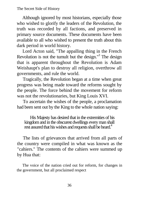Although ignored by most historians, especially those who wished to glorify the leaders of the Revolution, the truth was recorded by all factions, and preserved in primary source documents. These documents have been available to all who wished to present the truth about this dark period in world history.

Lord Acton said, "The appalling thing in the French Revolution is not the tumult but the design."<sup>3</sup> The design that is apparent throughout the Revolution is Adam Weishaupt's plan to destroy all religion, overthrow all governments, and rule the world.

Tragically, the Revolution began at a time when great progress was being made toward the reforms sought by the people. The force behind the movement for reform was not the revolutionaries, but King Louis XVI.

To ascertain the wishes of the people, a proclamation had been sent out by the King to the whole nation saying:

His Majesty has desired that in the extremities of his kingdom and in the obscurest dwellings every man shall rest assured that his wishes and requests shall be heard.<sup>4</sup>

The lists of grievances that arrived from all parts of the country were compiled in what was known as the "cahiers." The contents of the cahiers were summed up by Hua that:

The voice of the nation cried out for reform, for changes in the government, but all proclaimed respect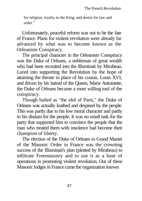for religion, loyalty to the King, and desire for law and order.<sup>5</sup>

Unfortunately, peaceful reform was not to be the fate of France. Plans for violent revolution were already far advanced by what was to become known as the Orleaniste Conspiracy.

The principal character in the Orleaniste Conspiracy was the Duke of Orleans, a nobleman of great wealth who had been recruited into the Illuminati by Mirabeau. Lured into supporting the Revolution by the hope of attaining the throne in place of his cousin, Louis XVI, and driven by his hatred of the Queen, Marie Antoinette, the Duke of Orleans became a most willing tool of the conspiracy.

Though hailed as "the idol of Paris," the Duke of Orleans was actually loathed and despised by the people. This was partly due to his low moral character and partly to his disdain for the people. It was no small task for the party that supported him to convince the people that the man who treated them with insolence had become their champion of liberty.

The election of the Duke of Orleans to Grand Master of the Masonic Order in France was the crowning success of the Illuminati's plan (plotted by Mirabeau) to infiltrate Freemasonry and to use it as a base of operations in promoting violent revolution. Out of these Masonic lodges in France came the organization known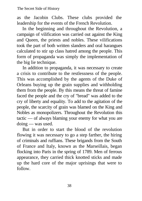as the Jacobin Clubs. These clubs provided the leadership for the events of the French Revolution.

In the beginning and throughout the Revolution, a campaign of vilification was carried out against the King and Queen, the priests and nobles. These vilifications took the part of both written slanders and oral harangues calculated to stir up class hatred among the people. This form of propaganda was simply the implementation of the big lie technique.

In addition to propaganda, it was necessary to create a crisis to contribute to the restlessness of the people. This was accomplished by the agents of the Duke of Orleans buying up the grain supplies and withholding them from the people. By this means the threat of famine faced the people and the cry of "bread" was added to the cry of liberty and equality. To add to the agitation of the people, the scarcity of grain was blamed on the King and Nobles as monopolizers. Throughout the Revolution this tactic — of always blaming your enemy for what you are doing — was used.

But in order to start the blood of the revolution flowing it was necessary to go a step farther, the hiring of criminals and ruffians. These brigands from the South of France and Italy, known as the Marseillais, began flocking into Paris in the spring of 1789. Men of ferrous appearance, they carried thick knotted sticks and made up the hard core of the major uprisings that were to follow.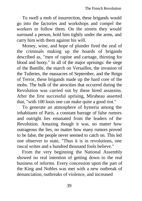To swell a mob of insurrection, these brigands would go into the factories and workshops and compel the workers to follow them. On the streets they would surround a person, hold him tightly under the arms, and carry him with them against his will.

Money, wine, and hope of plunder fired the zeal of the criminals making up the hoards of brigands described as, "men of rapine and carnage, thirsting for blood and booty." In all of the major uprisings: the siege of the Bastille, the march on Versailles, the invasion of the Tuileries, the massacres of September, and the Reign of Terror, these brigands made up the hard core of the mobs. The bulk of the atrocities that occurred during the Revolution was carried out by these hired assassins. After the first successful uprising, Mirabeau asserted that, "with 100 louis one can make quite a good riot."

To generate an atmosphere of hysteria among the inhabitants of Paris, a constant barrage of false rumors and outright lies emanated from the leaders of the Revolution. Amazing though it was, no matter how outrageous the lies, no matter how many rumors proved to be false, the people never seemed to catch on. This led one observer to state, "Thus it is in revolutions, one rascal writes and a hundred thousand fools believe."

From the very beginning the National Assembly showed no real intention of getting down to the real business of reforms. Every concession upon the part of the King and Nobles was met with a new outbreak of denunciation, outbreaks of violence, and increased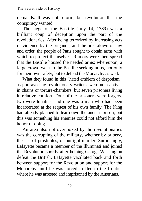demands. It was not reform, but revolution that the conspiracy wanted.

The siege of the Bastille (July 14, 1789) was a brilliant coup of deception upon the part of the revolutionaries. After being terrorized by increasing acts of violence by the brigands, and the breakdown of law and order, the people of Paris sought to obtain arms with which to protect themselves. Rumors were then spread that the Bastille housed the needed arms; whereupon, a large crowd went to the Bastille seeking arms, not only for their own safety, but to defend the Monarchy as well.

What they found in this "hated emblem of despotism," as portrayed by revolutionary writers, were not captives in chains or torture-chambers, but seven prisoners living in relative comfort. Four of the prisoners were forgers, two were lunatics, and one was a man who had been incarcerated at the request of his own family. The King had already planned to tear down the ancient prison, but this was something his enemies could not afford him the honor of doing.

An area also not overlooked by the revolutionaries was the corrupting of the military, whether by bribery, the use of prostitutes, or outright murder. Surprisingly, Lafayette became a member of the Illuminati and joined the Revolution shortly after helping George Washington defeat the British. Lafayette vacillated back and forth between support for the Revolution and support for the Monarchy until he was forced to flee to the frontier where he was arrested and imprisoned by the Austrians.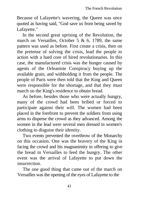Because of Lafayette's wavering, the Queen was once quoted as having said, "God save us from being saved by Lafayette."

In the second great uprising of the Revolution, the march on Versailles, October 5  $\&$  6, 1789, the same pattern was used as before. First create a crisis, then on the pretense of solving the crisis, lead the people to action with a hard core of hired revolutionaries. In this case, the manufactured crisis was the hunger caused by agents of the Orleaniste Conspiracy buying up the available grain, and withholding it from the people. The people of Paris were then told that the King and Queen were responsible for the shortage, and that they must march on the King's residence to obtain bread.

As before, besides those who were actually hungry, many of the crowd had been bribed or forced to participate against their will. The women had been placed in the forefront to prevent the soldiers from using arms to disperse the crowd as they advanced. Among the women in the lead were several men dressed in women's clothing to disguise their identity.

Two events prevented the overthrow of the Monarchy on this occasion. One was the bravery of the King in facing the crowd and his magnanimity in offering to give the bread in Versailles to feed the hungry. The other event was the arrival of Lafayette to put down the insurrection.

The one good thing that came out of the march on Versailles was the opening of the eyes of Lafayette to the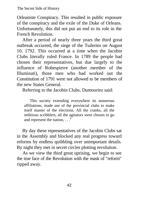Orleaniste Conspiracy. This resulted in public exposure of the conspiracy and the exile of the Duke of Orleans. Unfortunately, this did not put an end to its role in the French Revolution.

After a period of nearly three years the third great outbreak occurred, the siege of the Tuileries on August 10, 1792. This occurred at a time when the Jacobin Clubs literally ruled France. In 1789 the people had chosen their representatives, but due largely to the influence of Robespierre (another member of the Illuminati), those men who had worked out the Constitution of 1791 were not allowed to be members of the new States General.

Referring to the Jacobin Clubs, Dumouriez said:

This society extending everywhere its numerous affiliations, made use of the provincial clubs to make itself master of the elections. All the cranks, all the seditious scribblers, all the agitators were chosen to go and represent the nation,  $\ldots$ <sup>6</sup>

By day these representatives of the Jacobin Clubs sat in the Assembly and blocked any real progress toward reforms by endless quibbling over unimportant details. By night they met in secret circles plotting revolution.

As we view the third great uprising, we begin to see the true face of the Revolution with the mask of "reform" ripped away.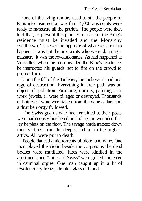One of the lying rumors used to stir the people of Paris into insurrection was that 15,000 aristocrats were ready to massacre all the patriots. The people were then told that, to prevent this planned massacre, the King's residence must be invaded and the Monarchy overthrown. This was the opposite of what was about to happen. It was not the aristocrats who were planning a massacre, it was the revolutionaries. As had happened at Versailles, when the mob invaded the King's residence, he instructed his guards not to fire on the crowd to protect him.

Upon the fall of the Tuileries, the mob went mad in a rage of destruction. Everything in their path was an object of spoliation. Furniture, mirrors, paintings, art work, jewels, all were pillaged or destroyed. Thousands of bottles of wine were taken from the wine cellars and a drunken orgy followed.

The Swiss guards who had remained at their posts were barbarously butchered, including the wounded that lay helpless on the floor. The savage horde tracked down their victims from the deepest cellars to the highest attics. All were put to death.

People danced amid torrents of blood and wine. One man played the violin beside the corpses as the dead bodies were mutilated. Fires were kindled in the apartments and "cutlets of Swiss" were grilled and eaten in cannibal orgies. One man caught up in a fit of revolutionary frenzy, drank a glass of blood.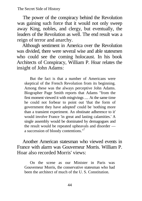The power of the conspiracy behind the Revolution was gaining such force that it would not only sweep away King, nobles, and clergy, but eventually, the leaders of the Revolution as well. The end result was a reign of terror and anarchy.

Although sentiment in America over the Revolution was divided, there were several wise and able statesmen who could see the coming holocaust. In his book Architects of Conspiracy, William P. Hoar relates the insight of John Adams:

But the fact is that a number of Americans were skeptical of the French Revolution from its beginning. Among these was the always perceptive John Adams. Biographer Page Smith reports that Adams "from the first moment viewed it with misgivings .... At the same time he could not forbear to point out 'that the form of government they have adopted' could be 'nothing more than a transient experiment. An obstinate adherence to it' would involve France 'in great and lasting calamities.' A single assembly would be dominated by demagogues and the result would be repeated upheavals and disorder a succession of bloody contentions."<sup>7</sup>

Another American statesman who viewed events in France with alarm was Gouverneur Morris. William P. Hoar also recorded Morris' views:

On the scene as our Minister in Paris was Gouverneur Morris, the conservative statesman who had been the architect of much of the U. S. Constitution.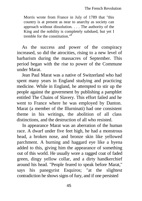Morris wrote from France in July of 1789 that "this country is at present as near to anarchy as society can approach without dissolution. . . . The authority of the King and the nobility is completely subdued, but yet I tremble for the constitution."<sup>8</sup>

As the success and power of the conspiracy increased, so did the atrocities, rising to a new level of barbarism during the massacres of September. This period began with the rise to power of the Commune under Marat.

Jean Paul Marat was a native of Switzerland who had spent many years in England studying and practicing medicine. While in England, he attempted to stir up the people against the government by publishing a pamphlet entitled The Chains of Slavery. This effort failed and he went to France where he was employed by Danton. Marat (a member of the Illurninati) had one consistent theme in his writings, the abolition of all class distinctions, and the destruction of all who resisted.

In appearance Marat was an aberration of the human race. A dwarf under five feet high, he had a monstrous head, a broken nose, and bronze skin like yellowed parchment. A burning and haggard eye like a hyena added to this, giving him the appearance of something out of this world. He usually wore a ragged coat of faded green, dingy yellow collar, and a dirty handkerchief around his head. "People feared to speak before Marat," says his panegyrist Esquiros; "at the slightest contradiction he shows signs of fury, and if one persisted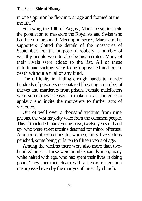in one's opinion he flew into a rage and foamed at the mouth  $"9$ 

Following the 10th of August, Marat began to incite the population to massacre the Royalists and Swiss who had been imprisoned. Meeting in secret, Marat and his supporters plotted the details of the massacres of September. For the purpose of robbery, a number of wealthy people were to also be incarcerated. Many of their rivals were added to the list. All of these unfortunate victims were to be imprisoned and put to death without a trial of any kind.

The difficulty in finding enough hands to murder hundreds of prisoners necessitated liberating a number of thieves and murderers from prison. Female malefactors were sometimes released to make up an audience to applaud and incite the murderers to further acts of violence.

Out of well over a thousand victims from nine prisons, the vast majority were from the common people. This list included many young boys, twelve years old and up, who were street urchins detained for minor offenses. At a house of corrections for women, thirty-five victims perished, some being girls ten to fifteen years of age.

Among the victims there were also more than twohundred priests. These were humble, saintly men, many white haired with age, who had spent their lives in doing good. They met their death with a heroic resignation unsurpassed even by the martyrs of the early church.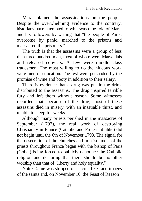Marat blamed the assassinations on the people. Despite the overwhelming evidence to the contrary, historians have attempted to whitewash the role of Marat and his followers by writing that "the people of Paris, overcome by panic, marched to the prisons and massacred the prisoners."<sup>10</sup>

The truth is that the assassins were a group of less than three-hundred men, most of whom were Marseillais and released convicts. A few were middle class tradesmen. The most willing to do the hideous work were men of education. The rest were persuaded by the promise of wine and booty in addition to their salary.

There is evidence that a drug was put in the drink distributed to the assassins. The drug inspired terrible fury and left them without reason. Some witnesses recorded that, because of the drug, most of these assassins died in misery, with an insatiable thirst, and unable to sleep for weeks.

Although many priests perished in the massacres of September (1792), the real work of destroying Christianity in France (Catholic and Protestant alike) did not begin until the 6th of November 1793. The signal for the desecration of the churches and imprisonment of the priests throughout France began with the bishop of Paris (Gobel) being forced to publicly denounce the Catholic religion and declaring that there should be no other worship than that of "liberty and holy equality."

Notre Dame was stripped of its crucifixes and images of the saints and, on November 10, the Feast of Reason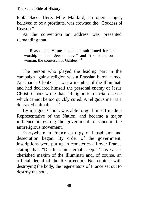took place. Here, Mlle Maillard, an opera singer, believed to be a prostitute, was crowned the "Goddess of Reason."

At the convention an address was presented demanding that:

Reason and Virtue, should be substituted for the worship of the "Jewish slave" and "the adulterous woman, the courtesan of Galilee."<sup>11</sup>

The person who played the leading part in the campaign against religion was a Prussian baron named Anacharsis Clootz. He was a member of the Illuminati and had declared himself the personal enemy of Jesus Christ. Clootz wrote that, "Religion is a social disease which cannot be too quickly cured. A religious man is a depraved animal: $\ldots$ <sup>12</sup>

By intrigue, Clootz was able to get himself made a Representative of the Nation, and became a major influence in getting the government to sanction the antireligious movement.

Everywhere in France an orgy of blasphemy and desecration began. By order of the government, inscriptions were put up in cemeteries all over France stating that, "Death is an eternal sleep." This was a cherished maxim of the Illuminati and, of course, an official denial of the Resurrection. Not content with destroying the body, the regenerators of France set out to destroy the soul.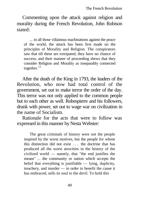Commenting upon the attack against religion and morality during the French Revolution, John Robison stated:

... in all those villainous machinations against the peace of the world, the attack has been first made on the principles of Morality and Religion. The conspirators saw that till these are extripated, they have no chance of success; and their manner of proceeding shews that they consider Religion and Morality as inseparably connected together. $^{13}$ 

After the death of the King in 1793, the leaders of the Revolution, who now had total control of the government, set out to make terror the order of the day. This terror was not only applied to the common people but to each other as well. Robespierre and his followers, drunk with power, set out to wage war on civilization in the name of Socialism.

Rationale for the acts that were to follow was expressed in this manner by Nesta Webster:

The great criminals of history were not the people inspired by the worst motives, but the people for whom this distinction did not exist . . . the doctrine that has produced all the worst atrocities in the history of the civilized world — namely, that "the end justifies the means" ... the community or nation which accepts the belief that everything is justifiable — lying, duplicity, treachery, and murder — in order to benefit the cause it has embraced, sells its soul to the devil. To hold this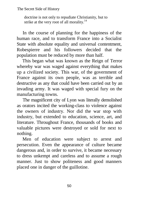doctrine is not only to repudiate Christianity, but to strike at the very root of all morality. $^{14}$ 

In the course of planning for the happiness of the human race, and to transform France into a Socialist State with absolute equality and universal contentment, Robespierre and his followers decided that the population must be reduced by more than half.

This began what was known as the Reign of Terror whereby war was waged against everything that makes up a civilized society. This war, of the government of France against its own people, was as terrible and destructive as any that could have been carried out by an invading army. It was waged with special fury on the manufacturing towns.

The magnificent city of Lyon was literally demolished as orators incited the working-class to violence against the owners of industry. Nor did the war stop with industry, but extended to education, science, art, and literature. Throughout France, thousands of books and valuable pictures were destroyed or sold for next to nothing.

Men of education were subject to arrest and persecution. Even the appearance of culture became dangerous and, in order to survive, it became necessary to dress unkempt and careless and to assume a rough manner. Just to show politeness and good manners placed one in danger of the guillotine.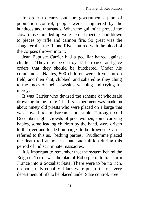In order to carry out the government's plan of population control, people were slaughtered by the hundreds and thousands. When the guillotine proved too slow, those rounded up were herded together and blown to pieces by rifle and cannon fire. So great was the slaughter that the Rhone River ran red with the blood of the corpses thrown into it.

Jean Baptiste Carrier had a peculiar hatred against children. "They must be destroyed," he roared, and gave orders that they should be butchered. Under his command at Nantes, 500 children were driven into a field, and then shot, clubbed, and sabered as they clung to the knees of their assassins, weeping and crying for mercy.

It was Carrier who devised the scheme of wholesale drowning in the Loire. The first experiment was made on about ninety old priests who were placed on a barge that was towed to midstream and sunk. Through cold December nights crowds of poor women, some carrying babies, some leading children by the hand, were driven to the river and loaded on barges to be drowned. Carrier referred to this as, "bathing parties." Prudhomme placed the death toll at no less than one million during this period of indiscriminate massacres.

It is important to remember that the system behind the Reign of Terror was the plan of Robespierre to transform France into a Socialist State. There were to be no rich, no poor, only equality. Plans were put forth for every department of life to be placed under State control. Free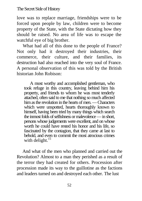love was to replace marriage, friendships were to be forced upon people by law, children were to become property of the State, with the State dictating how they should be raised. No area of life was to escape the watchful eye of big brother.

What had all of this done to the people of France? Not only had it destroyed their industries, their commerce, their culture, and their families, its destruction had also reached into the very soul of France. A personal observation of this was told by the British historian John Robison:

A most worthy and accomplished gentleman, who took refuge in this country, leaving behind him his property, and friends to whom he was most tenderly attached, often said to me that nothing so much affected him as the revolution in the hearts of men. — Characters which were unspotted, hearts thoroughly known to himself, having been tried by many things which search the inmost folds of selfishness or malevolence — in short, persons whose judgements were excellent, and on whose worth he could have rested his honor and his life, so fascinated by the contagion, that they came at last to behold, and even to commit the most atrocious crimes with delight. $15$ 

And what of the men who planned and carried out the Revolution? Almost to a man they perished as a result of the terror they had created for others. Procession after procession made its way to the guillotine as the factions and leaders turned on and destroyed each other. The lust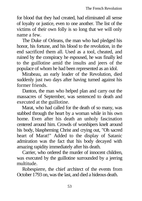for blood that they had created, had eliminated all sense of loyalty or justice, even to one another. The list of the victims of their own folly is so long that we will only name a few.

The Duke of Orleans, the man who had pledged his honor, his fortune, and his blood to the revolution, in the end sacrificed them all. Used as a tool, cheated, and ruined by the conspiracy he espoused, he was finally led to the guillotine amid the insults and jeers of the populace of whom he had been represented as an idol.

Mirabeau, an early leader of the Revolution, died suddenly just two days after having turned against his former friends.

Danton, the man who helped plan and carry out the massacres of September, was sentenced to death and executed at the guillotine.

Marat, who had called for the death of so many, was stabbed through the heart by a woman while in his own home. Even after his death an unholy fascination centered around him. Crowds of worshipers knelt around his body, blaspheming Christ and crying out, "Oh sacred heart of Marat!" Added to the display of Satanic admiration was the fact that his body decayed with amazing rapidity immediately after his death.

Carrier, who ordered the murder of innocent children, was executed by the guillotine surrounded by a jeering multitude.

Robespierre, the chief architect of the events from October 1793 on, was the last, and died a hideous death.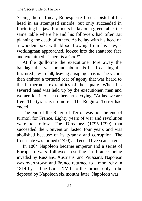Seeing the end near, Robespierre fired a pistol at his head in an attempted suicide, but only succeeded in fracturing his jaw. For hours he lay on a green table, the same table where he and his followers had often sat planning the death of others. As he lay with his head on a wooden box, with blood flowing from his jaw, a workingman approached, looked into the shattered face and exclaimed, "There is a God!"

At the guillotine the executioner tore away the bandage that was bound about his head causing the fractured jaw to fall, leaving a gaping chasm. The victim then emitted a tortured roar of agony that was heard to the farthermost extremities of the square. When his severed head was held up by the executioner, men and women fell into each others arms crying, "At last we are free! The tyrant is no more!" The Reign of Terror had ended.

The end of the Reign of Terror was not the end of turmoil for France. Eighty years of war and revolution were to follow. The Directory (1795-1799) that succeeded the Convention lasted four years and was abolished because of its tyranny and corruption. The Consulate was formed (1799) and ended five years later.

In 1804 Napoleon became emperor and a series of European wars followed resulting in France being invaded by Russians, Austrians, and Prussians. Napoleon was overthrown and France returned to a monarchy in 1814 by calling Louis XVIII to the throne, only to be deposed by Napoleon six months later. Napoleon was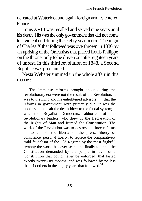defeated at Waterloo, and again foreign armies entered **France** 

Louis XVIII was recalled and served nine years until his death. His was the only government that did not come to a violent end during the eighty year period. The reign of Charles X that followed was overthrown in 1830 by an uprising of the Orleanists that placed Louis Philippe on the throne, only to be driven out after eighteen years of unrest. In this third revolution of 1848, a Second Republic was proclaimed.

Nesta Webster summed up the whole affair in this manner:

The immense reforms brought about during the revolutionary era were not the result of the Revolution. It was to the King and his enlightened advisors . . . that the reforms in government were primarily due; it was the noblesse that dealt the death-blow to the feudal system; it was the Royalist Democrats, abhorred of the revolutionary leaders, who drew up the Declaration of the Rights of Man and framed the Constitution. The work of the Revolution was to destroy all three reforms — to abolish the liberty of the press, liberty of conscience, personal liberty, to replace the comparatively mild feudalism of the Old Regime by the most frightful tyranny the world has ever seen, and finally to annul the Constitution demanded by the people in favor of a Constitution that could never be enforced, that lasted exactly twenty-six months, and was followed by no less than six others in the eighty years that followed.<sup>16</sup>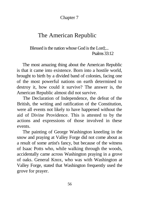Chapter 7

## The American Republic

Blessed is the nation whose God is the Lord;... Psalms  $33.12$ 

The most amazing thing about the American Republic is that it came into existence. Born into a hostile world, brought to birth by a divided band of colonies, facing one of the most powerful nations on earth determined to destroy it, how could it survive? The answer is, the American Republic almost did not survive.

The Declaration of Independence, the defeat of the British, the writing and ratification of the Constitution, were all events not likely to have happened without the aid of Divine Providence. This is attested to by the actions and expressions of those involved in these events.

The painting of George Washington kneeling in the snow and praying at Valley Forge did not come about as a result of some artist's fancy, but because of the witness of Isaac Potts who, while walking through the woods, accidentally came across Washington praying in a grove of oaks. General Knox, who was with Washington at Valley Forge, stated that Washington frequently used the grove for prayer.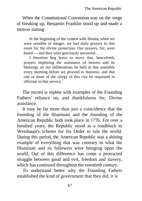When the Constitutional Convention was on the verge of breaking up, Benjamin Franklin stood up and made a motion stating:

In the beginning of the contest with Britain, when we were sensible of danger, we had daily prayers in this room for the divine protection. Our prayers, Sir, were heard — and they were graciously answered. . . .

I therefore beg leave to move that, henceforth, prayers imploring the assistance of heaven and its blessings on our deliberations be held in this assembly every morning before we proceed to business, and that one or more of the clergy of this city be requested to officiate in that service.<sup>1</sup>

The record is replete with examples of the Founding Fathers' reliance on, and thankfulness for, Divine assistance.

It may be far more than just a coincidence that the founding of the Illuminati and the founding of the American Republic both took place in 1776. For over a hundred years, the Republic stood as a roadblock to Weishaupt's scheme for his Order to rule the world. During this period, the American Republic was a shining example of everything that was contrary to what the Illuminati and its followers were bringing upon the world. Out of this difference has come a protracted struggle between good and evil, freedom and slavery, which has continued throughout the twentieth century.

To understand better why the Founding Fathers established the kind of government that they did, it is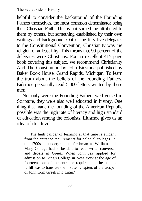helpful to consider the background of the Founding Fathers themselves, the most common denominator being their Christian Faith. This is not something attributed to them by others, but something established by their own writings and background. Out of the fifty-five delegates to the Constitutional Convention, Christianity was the religion of at least fifty. This means that 90 percent of the delegates were Christians. For an excellent 415 page book covering this subject, we recommend Christianity And The Constitution by John Eidsmoe published by Baker Book House, Grand Rapids, Michigan. To learn the truth about the beliefs of the Founding Fathers, Eidsmoe personally read 5,000 letters written by these men.

Not only were the Founding Fathers well versed in Scripture, they were also well educated in history. One thing that made the founding of the American Republic possible was the high rate of literacy and high standard of education among the colonists. Eidsmoe gives us an idea of this level:

The high caliber of learning at that time is evident from the entrance requirements for colonial colleges. In the 1700s an undergraduate freshman at William and Mary College had to be able to read, write, converse, and debate in Greek. When John Jay applied for admission to King's College in New York at the age of fourteen, one of the entrance requirements he had to fulfill was to translate the first ten chapters of the Gospel of John from Greek into Latin.<sup>2</sup>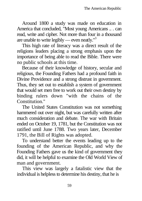Around 1800 a study was made on education in America that concluded, "Most young Americans .. . can read, write and cipher. Not more than four in a thousand are unable to write legibly — even neatly. $13$ 

This high rate of literacy was a direct result of the religions leaders placing a strong emphasis upon the importance of being able to read the Bible. There were no public schools at this time.

Because of their knowledge of history, secular and religious, the Founding Fathers had a profound faith in Divine Providence and a strong distrust in government. Thus, they set out to establish a system of government that would set men free to work out their own destiny by binding rulers down "with the chains of the Constitution<sup>"</sup>

The United States Constitution was not something hammered out over night, but was carefully written after much consideration and debate. The war with Britain ended on October 19, 1781, but the Constitution was not ratified until June 1788. Two years later, December 1791, the Bill of Rights was adopted.

To understand better the events leading up to the founding of the American Republic, and why the Founding Fathers gave us the kind of government they did, it will be helpful to examine the Old World View of man and government.

This view was largely a fatalistic view that the individual is helpless to determine his destiny, that he is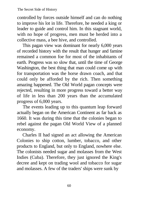controlled by forces outside himself and can do nothing to improve his lot in life. Therefore, he needed a king or leader to guide and control him. In this stagnant world, with no hope of progress, men must be herded into a collective mass, a bee hive, and controlled.

This pagan view was dominant for nearly 6,000 years of recorded history with the result that hunger and famine remained a common foe for most of the inhabitants of earth. Progress was so slow that, until the time of George Washington, the best thing that man could come up with for transportation was the horse drawn coach, and that could only be afforded by the rich. Then something amazing happened. The Old World pagan concepts were rejected, resulting in more progress toward a better way of life in less than 200 years than the accumulated progress of 6,000 years.

The events leading up to this quantum leap forward actually began on the American Continent as far back as 1660. It was during this time that the colonies began to rebel against the pagan Old World View of a planned economy.

Charles II had signed an act allowing the American Colonies to ship cotton, lumber, tobacco, and other products to England, but only to England, nowhere else. The colonists needed sugar and molasses from the West Indies (Cuba). Therefore, they just ignored the King's decree and kept on trading wool and tobacco for sugar and molasses. A few of the traders' ships were sunk by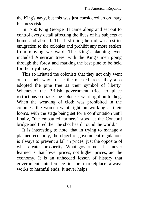the King's navy, but this was just considered an ordinary business risk.

In 1760 King George III came along and set out to control every detail affecting the lives of his subjects at home and abroad. The first thing he did was restrict emigration to the colonies and prohibit any more settlers from moving westward. The King's planning even included American trees, with the King's men going through the forest and marking the best pine to be held for the royal navy.

This so irritated the colonists that they not only went out of their way to use the marked trees, they also adopted the pine tree as their symbol of liberty. Whenever the British government tried to place restrictions on trade, the colonists went right on trading. When the weaving of cloth was prohibited in the colonies, the women went right on working at their looms, with the stage being set for a confrontation until finally, "the embattled farmers" stood at the Concord bridge and fired the "the shot heard 'round the world."

It is interesting to note, that in trying to manage a planned economy, the object of government regulations is always to prevent a fall in prices, just the opposite of what creates prosperity. What government has never learned is that lower prices, not higher prices, aid the economy. It is an unheeded lesson of history that government interference in the marketplace always works to harmful ends. It never helps.

61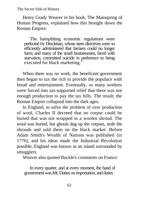Henry Grady Weaver in his book, The Mainspring of Human Progress, explained how this brought down the Roman Empire:

The hairsplitting economic regulations were perfected by Diocletian, whose stern directives were so efficiently administered that farmers could no longer farm; and many of the small businessmen, faced with starvation, committed suicide in preference to being executed for black marketing.

When there was no work, the beneficent government then began to tax the rich to provide the populace with bread and entertainment. Eventually, so many workers were forced into tax-supported relief that there was not enough production to pay the tax bills. The result; the Roman Empire collapsed into the dark ages.

In England, to solve the problem of over production of wool, Charles II decreed that no corpse could be buried that was not wrapped in a woolen shroud. The wool was buried, but ghouls dug up the corpses, stole the shrouds and sold them on the black market. Before Adam Smith's Wealth of Nations was published (in 1776), and his ideas made the Industrial Revolution possible, England was known as an island surrounded by smugglers.

Weaver also quoted Buckle's comments on France:

In every quarter, and at every moment, the hand of government was felt. Duties on importation, and duties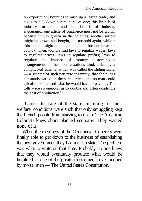on exportation; bounties to raise up a losing trade, and taxes to pull down a remunerative one; this branch of industry forbidden, and that branch of industry encouraged; one article of commerce must not be grown, because it was grown in the colonies, another article might be grown and bought, but not sold again, while a third article might be bought and sold, but not leave the country. Then, too, we find laws to regulate wages; laws to regulate prices; laws to regulate profits; laws to regulate the interest of money; custom-house arrangements of the most vexatious kind, aided by a complicated scheme, which was called the sliding scale, — a scheme of such perverse ingenuity, that the duties constantly varied on the same article, and no man could calculate beforehand what he would have to pay. . . . The tolls were so onerous, as to double and often quadruple the cost of production.<sup>5</sup>

Under the care of the state, planning for their welfare, conditions were such that only smuggling kept the French people from starving to death. The American Colonists knew about planned economy. They wanted none of it.

When the members of the Continental Congress were finally able to get down to the business of establishing the new government, they had a clean slate. The problem was what to write on that slate. Probably no one knew that they would eventually produce what would be heralded as one of the greatest documents ever penned by mortal men — The United States Constitution.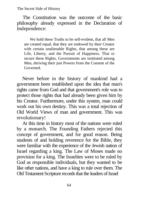The Constitution was the outcome of the basic philosophy already expressed in the Declaration of Independence:

We hold these Truths to be self-evident, that all Men are created equal, that they are endowed by their Creator with certain unalienable Rights, that among these are Life, Liberty, and the Pursuit of Happiness. That to secure these Rights, Governments are instituted among Men, deriving their just Powers from the Consent of the Governed.

Never before in the history of mankind had a government been established upon the idea that man's rights came from God and that government's role was to protect those rights that had already been given him by his Creator. Furthermore, under this system, man could work out his own destiny. This was a total rejection of Old World Views of man and government. This was revolutionary!

At this time in history most of the nations were ruled by a monarch. The Founding Fathers rejected this concept of government, and for good reason. Being students of and holding reverence for the Bible, they were familiar with the experience of the Jewish nation of Israel regarding a king. The Law of Moses made no provision for a king. The Israelites were to be ruled by God as responsible individuals, but they wanted to be like other nations, and have a king to rule over them. The Old Testament Scripture records that the leaders of Israel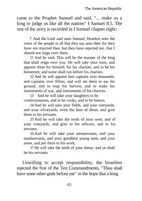came to the Prophet Samuel and said, "... make us a king to judge us like all the nations" I Samuel 8:5. The rest of the story is recorded in I Samuel chapter eight:

7 And the Lord said unto Samuel, Hearken unto the voice of the people in all that they say unto thee: for they have not rejected thee, but they have rejected me, that I should not reign over them.

11 And he said, This will be the manner of the king that shall reign over you. He will take your sons, and appoint them for himself, for his chariots, and to be his horsemen; and some shall run before his chariots.

12 And he will appoint him captains over thousands, and captains over fifties; and will set them to ear his ground, and to reap his harvest, and to make his instruments of war, and instruments of his chariots.

13 And he will take your daughters to be confectioneries, and to be cooks, and to be bakers.

14 And he will take your fields, and your vineyards, and your oliveyards, even the best of them, and give them to his servants.

15 And he will take the tenth of your seed, and of your vineyards, and give to his officers, and to his servants.

16 And he will take your menservants, and your maidservants, and your goodliest young men, and your asses, and put them to his work.

17 He will take the tenth of your sheep: and ye shall be his servants.

Unwilling to accept responsibility, the Israelites rejected the first of the Ten Commandments, "Thou shalt have none other gods before me" in the hope that a king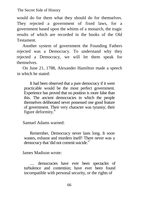would do for them what they should do for themselves. They rejected a government of fixed laws, for a government based upon the whims of a monarch, the tragic results of which are recorded in the books of the Old Testament.

Another system of government the Founding Fathers rejected was a Democracy. To understand why they rejected a Democracy, we will let them speak for themselves.

On June 21, 1788, Alexander Hamilton made a speech in which he stated:

It had been observed that a pure democracy if it were practicable would be the most perfect government. Experience has proved that no position is more false than this. The ancient democracies in which the people themselves deliberated never possessed one good feature of government. Their very character was tyranny; their figure deformity.<sup>6</sup>

Samuel Adams warned:

Remember, Democracy never lasts long. It soon wastes, exhaust and murders itself! There never was a democracy that 'did not commit suicide.'<sup>7</sup>

James Madison wrote:

.... democracies have ever been spectacles of turbulence and contention; have ever been found incompatible with personal security, or the rights of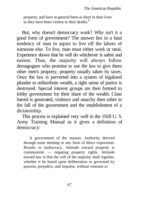property; and have in general been as short in their lives as they have been violent in their deaths.<sup>8</sup>

But, why doesn't democracy work? Why isn't it a good form of government? The answer lies in a fatal tendency of man to aspire to live off the labors of someone else. To live, man must either work or steal. Experience shows that he will do whichever is safest and easiest. Thus, the majority will always follow demagogues who promise to use the law to give them other men's property, property usually taken by taxes. Once the law is perverted into a system of legalized plunder to redistribute wealth, a right sense of justice is destroyed. Special interest groups are then formed to lobby government for their share of the wealth. Class hatred is generated, violence and anarchy then usher in the fall of the government and the establishment of a dictatorship.

This process is explained very well in the 1928 U. S. Army Training Manual as it gives a definition of democracy:

A government of the masses. Authority derived through mass meeting or any form of direct expression. Results in mobocracy. Attitude toward property is communistic — negating property rights. Attitude toward law is that the will of the majority shall regulate, whether it be based upon deliberation or governed by passion, prejudice, and impulse, without restraint or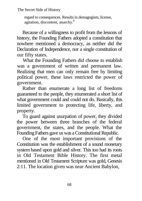The Secret Side of History

regard to consequences. Results in demagogism, license, agitation, discontent, anarchy.<sup>9</sup>

Because of a willingness to profit from the lessons of history, the Founding Fathers adopted a constitution that nowhere mentioned a democracy, as neither did the Declaration of Independence, nor a single constitution of our fifty states.

What the Founding Fathers did choose to establish was a government of written and permanent law. Realizing that men can only remain free by limiting political power, these laws restricted the power of government.

Rather than enumerate a long list of freedoms guaranteed to the people, they enumerated a short list of what government could and could not do. Basically, this limited government to protecting life, liberty, and property.

To guard against usurpation of power, they divided the power between three branches of the federal government, the states, and the people. What the Founding Fathers gave us was a Constitutional Republic.

One of the most important provisions of the Constitution was the establishment of a sound monetary system based upon gold and silver. This too had its roots in Old Testament Bible History. The first metal mentioned in Old Testament Scripture was gold, Genesis 2:11. The location given was near Ancient Babylon,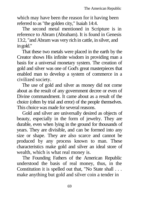which may have been the reason for it having been referred to as "the golden city," Isaiah 14:4.

The second metal mentioned in Scripture is in reference to Abram (Abraham). It is found in Genesis 13:2, "and Abram was very rich in cattle, in silver, and in gold."

That these two metals were placed in the earth by the Creator shows His infinite wisdom in providing man a basis for a universal monetary system. The creation of gold and silver was one of God's great masterpieces that enabled man to develop a system of commerce in a civilized society.

The use of gold and silver as money did not come about as the result of any government decree or even of Divine commandment. It came about as a result of the choice (often by trial and error) of the people themselves. This choice was made for several reasons.

Gold and silver are universally desired as objects of beauty, especially in the form of jewelry. They are durable, even when lying in the ground for thousands of years. They are divisible, and can be formed into any size or shape. They are also scarce and cannot be produced by any process known to man. These characteristics make gold and silver an ideal store of wealth, which is what real money is.

The Founding Fathers of the American Republic understood the basis of real money, thus, in the Constitution it is spelled out that, "No State shall . . . make anything but gold and silver coin a tender in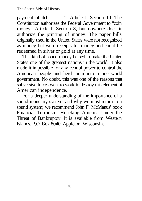payment of debts; . . . " Article I, Section 10. The Constitution authorizes the Federal Government to "coin money" Article I, Section 8, but nowhere does it authorize the printing of money. The paper bills originally used in the United States were not recognized as money but were receipts for money and could be redeemed in silver or gold at any time.

This kind of sound money helped to make the United States one of the greatest nations in the world. It also made it impossible for any central power to control the American people and herd them into a one world government. No doubt, this was one of the reasons that subversive forces went to work to destroy this element of American independence.

For a deeper understanding of the importance of a sound monetary system, and why we must return to a sound system; we recommend John F. McManus' book Financial Terrorism: Hijacking America Under the Threat of Bankruptcy. It is available from Western Islands, P.O. Box 8040, Appleton, Wisconsin.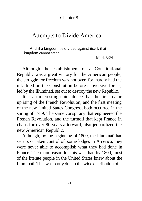### Chapter 8

### Attempts to Divide America

And if a kingdom be divided against itself, that kingdom cannot stand.

Mark 3:24

Although the establishment of a Constitutional Republic was a great victory for the American people, the struggle for freedom was not over; for, hardly had the ink dried on the Constitution before subversive forces, led by the Illuminati, set out to destroy the new Republic.

It is an interesting coincidence that the first major uprising of the French Revolution, and the first meeting of the new United States Congress, both occurred in the spring of 1789. The same conspiracy that engineered the French Revolution, and the turmoil that kept France in chaos for over 80 years afterward, also jeopardized the new American Republic.

Although, by the beginning of 1800, the Illuminati had set up, or taken control of, some lodges in America, they were never able to accomplish what they had done in France. The main reason for this was that, by 1800, most of the literate people in the United States knew about the Illuminati. This was partly due to the wide distribution of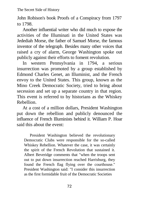The Secret Side of History

John Robison's book Proofs of a Conspiracy from 1797 to 1798.

Another influential writer who did much to expose the activities of the Illuminati in the United States was Jedediah Morse, the father of Samuel Morse, the famous inventor of the telegraph. Besides many other voices that raised a cry of alarm, George Washington spoke out publicly against their efforts to foment revolution.

In western Pennsylvania in 1794, a serious insurrection was promoted by a group established by Edmond Charles Genet, an Illuminist, and the French envoy to the United States. This group, known as the Mino Creek Democratic Society, tried to bring about secession and set up a separate country in that region. This event is referred to by historians as the Whiskey Rebellion.

At a cost of a million dollars, President Washington put down the rebellion and publicly denounced the influence of French Illuminists behind it. William P. Hoar said this about the event:

President Washington believed the revolutionary Democratic Clubs were responsible for the so-called Whiskey Rebellion. Whatever the case, it was certainly the spirit of the French Revolution that sustained it. Albert Beveridge comments that "when the troops sent out to put down insurrection reached Harrisburg, they found the French flag flying over the courthouse." President Washington said: "I consider this insurrection as the first formidable fruit of the Democratic Societies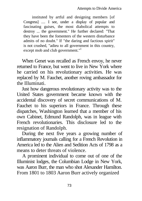instituted by artful and designing members [of Congress] .... I see, under a display of popular and fascinating guises, the most diabolical attempts to destroy ... the government." He further declared: "That they have been the fomenters of the western disturbance admits of no doubt." If "the daring and factious spirit" is not crushed, "adieu to all government in this country, except mob and club government."<sup>1</sup>

When Genet was recalled as French envoy, he never returned to France, but went to live in New York where he carried on his revolutionary activities. He was replaced by M. Fauchet, another roving ambassador for the Illuminati.

Just how dangerous revolutionary activity was to the United States government became known with the accidental discovery of secret communications of M. Fauchet to his superiors in France. Through these dispatches, Washington learned that a member of his own Cabinet, Edmund Randolph, was in league with French revolutionaries. This disclosure led to the resignation of Randolph.

During the next five years a growing number of inflammatory journals calling for a French Revolution in America led to the Alien and Sedition Acts of 1798 as a means to deter threats of violence.

A prominent individual to come out of one of the Illuminist lodges, the Columbian Lodge in New York, was Aaron Burr, the man who shot Alexander Hamilton. From 1801 to 1803 Aaron Burr actively organized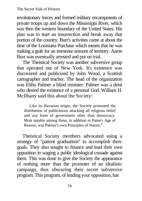The Secret Side of History

revolutionary forces and formed military encampments of private troops up and down the Mississippi River, which was then the western boundary of the United States. His plan was to start an insurrection and break away that portion of the country. Burr's activities came at about the time of the Louisiana Purchase which means that he was making a grab for an immense amount of territory. Aaron Burr was eventually arrested and put on trial.

The Theistical Society was another subversive group that operated out of New York. It's existence was discovered and publicized by John Wood, a Scottish cartographer and teacher. The head of the organization was Elihu Palmer a blind minister. Palmer was a deist who denied the existence of a personal God. William H. McIlhany said this about the Society:

Like its Bavarian origin, the Society promoted the distribution of publications attacking all religious belief and any form of government other than democracy. Most notable among these, in addition to Paine's Age of Reason, was Palmer's own Principles of Nature.<sup>2</sup>

Theistical Society members advocated using a strategy of "patient gradualism" to accomplish thengoals. They also sought to finance and lead their own opposition in waging a public ideological crusade against them. This was done to give the Society the appearance of nothing more than the promoter of an idealistic campaign, thus obscuring their secret subversive program. This program, of leading your opposition, has

74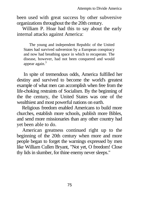been used with great success by other subversive organizations throughout the the 20th century.

William P. Hoar had this to say about the early internal attacks against America:

The young and independent Republic of the United States had survived subversion by a European conspiracy and now had breathing space in which to recuperate. The disease, however, had not been conquered and would appear again.<sup>3</sup>

In spite of tremendous odds, America fulfilled her destiny and survived to become the world's greatest example of what men can accomplish when free from the life-choking restraints of Socialism. By the beginning of the the century, the United States was one of the wealthiest and most powerful nations on earth.

Religious freedom enabled Americans to build more churches, establish more schools, publish more Bibles, and send more missionaries than any other country had yet been able to do.

American greatness continued right up to the beginning of the 20th century when more and more people began to forget the warnings expressed by men like William Cullen Bryant, "Not yet, O freedom! Close thy lids in slumber, for thine enemy never sleeps."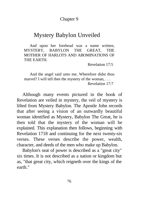### Chapter 9

## Mystery Babylon Unveiled

And upon her forehead was a name written, MYSTERY, BABYLON THE GREAT, THE MOTHER OF HARLOTS AND ABOMINATIONS OF THE EARTH.

Revelation 17:5

And the angel said unto me, Wherefore didst thou marvel? I will tell thee the mystery of the woman, ... Revelation 17:7

Although many events pictured in the book of Revelation are veiled in mystery, the veil of mystery is lifted from Mystery Babylon. The Apostle John records that after seeing a vision of an outwardly beautiful woman identified as Mystery, Babylon The Great, he is then told that the mystery of the woman will be explained. This explanation then follows, beginning with Revelation 1718 and continuing for the next twenty-six verses. These verses describe the power, wealth, character, and deeds of the men who make up Babylon.

Babylon's seat of power is described as a "great city" six times. It is not described as a nation or kingdom but as, "that great city, which reigneth over the kings of the earth."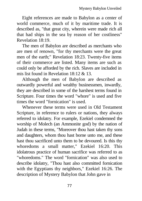Eight references are made to Babylon as a center of world commerce, much of it by maritime trade. It is described as, "that great city, wherein were made rich all that had ships in the sea by reason of her costliness" Revelation 18:19.

The men of Babylon are described as merchants who are men of renown, "for thy merchants were the great men of the earth;" Revelation 18:23. Twenty-five items of their commerce are listed. Many items are such as could only be afforded by the rich. Slaves are included in mis list found in Revelation  $18.12 \& 13$ .

Although the men of Babylon are described as outwardly powerful and wealthy businessmen, inwardly, they are described in some of the harshest terms found in Scripture. Four times the word "whore" is used and five times the word "fornication" is used.

Whenever these terms were used in Old Testament Scripture, in reference to rulers or nations, they always referred to idolatry. For example, Ezekiel condemned the worship of Molech (an Ammonite god) by the nation of Judah in these terms, "Moreover thou hast taken thy sons and daughters, whom thou hast borne unto me, and these hast thou sacrificed unto them to be devoured. Is this thy whoredoms a small matter," Ezekiel 16:20. This idolatrous practice of human sacrifice was referred to as "whoredoms." The word "fornication" was also used to describe idolatry, "Thou hast also committed fornication with the Egyptians thy neighbors," Ezekiel 16:26. The description of Mystery Babylon that John gave in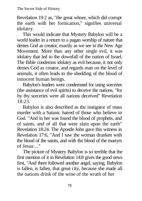Revelation 19:2 as, "the great whore, which did corrupt the earth with her fornication," signifies universal idolatry.

This would indicate that Mystery Babylon will be a world leader in a return to a pagan worship of nature that denies God as creator, exactly as we see in the New Age Movement. More than any other single evil, it was idolatry that led to the downfall of the nation of Israel. The Bible condemns idolatry as evil because, it not only denies God as creator, and regards man on the level of animals, it often leads to the shedding of the blood of innocent human beings.

Babylon's leaders were condemned for using sorceries (the assistance of evil spirits) to deceive the nations, "for by thy sorceries were all nations deceived" Revelation 18:23.

Babylon is also described as the instigator of mass murder with a Satanic hatred of those who believe in God. "And in her was found the blood of prophets, and of saints, and of all that were slain upon the earth" Revelation 18:24. The Apostle John gave this witness in Revelation 17:6, "And I saw the woman drunken with the blood of the saints, and with the blood of the martyrs of Jesus:..."

The picture of Mystery Babylon is so terrible that the first mention of it in Revelation 14:8 gives the good news first, "And there followed another angel, saying, Babylon is fallen, is fallen, that great city, because she made all the nations drink of the wine of the wrath of her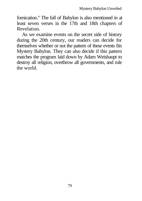fornication." The fall of Babylon is also mentioned in at least seven verses in the 17th and 18th chapters of Revelation.

As we examine events on the secret side of history during the 20th century, our readers can decide for themselves whether or not the pattern of these events fits Mystery Babylon. They can also decide if this pattern matches the program laid down by Adam Weishaupt to destroy all religion, overthrow all governments, and rule the world.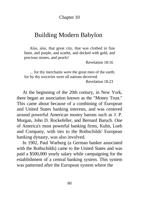### Chapter 10

# Building Modern Babylon

Alas, alas, that great city, that was clothed in fine linen, and purple, and scarlet, and decked with gold, and precious stones, and pearls!

Revelation 18:16

... for thy merchants were the great men of the earth; for by thy sorceries were all nations deceived.

Revelation 18:23

At the beginning of the 20th century, in New York, there began an association known as the "Money Trust." This came about because of a combining of European and United States banking interests, and was centered around powerful American money barons such as J. P. Morgan, John D. Rockefeller, and Bernard Baruch. One of America's most powerful banking firms, Kuhn, Loeb and Company, with ties to the Rothschilds' European banking dynasty, was also involved.

In 1902, Paul Warburg (a German banker associated with the Rothschilds) came to the United States and was paid a \$500,000 yearly salary while campaigning for the establishment of a central banking system. This system was patterned after the European system where the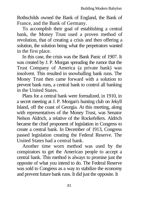Rothschilds owned the Bank of England, the Bank of France, and the Bank of Germany.

To accomplish their goal of establishing a central bank, the Money Trust used a proven method of revolution, that of creating a crisis and then offering a solution, the solution being what the perpetrators wanted in the first place.

In this case, the crisis was the Bank Panic of 1907. It was created by J. P. Morgan spreading the rumor that the Trust Company of America (a private bank) was insolvent. This resulted in snowballing bank runs. The Money Trust then came forward with a solution to prevent bank runs, a central bank to control all banking in the United States.

Plans for a central bank were formalized, in 1910, in a secret meeting at J. P. Morgan's hunting club on Jekyll Island, off the coast of Georgia. At this meeting, along with representatives of the Money Trust, was Senator Nelson Aldrich, a relative of the Rockefellers. Aldrich became the chief proponent of legislation in Congress to create a central bank. In December of 1913, Congress passed legislation creating the Federal Reserve. The United States had a central bank.

Another time worn method was used by the conspirators to get the American people to accept a central bank. This method is always to promise just the opposite of what you intend to do. The Federal Reserve was sold to Congress as a way to stabilize the economy and prevent future bank runs. It did just the opposite. It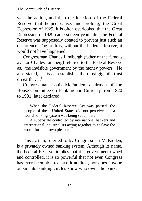was the action, and then the inaction, of the Federal Reserve that helped cause, and prolong, the Great Depression of 1929. It is often overlooked that the Great Depression of 1929 came sixteen years after the Federal Reserve was supposedly created to prevent just such an occurrence. The truth is, without the Federal Reserve, it would not have happened.

Congressman Charles Lindbergh (father of the famous aviator Charles Lindberg) referred to the Federal Reserve as, "the invisible government by the money powers." He also stated, "This act establishes the most gigantic trust  $\alpha$ n earth.  $\alpha$ 

Congressman Louis McFadden, chairman of the House Committee on Banking and Currency from 1920 to 1931, later declared:

When the Federal Reserve Act was passed, the people of these United States did not perceive that a world banking system was being set up here.

A super-state controlled by international bankers and international industrialists acting together to enslave the world for their own pleasure.<sup>2</sup>

This system, referred to by Congressman McFadden, is a privately owned banking system. Although its name, the Federal Reserve, implies that it is government owned and controlled, it is so powerful that not even Congress has ever been able to have it audited, nor does anyone outside its banking circles know who owns the bank.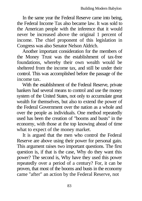In the same year the Federal Reserve came into being, the Federal Income Tax also became law. It was sold to the American people with the inference that it would never be increased above the original 1 percent of income. The chief proponent of this legislation in Congress was also Senator Nelson Aldrich.

Another important consideration for the members of the Money Trust was the establishment of tax-free foundations, whereby their own wealth would be sheltered from the income tax, and still be under their control. This was accomplished before the passage of the income tax.

With the establishment of the Federal Reserve, private bankers had several means to control and use the money system of the United States, not only to accumulate great wealth for themselves, but also to extend the power of the Federal Government over the nation as a whole and over the people as individuals. One method repeatedly used has been the creation of "booms and busts" in the economy, with those at the top knowing ahead of time what to expect of the money market.

It is argued that the men who control the Federal Reserve are above using their power for personal gain. This argument raises two important questions. The first question is, if that is the case, Why do they want this power? The second is, Why have they used this power repeatedly over a period of a century? For, it can be proven, that most of the booms and busts in the economy came "after" an action by the Federal Reserve, not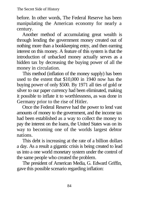The Secret Side of History

before. In other words, The Federal Reserve has been manipulating the American economy for nearly a century.

Another method of accumulating great wealth is through lending the government money created out of nothing more than a bookkeeping entry, and then earning interest on this money. A feature of this system is that the introduction of unbacked money actually serves as a hidden tax by decreasing the buying power of all the money in circulation.

This method (inflation of the money supply) has been used to the extent that \$10,000 in 1940 now has the buying power of only \$500. By 1971 all ties of gold or silver to our paper currency had been eliminated, making it possible to inflate it to worthlessness, as was done in Germany prior to the rise of Hitler.

Once the Federal Reserve had the power to lend vast amounts of money to the government, and the income tax had been established as a way to collect the money to pay the interest on the loans, the United States was on its way to becoming one of the worlds largest debtor nations.

This debt is increasing at the rate of a billion dollars a day. As a result a gigantic crisis is being created to lead us into a one world monetary system under the control of the same people who created the problem.

The president of American Media, G. Edward Griffin, gave this possible scenario regarding inflation: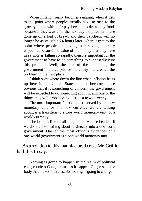When inflation really becomes rampant, when it gets to the point where people literally have to rush to the grocery stores with their paychecks in order to buy food, because if they wait until the next day the price will have gone up on a loaf of bread, and their paycheck will no longer be as valuable 24 hours later, when it gets to the point where people are having their savings literally wiped out because the value of the money that they have in savings is falling so rapidly, then it's important for the government to have to do something to supposedly cure this problem. Well, the fact of the matter is, the government is the culprit, or the entity that created the problem in the first place.

I think somewhere down the line when inflation heats up here in the United States, and it becomes more obvious that it is something of concern, the government will be expected to do something about it, and one of the things they will probably do is issue a new currency .. .

The most important function to be served by the new monetary unit, or this new currency we are talking about, is a transition to a true world monetary unit, or a world currency.

The bottom line of all this, is that we are headed, if we don't do something about it, directly into a one world government. One of the most obvious evidences of a one world government is a one world monetary unit.<sup>3</sup>

As a solution to this manufactured crisis Mr. Griffin had this to say:

Nothing is going to happen in the realm of political change unless Congress makes it happen. Congress is the body that makes the rules. So nothing is going to change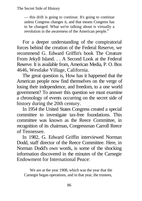— this drift is going to continue. It's going to continue unless Congress changes it, and that means Congress has to be changed. What we're talking about is virtually a revolution in the awareness of the American people.<sup>4</sup>

For a deeper understanding of the conspiratorial forces behind the creation of the Federal Reserve, we recommend G. Edward Griffin's book The Creature From Jekyll Island. . . A Second Look at the Federal Reserve. It is available from, American Media, P. O. Box 4646, Westlake Village, California.

The great question is, How has it happened that the American people now find themselves on the verge of losing their independence, and freedom, to a one world government? To answer this question we must examine a chronology of events occurring on the secret side of history during the 20th century.

In 1954 the United States Congress created a special committee to investigate tax-free foundations. This committee was known as the Reece Committee, in recognition of its chairman, Congressman Carroll Reece of Tennessee.

In 1982, G. Edward Griffin interviewed Norman Dodd, staff director of the Reece Committee. Here, in Norman Dodd's own words, is some of the shocking information discovered in the minutes of the Carnegie Endowment for International Peace:

We are at the year 1908, which was the year that the Carnegie began operations, and in that year, the trustees,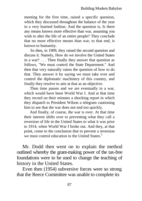meeting for the first time, raised a specific question, which they discussed throughout the balance of the year in a very learned fashion. And the question is, Is there any means known more effective than war, assuming you wish to alter the life of an entire people? They conclude that no more effective means than war, to that end, is known to humanity.

So then, in 1909, they raised the second question and discuss it. Namely, How do we involve the United States in a war? . . . Then finally they answer that question as follows, "We must control the State Department." And then that very naturally raises the question of how to do that. They answer it by saying we must take over and control the diplomatic machinery of this country, and finally they resolve to aim at that as an objective.

Then time passes and we are eventually in a war, which would have been World War I. And at that time they record on their minutes a shocking report in which they dispatch to President Wilson a telegram cautioning him to see that the war does not end too quickly.

And finally, of course, the war is over. At that time their interest shifts over to preventing what they call a reversion of life in the United States to what it was prior to 1914, when World War I broke out. And they, at that point, come to the conclusion that to prevent a reversion we must control education in the United States.<sup>5</sup>

Mr. Dodd then went on to explain the method outlined whereby the grant-making power of the tax-free foundations were to be used to change the teaching of history in the United States.

Even then (1954) subversive forces were so strong that the Reece Committee was unable to complete its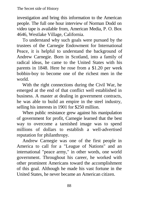investigation and bring this information to the American people. The full one hour interview of Norman Dodd on video tape is available from, American Media, P. O. Box 4646, Westlake Village, California.

To understand why such goals were pursued by the trustees of the Carnegie Endowment for International Peace, it is helpful to understand the background of Andrew Carnegie. Born in Scotland, into a family of radical ideas, he came to the United States with his parents in 1848. Here he rose from a \$1.20 per week bobbin-boy to become one of the richest men in the world.

With the right connections during the Civil War, he emerged at the end of that conflict well established in business. A master at dealing in government contracts, he was able to build an empire in the steel industry, selling his interests in 1901 for \$250 million.

When public resistance grew against his manipulation of government for profit, Carnegie learned that the best way to overcome a tarnished image was to spend millions of dollars to establish a well-advertised reputation for philanthropy.

Andrew Carnegie was one of the first people in America to call for a "League of Nations" and an international "peace army," in other words, one world government. Throughout his career, he worked with other prominent Americans toward the accomplishment of this goal. Although he made his vast fortune in the United States, he never became an American citizen.

88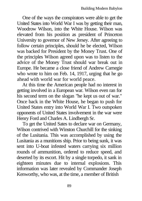One of the ways the conspirators were able to get the United States into World War I was by getting their man, Woodrow Wilson, into the White House. Wilson was elevated from his position as president of Princeton University to governor of New Jersey. After agreeing to follow certain principles, should he be elected, Wilson was backed for President by the Money Trust. One of the principles Wilson agreed upon was to listen to the advice of the Money Trust should war break out in Europe. He became a close friend of Andrew Carnegie who wrote to him on Feb. 14, 1917, urging that he go ahead with world war for world peace.

At this time the American people had no interest in getting involved in a European war. Wilson even ran for his second term on the slogan "he kept us out of war." Once back in the White House, he began to push for United States entry into World War I. Two outspoken opponents of United States involvement in the war were Henry Ford and Charles A. Lindbergh Sr.

To get the United Sates to declare war on Germany, Wilson contrived with Winston Churchill for the sinking of the Lusitania. This was accomplished by using the Lusitania as a munitions ship. Prior to being sunk, it was sent into U-boat infested waters carrying six million rounds of ammunition, ordered to reduce speed, and deserted by its escort. Hit by a single torpedo, it sank in eighteen minutes due to internal explosions. This information was later revealed by Commander Joseph Kenworthy, who was, at the time, a member of British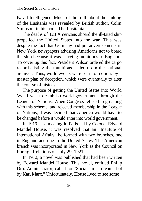Naval Intelligence. Much of the truth about the sinking of the Lusitania was revealed by British author, Colin Simpson, in his book The Lusitania.

The deaths of 128 Americans aboard the ill-fated ship propelled the United States into the war. This was despite the fact that Germany had put advertisements in New York newspapers advising Americans not to board the ship because it was carrying munitions to England. To cover up this fact, President Wilson ordered the cargo records listing the munitions sealed up in the national archives. Thus, world events were set into motion, by a master plan of deception, which were eventually to alter the course of history.

The purpose of getting the United States into World War I was to establish world government through the League of Nations. When Congress refused to go along with this scheme, and rejected membership in the League of Nations, it was decided that America would have to be changed before it would enter into world government.

In 1919, at a meeting in Paris led by Colonel Edward Mandel House, it was resolved that an "Institute of International Affairs" be formed with two branches, one in England and one in the United States. The American branch was incorporated in New York as the Council on Foreign Relations on July 29, 1921.

In 1912, a novel was published that had been written by Edward Mandel House. This novel, entitled Philip Dru: Administrator, called for "Socialism as dreamed of by Karl Marx." Unfortunately, House lived to see some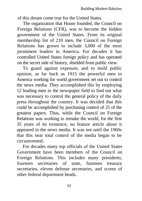of this dream come true for the United States.

The organization that House founded, the Council on Foreign Relations (CFR), was to become the hidden government of the United States. From its original membership list of 210 men, the Council on Foreign Relations has grown to include 3,000 of the most prominent leaders in America. For decades it has controlled United States foreign policy and has operated on the secret side of history, shielded from public view.

To guard against exposure, and to mold public opinion, as far back as 1915 the powerful men in America working for world government set out to control the news media. They accomplished this by employing 12 leading men in the newspaper field to find out what was necessary to control the general policy of the daily press throughout the country. It was decided that this could be accomplished by purchasing control of 25 of the greatest papers. Thus, while the Council on Foreign Relations was working to remake the world, for the first 35 years of its existence, no feature article about it appeared in the news media. It was not until the 1960s that this near total control of the media began to be circumvented.

For decades many top officials of the United States Government have been members of the Council on Foreign Relations. This includes many presidents, fourteen secretaries of state, fourteen treasury secretaries, eleven defense secretaries, and scores of other federal department heads.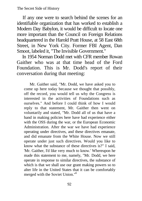If any one were to search behind the scenes for an identifiable organization that has worked to establish a Modern Day Babylon, it would be difficult to locate one more important than the Council on Foreign Relations headquartered in the Harold Pratt House, at 58 East 68th Street, in New York City. Former FBI Agent, Dan Smoot, labeled it, "The Invisible Government."

In 1954 Norman Dodd met with CFR member Rowan Gaither who was at that time head of the Ford Foundation. This is Mr. Dodd's report of their conversation during that meeting:

Mr. Gaither said, "Mr. Dodd, we have asked you to come up here today because we thought that possibly, off the record, you would tell us why the Congress is interested in the activities of Foundations such as ourselves." And before I could think of how I would reply to that statement, Mr. Gaither then went on voluntarily and stated, "Mr. Dodd all of us that have a hand in making policies here have had experience either with the OSS during the war, or the European Economic Administration. After the war we have had experience operating under directives, and these directives emanate, and did emanate from the White House. Now we still operate under just such directives. Would you like to know what the substance of these directives is?" I said, 'Mr. Gaither, I'd like very much to know.' Whereupon he made this statement to me, namely, "Mr. Dodd, we here operate in response to similar directives, the substance of which is that we shall use our grant making powers so to alter life in the United States that it can be comfortably merged with the Soviet Union."<sup>6</sup>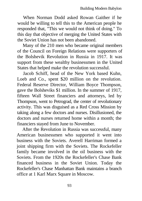When Norman Dodd asked Rowan Gaither if he would be willing to tell this to the American people he responded that, "This we would not think of doing." To this day that objective of merging the United States with the Soviet Union has not been abandoned.

Many of the 210 men who became original members of the Council on Foreign Relations were supporters of the Bolshevik Revolution in Russia in 1917. It was support from these wealthy businessmen in the United States that helped make the revolution successful.

Jacob Schiff, head of the New York based Kuhn, Loeb and Co., spent \$20 million on the revolution. Federal Reserve Director, William Boyce Thompson, gave the Bolsheviks \$1 million. In the summer of 1917, fifteen Wall Street financiers and attorneys, led by Thompson, went to Petrograd, the center of revolutionary activity. This was disguised as a Red Cross Mission by taking along a few doctors and nurses. Disillusioned, the doctors and nurses returned home within a month; the financiers stayed from June to November.

After the Revolution in Russia was successful, many American businessmen who supported it went into business with the Soviets. Averell Harriman formed a joint shipping firm with the Soviets. The Rockefeller family became involved in the oil business with the Soviets. From the 1920s the Rockefeller's Chase Bank financed business in the Soviet Union. Today the Rockefeller's Chase Manhattan Bank maintains a branch office at 1 Karl Marx Square in Moscow.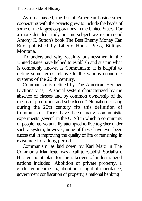As time passed, the list of American businessmen cooperating with the Soviets grew to include the heads of some of the largest corporations in the United States. For a more detailed study on this subject we recommend Antony C. Sutton's book The Best Enemy Money Can Buy, published by Liberty House Press, Billings, Montana.

To understand why wealthy businessmen in the United States have helped to establish and sustain what is commonly known as Communism, it is helpful to define some terms relative to the various economic systems of the 20 th century.

Communism is defined by The American Heritage Dictionary as, "A social system characterized by the absence of classes and by common ownership of the means of production and subsistence." No nation existing during the 20th century fits this definition of Communism. There have been many communistic experiments (several in the U. S.) in which a community of people has voluntarily attempted to live together under such a system; however, none of these have ever been successful in improving the quality of life or remaining in existence for a long period.

Communism, as laid down by Karl Marx in The Communist Manifesto, was a call to establish Socialism. His ten point plan for the takeover of industrialized nations included. Abolition of private property, a graduated income tax, abolition of right of inheritance, government confiscation of property, a national banking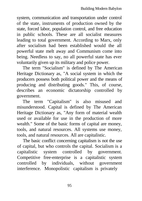system, communication and transportation under control of the state, instruments of production owned by the state, forced labor, population control, and free education in public schools. These are all socialist measures leading to total government. According to Marx, only after socialism had been established would the all powerful state melt away and Communism come into being. Needless to say, no all powerful state has ever voluntarily given up its military and police power.

The term "Socialism" is defined by The American Heritage Dictionary as, "A social system in which the producers possess both political power and the means of producing and distributing goods." This, of course, describes an economic dictatorship controlled by government.

The term "Capitalism" is also misused and misunderstood. Capital is defined by The American Heritage Dictionary as, "Any form of material wealth used or available for use in the production of more wealth." Some of the basic forms of capital are money, tools, and natural resources. All systems use money, tools, and natural resources. All are capitalistic.

The basic conflict concerning capitalism is not the use of capital, but who controls the capital. Socialism is a capitalistic system controlled by government. Competitive free-enterprise is a capitalistic system controlled by individuals, without government interference. Monopolistic capitalism is privately

95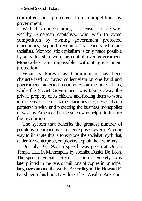controlled but protected from competition by government.

With this understanding it is easier to see why wealthy American capitalists, who wish to avoid competition by owning government protected monopolies, support revolutionary leaders who are socialists. Monopolistic capitalism is only made possible by a partnership with, or control over government. Monopolies are impossible without government protection.

What is known as Communism has been characterized by forced collectivism on one hand and government protected monopolies on the other. Thus, while the Soviet Government was taking away the private property of its citizens and forcing them to work in collectives, such as farms, factories etc., it was also in partnership with, and protecting the business monopolies of wealthy American businessmen who helped to finance the revolution.

The system that benefits the greatest number of people is a competitive free-enterprise system. A good way to illustrate this is to explode the socialist myth that, under free-enterprise, employers exploit their workers.

On July 10, 1905, a speech was given at Union Temple Hall in Minneapolis by socialist Daniel De Leon. The speech "Socialist Reconstruction of Society" was later printed in the tens of millions of copies in principal languages around the world. According to Dr. Howard E. Kershner in his book Dividing The Wealth: Are You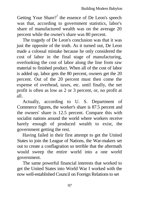Getting Your Share?<sup>7</sup> the essence of De Leon's speech was that, according to government statistics, labor's share of manufactured wealth was on the average 20 percent while the owner's share was 80 percent.

The tragedy of De Leon's conclusion was that it was just the opposite of the truth. As it turned out, De Leon made a colossal mistake because he only considered the cost of labor in the final stage of manufacturing, overlooking the cost of labor along the line from raw material to finished product. When all of the cost of labor is added up, labor gets the 80 percent, owners get the 20 percent. Out of the 20 percent must then come the expense of overhead, taxes, etc. until finally, the net profit is often as low as 2 or 3 percent, or, no profit at all.

Actually, according to U. S. Department of Commerce figures, the worker's share is 87.5 percent and the owners' share is 12.5 percent. Compare this with socialist nations around the world where workers receive barely enough of produced wealth to exist, the government getting the rest.

Having failed in their first attempt to get the United States to join the League of Nations, the War-makers set out to create a conflagration so terrible that the aftermath would sweep the entire world into a one world government.

The same powerful financial interests that worked to get the United States into World War I worked with the now well-established Council on Foreign Relations to set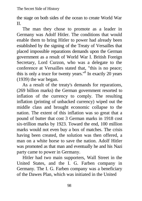The Secret Side of History

the stage on both sides of the ocean to create World War  $II$ .

The man they chose to promote as a leader in Germany was Adolf Hitler. The conditions that would enable them to bring Hitler to power had already been established by the signing of the Treaty of Versailles that placed impossible reparations demands upon the German government as a result of World War I. British Foreign Secretary, Lord Curzon, who was a delegate to the conference at Versailles stated that, "this is no peace; this is only a truce for twenty years."<sup>8</sup> In exactly 20 years (1939) the war began.

As a result of the treaty's demands for reparations, (269 billion marks) the German government resorted to inflation of the currency to comply. The resulting inflation (printing of unbacked currency) wiped out the middle class and brought economic collapse to the nation. The extent of this inflation was so great that a pound of butter that cost 3 German marks in 1918 cost six-trillion marks by 1923. Toward the end, 100 million marks would not even buy a box of matches. The crisis having been created, the solution was then offered, a man on a white horse to save the nation. Adolf Hitler was promoted as that man and eventually he and his Nazi party came to power in Germany.

Hitler had two main supporters, Wall Street in the United States, and the I. G. Farben company in Germany. The I. G. Farben company was a beneficiary of the Dawes Plan, which was initiated in the United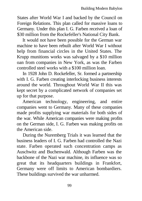States after World War I and backed by the Council on Foreign Relations. This plan called for massive loans to Germany. Under this plan I. G. Farben received a loan of \$30 million from the Rockefeller's National City Bank.

It would not have been possible for the German war machine to have been rebuilt after World War I without help from financial circles in the United States. The Krupp munitions works was salvaged by a \$10 million oan from companies in New York, as was the Farben controlled steel works with a \$100 million loan.

In 1928 John D. Rockefeller, Sr. formed a partnership with I. G. Farben creating interlocking business interests around the world. Throughout World War II this was kept secret by a complicated network of companies set up for that purpose.

American technology, engineering, and entire companies went to Germany. Many of these companies made profits supplying war materials for both sides of the war. While American companies were making profits on the German side, I. G. Farben was making profits on the American side.

During the Nuremberg Trials it was learned that the business leaders of I. G. Farben had controlled the Nazi state. Farben operated such concentration camps as Auschwitz and Buchenwald. Although Farben was the backbone of the Nazi war machine, its influence was so great that its headquarters buildings in Frankfort, Germany were off limits to American bombardiers. These buildings survived the war unharmed.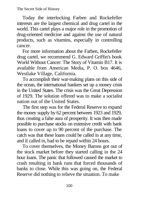Today the interlocking Farben and Rockefeller interests are the largest chemical and drug cartel in the world. This cartel plays a major role in the promotion of drug-oriented medicine and against the use of natural products, such as vitamins, especially in controlling cancer.

For more information about the Farben, Rockefeller drug cartel, we recommend G. Edward Griffin's book World Without Cancer: The Story of Vitamin B17. It is available from American Media, P. O. box 4646, Westlake Village, California.

To accomplish their war-making plans on this side of the ocean, the international bankers set up a money crisis in the United States. The crisis was the Great Depression of 1929. The solution offered was to make a socialist nation out of the United States.

The first step was for the Federal Reserve to expand the money supply by 62 percent between 1923 and 1929, thus creating a false aura of prosperity. It was then made possible to purchase stocks on extensive credit with bank loans to cover up to 90 percent of the purchase. The catch was that these loans could be called in at any time, and if called in, had to be repaid within 24 hours.

To cover themselves, the Money Barons got out of the stock market before they started calling in the 24 hour loans. The panic that followed caused the market to crash resulting in bank runs that forced thousands of banks to close. While this was going on, the Federal Reserve did nothing to relieve the situation. To make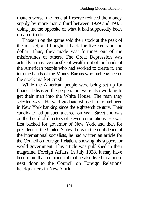matters worse, the Federal Reserve reduced the money supply by more than a third between 1929 and 1933, doing just the opposite of what it had supposedly been created to do.

Those in on the game sold their stock at the peak of the market, and bought it back for five cents on the dollar. Thus, they made vast fortunes out of the misfortunes of others. The Great Depression was actually a massive transfer of wealth, out of the hands of the American people who had worked to create it, and into the hands of the Money Barons who had engineered the stock market crash.

While the American people were being set up for financial disaster, the perpetrators were also working to get their man into the White House. The man they selected was a Harvard graduate whose family had been in New York banking since the eighteenth century. Their candidate had pursued a career on Wall Street and was on the board of directors of eleven corporations. He was first backed for governor of New York and then for president of the United States. To gain the confidence of the international socialists, he had written an article for the Council on Foreign Relations showing his support for world government. This article was published in their magazine, Foreign Affairs, in July 1928. It may have been more than coincidental that he also lived in a house next door to the Council on Foreign Relations' headquarters in New York.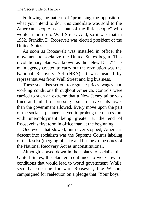The Secret Side of History

Following the pattern of "promising the opposite of what you intend to do," this candidate was sold to the American people as "a man of the little people" who would stand up to Wall Street. And, so it was that in 1932, Franklin D. Roosevelt was elected president of the United States.

As soon as Roosevelt was installed in office, the movement to socialize the United States began. This revolutionary plan was known as the "New Deal." The main agency created to carry out the revolution was the National Recovery Act (NRA). It was headed by representatives from Wall Street and big business.

These socialists set out to regulate prices, wages, and working conditions throughout America. Controls were carried to such an extreme that a New Jersey tailor was fined and jailed for pressing a suit for five cents lower than the government allowed. Every move upon the part of the socialist planners served to prolong the depression, with unemployment being greater at the end of Roosevelt's first term in office than at the beginning.

One event that slowed, but never stopped, America's descent into socialism was the Supreme Court's labeling of the fascist (merging of state and business) measures of the National Recovery Act as unconstitutional.

Although slowed down in their plans to socialize the United States, the planners continued to work toward conditions that would lead to world government. While secretly preparing for war, Roosevelt, like Wilson, campaigned for reelection on a pledge that "Your boys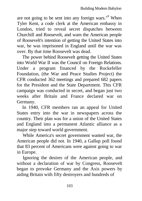are not going to be sent into any foreign wars."<sup>9</sup> When Tyler Kent, a code clerk at the American embassy in London, tried to reveal secret dispatches between Churchill and Roosevelt, and warn the American people of Roosevelt's intention of getting the United States into war, he was imprisoned in England until the war was over. By that time Roosevelt was dead.

The power behind Roosevelt getting the United States into World War II was the Council on Foreign Relations. Under a program financed by the Rockefeller Foundation, (the War and Peace Studies Project) the CFR conducted 362 meetings and prepared 682 papers for the President and the State Department. This CFR campaign was conducted in secret, and began just two weeks after Britain and France declared war on Germany.

In 1940, CFR members ran an appeal for United States entry into the war in newspapers across the country. Their plan was for a union of the United States and England into a permanent Atlantic alliance as a major step toward world government.

While America's secret government wanted war, the American people did not. In 1940, a Gallup poll found that 83 percent of Americans were against going to war in Europe.

Ignoring the desires of the American people, and without a declaration of war by Congress, Roosevelt began to provoke Germany and the Axis powers by aiding Britain with fifty destroyers and hundreds of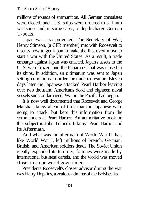millions of rounds of ammunition. All German consulates were closed, and U. S. ships were ordered to sail into war zones and, in some cases, to depth-charge German U-boats.

Japan was also provoked. The Secretary of War, Henry Stimson, (a CFR member) met with Roosevelt to discuss how to get Japan to make the first overt move to start a war with the United States. As a result, a trade embargo against Japan was enacted, Japan's assets in the U. S. were frozen, and the Panama Canal was closed to its ships. In addition, an ultimatum was sent to Japan setting conditions in order for trade to resume. Eleven days later the Japanese attacked Pearl Harbor leaving over two thousand Americans dead and eighteen naval vessels sunk or damaged. War in the Pacific had begun.

It is now well documented that Roosevelt and George Marshall knew ahead of time that the Japanese were going to attack, but kept this information from the commanders at Pearl Harbor. An authoritative book on this subject is John Toland's Infamy: Pearl Harbor and Its Aftermath.

And what was the aftermath of World War II that, like World War I, left millions of French, German, British, and American soldiers dead? The Soviet Union greatly expanded its territory, fortunes were made by international business cartels, and the world was moved closer to a one world government.

Presidents Roosevelt's closest advisor during the war was Harry Hopkins, a zealous admirer of the Bolsheviks.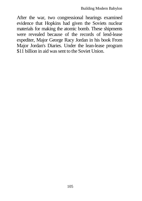After the war, two congressional hearings examined evidence that Hopkins had given the Soviets nuclear materials for making the atomic bomb. These shipments were revealed because of the records of lend-lease expediter, Major George Racy Jordan in his book From Major Jordan's Diaries. Under the lean-lease program \$11 billion in aid was sent to the Soviet Union.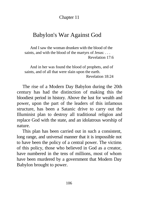## Chapter 11

# Babylon's War Against God

And I saw the woman drunken with the blood of the saints, and with the blood of the martyrs of Jesus: ... Revelation 17:6

And in her was found the blood of prophets, and of saints, and of all that were slain upon the earth. Revelation 18:24

The rise of a Modern Day Babylon during the 20th century has had the distinction of making this the bloodiest period in history. Above the lust for wealth and power, upon the part of the leaders of this infamous structure, has been a Satanic drive to carry out the Illuminist plan to destroy all traditional religion and replace God with the state, and an idolatrous worship of nature.

This plan has been carried out in such a consistent, long range, and universal manner that it is impossible not to have been the policy of a central power. The victims of this policy, those who believed in God as a creator, have numbered in the tens of millions, most of whom have been murdered by a government that Modern Day Babylon brought to power.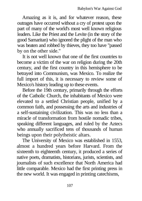Amazing as it is, and for whatever reason, these outrages have occurred without a cry of protest upon the part of many of the world's most well known religious leaders. Like the Priest and the Levite (in the story of the good Samaritan) who ignored the plight of the man who was beaten and robbed by thieves, they too have "passed by on the other side."

It is not well known that one of the first countries to become a victim of the war on religion during the 20th century, and the first country in this hemisphere to be betrayed into Communism, was Mexico. To realize the full import of this, it is necessary to review some of Mexico's history leading up to these events.

Before the 19th century, primarily through the efforts of the Catholic Church, the inhabitants of Mexico were elevated to a settled Christian people, unified by a common faith, and possessing the arts and industries of a self-sustaining civilization. This was no less than a miracle of transformation from hostile nomadic tribes, speaking different languages, and ruled by the Aztecs who annually sacrificed tens of thousands of human beings upon their polytheistic altars.

The University of Mexico was established in 1553, almost a hundred years before Harvard. From the sixteenth to eighteenth century, it produced a series of native poets, dramatists, historians, jurists, scientists, and journalists of such excellence that North America had little comparable. Mexico had the first printing press in the new world. It was engaged in printing catechisms,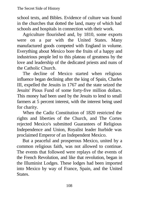school texts, and Bibles. Evidence of culture was found in the churches that dotted the land, many of which had schools and hospitals in connection with their work.

Agriculture flourished and, by 1810, some exports were on a par with the United States. Many manufactured goods competed with England in volume. Everything about Mexico bore the fruits of a happy and industrious people led to this plateau of greatness by the love and leadership of the dedicated priests and nuns of the Catholic Church.

The decline of Mexico started when religious influence began declining after the king of Spain, Charles III, expelled the Jesuits in 1767 and the state seized the Jesuits' Pious Fund of some forty-five million dollars. This money had been used by the Jesuits to lend to small farmers at 5 percent interest, with the interest being used for charity.

When the Cadiz Constitution of 1820 restricted the rights and liberties of the Church, and The Cortes rejected Mexico's submitted Guarantees of Religious Independence and Union, Royalist leader Iturbide was proclaimed Emperor of an Independent Mexico.

But a peaceful and prosperous Mexico, united by a common religious faith, was not allowed to continue. The events that followed were replays of the events of the French Revolution, and like that revolution, began in the Illuminist Lodges. These lodges had been imported into Mexico by way of France, Spain, and the United **States**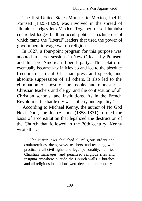The first United States Minister to Mexico, Joel R. Poinsett (1825-1829), was involved in the spread of Illuminist lodges into Mexico. Together, these Illuminist controlled lodges built an occult political machine out of which came the "liberal" leaders that used the power of government to wage war on religion.

In 1827, a four-point program for this purpose was adopted in secret sessions in New Orleans by Poinsett and his pro-American liberal party. This platform eventually became law in Mexico and led to the absolute freedom of an anti-Christian press and speech, and absolute suppression of all others. It also led to the elimination of most of the monks and monasteries, Christian teachers and clergy, and the confiscation of all Christian schools, and institutions. As in the French Revolution, the battle cry was "liberty and equality."

According to Michael Kenny, the author of No God Next Door, the Juarez code (1858-1871) formed the basis of a constitution that legalized the destruction of the Church that followed in the 20th century. Kenny wrote that:

The Juarez laws abolished all religious orders and confraternities, dress, vows, teachers, and teaching, with practically all civil rights and legal personality; nullified Christian marriages, and penalized religious rites and insignia anywhere outside the Church walls. Churches and all religious institutions were declared the property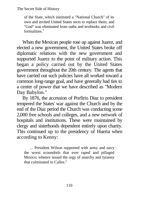of the State, which instituted a "National Church" of its own and invited United States sects to replace them; and "God" was eliminated from oaths and textbooks and civil  $formalities<sup>1</sup>$ 

When the Mexican people rose up against Juarez, and elected a new government, the United States broke off diplomatic relations with the new government and supported Juarez to the point of military action. This began a policy carried out by the United States government throughout the 20th century. The agents that have carried out such policies have all worked toward a common long-range goal, and have generally had ties to a center of power that we have described as "Modern Day Babylon."

By 1876, the accession of Porfirio Diaz to president tempered the States' war against the Church and by the end of the Diaz period the Church was conducting some 2,000 free schools and colleges, and a new network of hospitals and institutions. These were maintained by clergy and sisterhoods dependent entirely upon charity. This continued up to the presidency of Huerta when according to Kenny:

... President Wilson supported with army and navy the worst scoundrels that ever raped and pillaged Mexico; whence issued the orgy of anarchy and tyranny that culminated in Calles. $<sup>2</sup>$ </sup>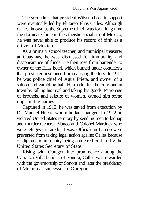The scoundrels that president Wilson chose to support were eventually led by Plutareo Elias Calles. Although Calles, known as the Supreme Chief, was for a long time the dominate force in the atheistic socialism of Mexico, he was never able to produce his record of birth as a citizen of Mexico.

As a primary school teacher, and municipal treasurer at Guaymas, he was dismissed for immorality and disappearance of funds. He then rose from bartender to owner of the Elias hotel, which burned under conditions that prevented insurance from carrying the loss. In 1911 he was police chief of Agua Prieta, and owner of a saloon and gambling hall. He made this the only one in town by killing his rival and taking his goods. Patronage of brothels, and seizure of women, earned him some unprintable names.

Captured in 1912, he was saved from execution by Dr. Manuel Huerta whom he later hanged. In 1922 he violated United States territory by sending men to kidnap and murder General Blanco and Colonel Martinez who were refuges in Laredo, Texas. Officials in Laredo were prevented from taking legal action against Calles because of diplomatic immunity being conferred on him by the United States Secretary of State.

Rising with Obregon into prominence among the Carranza-Villa bandits of Sonora, Calles was rewarded with the governorship of Sonora and later the presidency of Mexico as successor to Obregon.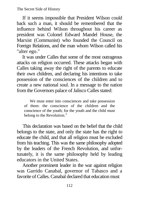If it seems impossible that President Wilson could back such a man, it should be remembered that the influence behind Wilson throughout his career as president was Colonel Edward Mandel House, the Marxist (Communist) who founded the Council on Foreign Relations, and the man whom Wilson called his "alter ego."

It was under Calles that some of the most outrageous attacks on religion occurred. These attacks began with Calles taking away the right of the parents to educate their own children, and declaring his intentions to take possession of the consciences of the children and to create a new national soul. In a message to the nation from the Governors palace of Jalisco Calles stated:

We must enter into consciences and take possession of them: the conscience of the children and the conscience of the youth; for the youth and the child must belong to the Revolution. $3$ 

This declaration was based on the belief that the child belongs to the state, and only the state has the right to educate the child, and that all religion must be excluded from his teaching. This was the same philosophy adopted by the leaders of the French Revolution, and unfortunately, it is the same philosophy held by leading educators in the United States.

Another prominent leader in the war against religion was Garrido Canabal, governor of Tabasco and a favorite of Calles. Canabal declared that education must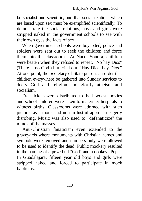be socialist and scientific, and that social relations which are based upon sex must be exemplified scientifically. To demonstrate the social relations, boys and girls were stripped naked in the government schools to see with their own eyes the facts of sex.

When government schools were boycotted, police and soldiers were sent out to seek the children and force them into the classrooms. At Naco, Sonora, children were beaten when they refused to repeat, "No hay Dios" (There is no God.) but cried out, "Hay Dios, hay Dios." At one point, the Secretary of State put out an order that children everywhere be gathered into Sunday services to decry God and religion and glorify atheism and socialism.

Free tickets were distributed to the lewdest movies and school children were taken to maternity hospitals to witness births. Classrooms were adorned with such pictures as a monk and nun in lustful approach eagerly disrobing. Music was also used to "defanaticize" the minds of the masses.

Anti-Christian fanaticism even extended to the graveyards where monuments with Christian names and symbols were removed and numbers only were allowed to be used to identify the dead. Public mockery resulted in the naming of a prize bull "God" and a donkey "Pope." In Guadalajara, fifteen year old boys and girls were stripped naked and forced to participate in mock baptisms.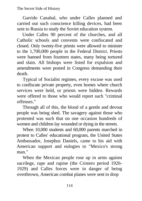Garrido Canabal, who under Calles planned and carried out such conscience killing devices, had been sent to Russia to study the Soviet education system.

Under Calles 90 percent of the churches, and all Catholic schools and convents were confiscated and closed. Only twenty-five priests were allowed to minister to the 1,700,000 people in the Federal District. Priests were banned from fourteen states, many being tortured and slain. All bishops were listed for expulsion and amendments were posted in Congress demanding their death.

Typical of Socialist regimes, every excuse was used to confiscate private property, even homes where church services were held, or priests were hidden. Rewards were offered to those who would report such "criminal offenses."

Through all of this, the blood of a gentle and devout people was being shed. The savagery against those who protested was such that on one occasion hundreds of women and children lay wounded or dying in the streets.

When 10,000 students and 60,000 parents marched in protest to Calles' educational program, the United States Ambassador, Josephus Daniels, came to his aid with American support and eulogies to "Mexico's strong man."

When the Mexican people rose up in arms against sacrilege, rape and rapine (the Cristero period 1926- 1929) and Calles forces were in danger of being overthrown, American combat planes were sent to drop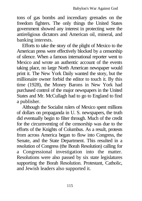tons of gas bombs and incendiary grenades on the freedom fighters. The only things the United States government showed any interest in protecting were the antireligious dictators and American oil, mineral, and banking interests.

Efforts to take the story of the plight of Mexico to the American press were effectively blocked by a censorship of silence. When a famous international reporter went to Mexico and wrote an authentic account of the events taking place, no large North American newspaper would print it. The New York Daily wanted the story, but the millionaire owner forbid the editor to touch it. By this time (1928), the Money Barons in New York had purchased control of the major newspapers in the United States and Mr. McCullagh had to go to England to find a publisher.

Although the Socialist rulers of Mexico spent millions of dollars on propaganda in U. S. newspapers, the truth did eventually begin to filter through. Much of the credit for the circumventing of the censorship was due to the efforts of the Knights of Columbus. As a result, protests from across America began to flow into Congress, the Senate, and the State Department. This resulted in a resolution of Congress (the Borah Resolution) calling for a Congressional investigation into the matter. Resolutions were also passed by six state legislatures supporting the Borah Resolution. Protestant, Catholic, and Jewish leaders also supported it.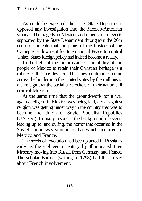As could be expected, the U. S. State Department opposed any investigation into the Mexico-American scandal. The tragedy in Mexico, and other similar events supported by the State Department throughout the 20th century, indicate that the plans of the trustees of the Carnegie Endowment for International Peace to control United States foreign policy had indeed become a reality.

In the light of the circumstances, the ability of the people of Mexico to retain their Christian heritage is a tribute to their civilization. That they continue to come across the border into the United states by the millions is a sure sign that the socialist wreckers of their nation still control Mexico.

At the same time that the ground-work for a war against religion in Mexico was being laid, a war against religion was getting under way in the country that was to become the Union of Soviet Socialist Republics (U.S.S.R.). In many respects, the background of events leading up to, and during, the horror that occurred in the Soviet Union was similar to that which occurred in Mexico and France.

The seeds of revolution had been planted in Russia as early as the eighteenth century by Illuminated Free Masonry moving into Russia from Germany and France. The scholar Barruel (writing in 1798) had this to say about French involvement: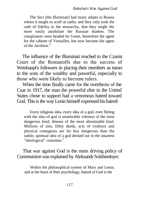The Sect (the Illuminati) had many adepts in Russia whom it taught to scoff at oaths; and they only took the oath of fidelity to the monarchy, that they might the more easily annihilate the Russian diadem. The conspirators were headed by Genet, heretofore the agent for the cabinet of Versailles, but now become the agent of the Jacobins.<sup>4</sup>

The influence of the Illuminati reached to the Czarist Court of the Romanoffs due to the success of Weishaupt's followers in placing their members as tutors to the sons of the wealthy and powerful, especially to those who were likely to become rulers.

When the time finally came for the overthrow of the Czar in 1917, the man the powerful elite in the United States chose to support had a venomous hatred toward God. This is the way Lenin himself expressed his hatred:

Every religious idea, every idea of a god, even flirting with the idea of god is unutterable vileness of the most dangerous kind, disease of the most abominable kind. Millions of sins, filthy deeds, acts of violence and physical contagions are far less dangerous than the subtle, spiritual idea of a god decked out in the smartest "ideological" costumes.<sup>5</sup>

That war against God is the main driving policy of Communism was explained by Aleksandr Solzhenitsyn:

Within the philosophical system of Marx and Lenin, and at the heart of their psychology, hatred of God is the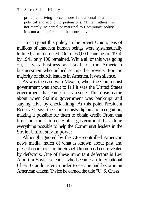principal driving force, more fundamental than their political and economic pretensions. Militant atheism is not merely incidental or marginal to Communist policy; it is not a side effect, but the central pivot. $<sup>6</sup>$ </sup>

To carry out this policy in the Soviet Union, tens of millions of innocent human beings were systematically tortured, and murdered. Out of 60,000 churches in 1914, by 1941 only 100 remained. While all of this was going on, it was business as usual for the American businessmen who helped set up the Soviets. For the majority of church leaders in America, it was silence.

As was the case with Mexico, when the Communist government was about to fall it was the United States government that came to its rescue. This crisis came about when Stalin's government was bankrupt and staying alive by check kiting. At this point President Roosevelt gave the Communists diplomatic recognition, making it possible for them to obtain credit. From that time on the United States government has done everything possible to help the Communist leaders in the Soviet Union stay in power.

Although ignored by the CFR-controlled American news media, much of what is known about past and present conditions in the Soviet Union has been revealed by defectors. One of these important defectors is Lev Alburt, a Soviet scientist who became an International Chess Grandmaster in order to escape and become an American citizen. Twice he earned the title "U. S. Chess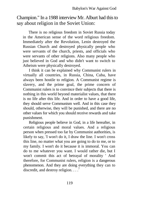# Champion." In a 1988 interview Mr. Alburt had this to say about religion in the Soviet Union:

There is no religious freedom in Soviet Russia today in the American sense of the word religious freedom. Immediately after the Revolution, Lenin destroyed the Russian Church and destroyed physically people who were servants of the church, priests, and officials who were servants of other religions. Also many people who just believed in God and who didn't want to switch to Atheism were physically destroyed.

I think it can be explained why Communist rulers in virtually all countries, in Russia, China, Cuba, have always been hostile to religion. A Communist regime is slavery, and the prime goal, the prime concern of Communist rulers is to convince their subjects that there is nothing in this world beyond materialist values, that there is no life after this life. And in order to have a good life, they should serve Communism well. And in this case they should, otherwise, they will be punished, and there are no other values for which you should receive rewards and take punishment.

Religious people believe in God, in a life hereafter, in certain religious and moral values. And a religious person when pressed too far by Communist authorities, is likely to say, 'I won't do it, I draw the line. I won't cross this line, no matter what you are going to do to me, or to my family. I won't do it because it is immoral. You can do to me whatever you want. I would rather die, but I won't commit this act of betrayal of morality ' And therefore, for Communist rulers, religion is a dangerous phenomenon. And they are doing everything they can to discredit, and destroy religion.  $\frac{7}{10}$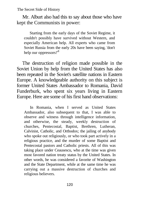Mr. Alburt also had this to say about those who have kept the Communists in power:

Starting from the early days of the Soviet Regime, it couldn't possibly have survived without Western, and especially American help. All experts who came from Soviet Russia from the early 20s have been saying, 'don't help our oppressors!<sup>8</sup>

The destruction of religion made possible in the Soviet Union by help from the United States has also been repeated in the Soviet's satellite nations in Eastern Europe. A knowledgeable authority on this subject is former United States Ambassador to Romania, David Funderburk, who spent six years living in Eastern Europe. Here are some of his first hand observations:

In Romania, when I served as United States Ambassador, also subsequent to that, I was able to observe and witness through intelligence information, and otherwise, the steady, weekly destruction of churches, Pentecostal, Baptist, Brethren, Lutheran, Calvinist, Catholic, and Orthodox; the jailing of anybody who spoke out religiously, or who took part actively in a religious practice, and the murder of some Baptist and Pentecostal pastors and Catholic priests. All of this was taking place under Ceausescu, who at the time was given most favored nation treaty status by the United States. In other words, he was considered a favorite of Washington and the State Department, while at the same time he was carrying out a massive destruction of churches and religious believers.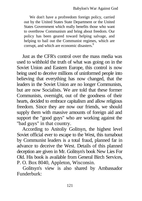We don't have a profreedom foreign policy, carried out by the United States State Department or the United States Government which really benefits those who want to overthrow Communism and bring about freedom. Our policy has been geared toward helping salvage, and helping to bail out the Communist regimes, which are corrupt, and which are economic disasters.<sup>9</sup>

Just as the CFR's control over the mass media was used to withhold the truth of what was going on in the Soviet Union and Eastern Europe, this control is now being used to deceive millions of uninformed people into believing that everything has now changed, that the leaders in the Soviet Union are no longer Communists, but are now Socialists. We are told that these former Communists, overnight, out of the goodness of their hearts, decided to embrace capitalism and allow religious freedom. Since they are now our friends, we should supply them with massive amounts of foreign aid and support the "good guys" who are working against the "bad guys" in that country.

According to Anitoliy Golitsyn, the highest level Soviet official ever to escape to the West, this turnabout by Communist leaders is a total fraud, planned far in advance to deceive the West. Details of this planned deception are given in Mr. Golitsyn's book New Lies For Old. His book is available from General Birch Services, P. O. Box 8040, Appleton, Wisconsin.

Golitsyn's view is also shared by Ambassador Funderburk: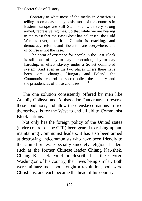Contrary to what most of the media in America is telling us on a day to day basis, most of the countries in Eastern Europe are still Stalinistic, with very strong armed, repressive regimes. So that while we are hearing in the West that the East Block has collapsed, the Cold War is over, the Iron Curtain is cracking, and democracy, reform, and liberalism are everywhere, this of course is not the case.

The norm of existence for people in the East Block is still one of day to day persecution, day to day hardship, in effect slavery under a Soviet dominated system. And even in the two places where there have been some changes, Hungary and Poland, the Communists control the secret police, the military, and the presidencies of those countries,...<sup>10</sup>

The one solution consistently offered by men like Anitoliy Golitsyn and Ambassador Funderburk to reverse these conditions, and allow these enslaved nations to free themselves, is for the West to end all aid to Communist Block nations.

Not only has the foreign policy of the United states (under control of the CFR) been geared to raising up and maintaining Communist leaders, it has also been aimed at destroying anticommunists who have been friendly to the United States, especially sincerely religious leaders such as the former Chinese leader Chiang Kai-shek. Chiang Kai-shek could be described as the George Washington of his country, their lives being similar. Both were military men, both fought a revolution, both were Christians, and each became the head of his country.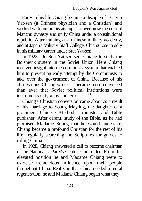Early in his life Chiang became a disciple of Dr. Sun Yat-sen (a Chinese physician and a Christian) and worked with him in his attempts to overthrow the corrupt Manchu dynasty and unify China under a constitutional republic. After training at a Chinese military academy, and at Japan's Military Staff College, Chiang rose rapidly in his military career under Sun Yat-sen.

In 1923, Dr. Sun Yat-sen sent Chiang to study the Bolshevik system in the Soviet Union. Here Chiang received insight into the communist system that enabled him to prevent an early attempt by the Communists to take over the government of China. Because of his observations Chiang wrote, "I became more convinced than ever that Soviet political institutions were instruments of tyranny and terror. . . . "<sup>11</sup>

Chiang's Christian conversion came about as a result of his marriage to Soong Mayling, the daughter of a prominent Chinese Methodist minister and Bible publisher. After careful study of the Bible, as he had promised Madame Soong that he would undertake, Chiang became a profound Christian for the rest of his life, regularly searching the Scriptures for guides to ruling China.

In 1928, Chiang answered a call to become chairman of the Nationalist Party's Central Committee. From this elevated position he and Madame Chiang were to exercise tremendous influence upon their people throughout China. Realizing that China needed a moral regeneration, he and Madame Chiang began what they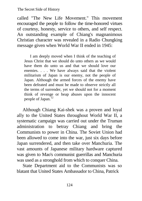called "The New Life Movement" This movement encouraged the people to follow the time-honored virtues of courtesy, honesty, service to others, and self respect. An outstanding example of Chiang's magnanimous Christian character was revealed in a Radio Chungking message given when World War II ended in 1945:

I am deeply moved when I think of the teaching of Jesus Christ that we should do unto others as we would have them do unto us and that we should love our enemies. . . . We have always said that the violent militarism of Japan is our enemy, not the people of Japan. Although the armed forces of the enemy have been defeated and must be made to observe strictly all the terms of surrender, yet we should not for a moment think of revenge or heap abuses upon the innocent people of Japan.<sup>12</sup>

Although Chiang Kai-shek was a proven and loyal ally to the United States throughout World War II, a systematic campaign was carried out under the Truman administration to betray Chiang and bring the Communists to power in China. The Soviet Union had been allowed to come into the war, just six days before Japan surrendered, and then take over Manchuria. The vast amounts of Japanese military hardware captured was given to Mao's communist guerrillas and Manchuria was used as a stronghold from which to conquer China.

State Department aid to the Communists was so blatant that United States Ambassador to China, Patrick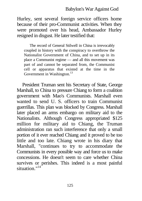#### Babylon's War Against God

Hurley, sent several foreign service officers home because of their pro-Communist activities. When they were promoted over his head, Ambassador Hurley resigned in disgust. He later testified that:

The record of General Stilwell in China is irrevocably coupled in history with the conspiracy to overthrow the Nationalist Government of China, and to set up in its place a Communist regime — and all this movement was part of and cannot be separated from, the Communist cell or apparatus that existed at the time in the Government in Washington.<sup>13</sup>

President Truman sent his Secretary of State, George Marshall, to China to pressure Chiang to form a coalition government with Mao's Communists. Marshall even wanted to send U. S. officers to train Communist guerrillas. This plan was blocked by Congress. Marshall later placed an arms embargo on military aid to the Nationalists. Although Congress appropriated \$125 million for military aid to Chiang, the Truman administration ran such interference that only a small portion of it ever reached Chiang and it proved to be too little and too late. Chiang wrote in his diary that Marshall, "continues to try to accommodate the Communists in every possible way and force us to make concessions. He doesn't seem to care whether China survives or perishes. This indeed is a most painful situation."<sup>14</sup>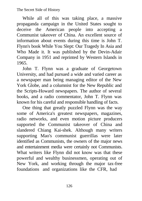While all of this was taking place, a massive propaganda campaign in the United States sought to deceive the American people into accepting a Communist takeover of China. An excellent source of information about events during this time is John T. Flynn's book While You Slept: Our Tragedy In Asia and Who Made it. It was published by the Devin-Adair Company in 1951 and reprinted by Western Islands in 1965.

John T. Flynn was a graduate of Georgetown University, and had pursued a wide and varied career as a newspaper man being managing editor of the New York Globe, and a columnist for the New Republic and the Scripts-Howard newspapers. The author of several books, and a radio commentator, John T. Flynn was known for his careful and responsible handling of facts.

One thing that greatly puzzled Flynn was the way some of America's greatest newspapers, magazines, radio networks, and even motion picture producers supported the Communist takeover of China and slandered Chiang Kai-shek. Although many writers supporting Mao's communist guerrillas were later identified as Communists, the owners of the major news and entertainment media were certainly not Communists. What writers like Flynn did not know was that these powerful and wealthy businessmen, operating out of New York, and working through the major tax-free foundations and organizations like the CFR, had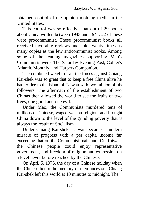obtained control of the opinion molding media in the United States.

This control was so effective that out of 29 books about China written between 1943 and 1944, 22 of these were procommunist. These procommunist books all received favorable reviews and sold twenty times as many copies as the few anticommunist books. Among some of the leading magazines supporting Mao's Communists were: The Saturday Evening Post, Collier's Atlantic Monthly, and Harpers Companion.

The combined weight of all the forces against Chiang Kai-shek was so great that to keep a free China alive he had to flee to the island of Taiwan with two million of his followers. The aftermath of the establishment of two Chinas then allowed the world to see the fruits of two trees, one good and one evil.

Under Mao, the Communists murdered tens of millions of Chinese, waged war on religion, and brought China down to the level of the grinding poverty that is always the result of Socialism.

Under Chiang Kai-shek, Taiwan became a modern miracle of progress with a per capita income far exceeding that on the Communist mainland. On Taiwan, the Chinese people could enjoy representative government, and freedom of religion and expression on a level never before reached by the Chinese.

On April 5, 1975, the day of a Chinese holiday when the Chinese honor the memory of their ancestors, Chiang Kai-shek left this world at 10 minutes to midnight. The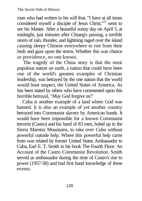man who had written in his will that, "I have at all times considered myself a disciple of Jesus Christ,"<sup>15</sup> went to see his Master. After a beautiful sunny day on April 5, at midnight, just minutes after Chiang's passing, a terrible storm of rain, thunder, and lightning raged over the island causing sleepy Chinese everywhere to rise from their beds and gaze upon the storm. Whether this was chance or providence, no one knows.

The tragedy of the China story is that the most populous nation on earth, a nation that could have been one of the world's greatest examples of Christian leadership, was betrayed by the one nation that the world would least suspect, the United States of America. As has been stated by others who have commented upon this horrible betrayal, "May God forgive us!"

Cuba is another example of a land where God was banned. It is also an example of yet another country betrayed into Communist slavery by American hands. It would have been impossible for a known Communist terrorist (Castro) and his band of 83 men, holed up in the Sierra Maestra Mountains, to take over Cuba without powerful outside help. Where this powerful help came from was related by former United States Ambassador to Cuba, Earl E. T. Smith in his book The Fourth Floor: An Account of the Castro Communist Revolution. Smith served as ambassador during the time of Castro's rise to power (1957-58) and had first hand knowledge of these events.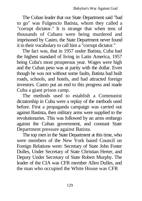The Cuban leader that our State Department said "had to go" was Fulgencio Batista, whom they called a "corrupt dictator." It is strange that when tens of thousands of Cubans were being murdered and imprisoned by Castro, the State Department never found it in their vocabulary to call him a "corrupt dictator."

The fact was, that in 1957 under Batista, Cuba had the highest standard of living in Latin America, 1957 being Cuba's most prosperous year. Wages were high and the Cuban peso was at parity with the dollar. Even though he was not without some faults, Batista had built roads, schools, and hotels, and had attracted foreign investors. Castro put an end to this progress and made Cuba a giant prison camp.

The methods used to establish a Communist dictatorship in Cuba were a replay of the methods used before. First a propaganda campaign was carried out against Bastista, then military arms were supplied to the revolutionaries. This was followed by an arms embargo against the Cuban government, and constant State Department pressure against Batista.

The top men in the State Department at this time, who were members of the New York based Council on Foreign Relations were: Secretary of State John Foster Dulles, Under Secretary of State Christian Herter, and Deputy Under Secretary of State Robert Murphy. The leader of the CIA was CFR member Allen Dulles, and the man who occupied the White House was CFR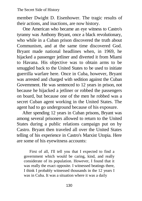member Dwight D. Eisenhower. The tragic results of their actions, and inactions, are now history.

One American who became an eye witness to Castro's tyranny was Anthony Bryant, once a black revolutionary, who while in a Cuban prison discovered the truth about Communism, and at the same time discovered God. Bryant made national headlines when, in 1969, he hijacked a passenger jetliner and diverted it from Miami to Havana. His objective was to obtain arms to be smuggled back to the United States to be used to initiate guerrilla warfare here. Once in Cuba, however, Bryant was arrested and charged with sedition against the Cuban Government. He was sentenced to 12 years in prison, not because he hijacked a jetliner or robbed the passengers on board, but because one of the men he robbed was a secret Cuban agent working in the United States. The agent had to go underground because of his exposure.

After spending 12 years in Cuban prisons, Bryant was among several prisoners allowed to return to the United States during a public relations campaign put on by Castro. Bryant then traveled all over the United States telling of his experience in Castro's Marxist Utopia. Here are some of his eyewitness accounts:

First of all, I'll tell you that I expected to find a government which would be caring, kind, and really considerate of its population. However, I found that it was really the exact opposite. I witnessed beatings there, I think I probably witnessed thousands in the 12 years I was in Cuba. It was a situation where it was a daily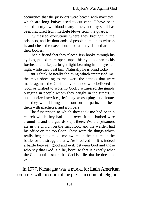occurrence that the prisoners were beaten with machetes, which are long knives used to cut cane. I have been bathed in my own blood many times, and my skull has been fractured from machete blows from the guards.

I witnessed executions where they brought in the prisoners, and let thousands of people come in to witness it, and cheer the executioners on as they danced around their bodies.

I had a friend that they placed fish hooks through his eyelids, pulled them open, taped his eyelids open to his forehead, and kept a bright light beaming in his eyes all night while they beat him. Naturally he is blind today.

But I think basically the thing which impressed me, the most shocking to me, were the attacks that were made against the Christians, or those who believed in God, or wished to worship God. I witnessed the guards bringing in people whom they caught in the streets, in unauthorized services, let's say worshiping in a home, and they would bring them out on the patio, and beat them with machetes, and iron bars.

The first prison to which they took me had been a church which they had taken over. It had barbed wire around it, and the guards slept there. We the prisoners ate in the church on the first floor, and the warden had his office on the top floor. These were the things which really began to make me aware of the nature of the battle, or the struggle that we're involved in. It is indeed a battle between good and evil; between God and those who say that God is a lie, because that is exactly what the Communists state, that God is a lie, that he does not  $exist$ <sup>15</sup>

In 1977, Nicaragua was a model for Latin American countries with freedom of the press, freedom of religion,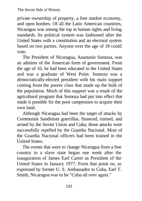private ownership of property, a free market economy, and open borders. Of all the Latin American countries, Nicaragua was among the top in human rights and living standards. Its political system was fashioned after the United States with a constitution and an electoral system based on two parties. Anyone over the age of 18 could vote.

The President of Nicaragua, Anastasio Somoza, was an admirer of the American form of government. From the age of 10, he had been educated in the United States and was a graduate of West Point. Somoza was a democratically-elected president with his main support coming from the poorer class that made up the bulk of the population. Much of this support was a result of the agricultural program that Somoza had put into effect that made it possible for the poor campesinos to acquire their own land.

Although Nicaragua had been the target of attacks by Communist Sandinista guerrillas, financed, trained, and armed by the Soviet Union and Cuba, those attacks were successfully repelled by the Guardia Nacional. Most of the Guardia Nacional officers had been trained in the United States.

The events that were to change Nicaragua from a free country to a slave state began one week after the inauguration of James Earl Carter as President of the United States in January 1977. From that point on, as expressed by former U. S. Ambassador to Cuba, Earl T. Smith, Nicaragua was to be "Cuba all over again."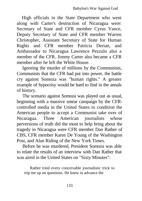High officials in the State Department who went along with Carter's destruction of Nicaragua were: Secretary of State and CFR member Cyrus Vance, Deputy Secretary of State and CFR member Warren Christopher, Assistant Secretary of State for Human Rights and CFR member Patricia Derian, and Ambassador to Nicaragua Lawrence Pezzulo also a member of the CFR. Jimmy Carter also became a CFR member after he left the White House.

Ignoring the murder of millions by the Communists, Communists that the CFR had put into power, the battle cry against Somoza was "human rights." A greater example of hypocrisy would be hard to find in the annals of history.

The scenario against Somoza was played out as usual, beginning with a massive smear campaign by the CFRcontrolled media in the United States to condition the American people to accept a Communist take over of Nicaragua. Three American journalists whose perversions of truth did the most to help bring about the tragedy in Nicaragua were CFR member Dan Rather of CBS, CFR member Karen De Young of the Washington Post, and Alan Riding of the New York Times.

Before he was murdered, President Somoza was able to relate the results of an interview with Dan Rather that was aired in the United States on "Sixty Minutes":

Rather tried every conceivable journalistic trick to trip me up on questions. He knew in advance the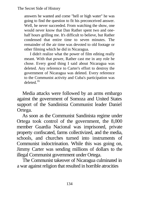answers he wanted and come "hell or high water" he was going to find the question to fit his preconceived answer. Well, he never succeeded. From watching the show, one would never know that Dan Rather spent two and onehalf hours grilling me. It's difficult to believe, but Rather condensed that entire time to seven minutes. The remainder of the air time was devoted to old footage or other filming which he did in Nicaragua.

I didn't realize what the power of film editing really meant. With that power, Rather cast me in any role he chose. Every good thing I said about Nicaragua was deleted. Any reference to Carter's effort to destroy the government of Nicaragua was deleted. Every reference to the Communist activity and Cuba's participation was deleted.<sup>16</sup>

Media attacks were followed by an arms embargo against the government of Somoza and United States support of the Sandinista Communist leader Daniel Ortega.

As soon as the Communist Sandinista regime under Ortega took control of the government, the 8,000 member Guardia Nacional was imprisoned, private property confiscated, farms collectivized, and the media, schools, and churches turned into instruments of Communist indoctrination. While this was going on, Jimmy Carter was sending millions of dollars to the illegal Communist government under Ortega.

The Communist takeover of Nicaragua culminated in a war against religion that resulted in horrible atrocities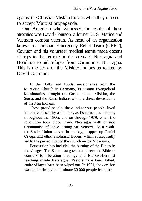against the Christian Miskito Indians when they refused to accept Marxist propaganda.

One American who witnessed the results of these atrocities was David Courson, a former U. S. Marine and Vietnam combat veteran. As head of an organization known as Christian Emergency Relief Team (CERT), Courson and his volunteer medical teams made dozens of trips to the remote border areas of Nicaragua and Honduras to aid refuges from Communist Nicaragua. This is the story of the Miskito Indians as related by David Courson:

In the 1840s and 1850s, missionaries from the Moravian Church in Germany, Protestant Evangelical Missionaries, brought the Gospel to the Miskito, the Suma, and the Rama Indians who are direct descendants of the Mia Indians.

These proud people, these industrious people, lived in relative obscurity as hunters, as fishermen, as farmers, throughout the 1800s and on through 1979, when the revolution took place inside Nicaragua with outside Communist influence ousting Mr. Somoza. As a result, the Soviet Union moved in quickly, propped up Daniel Ortega, and other Sandinista leaders, which subsequently led to the persecution of the church inside Nicaragua.

Persecution has included the burning of the Bibles in the villages. The Sandinista government sees the Bible as contrary to liberation theology and Marxist-Leninist teaching inside Nicaragua. Pastors have been killed, entire villages have been wiped out. In 1981, the decision was made simply to eliminate 60,000 people from the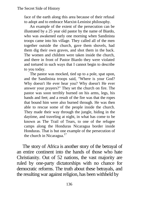face of the earth along this area because of their refusal to adopt and to embrace Marxist-Leninist philosophy.

An example of the extent of the persecution can be illustrated by a 25 year old pastor by the name of Biardo, who was awakened early one morning when Sandinista troops came into his village. They called all of the men together outside the church, gave them shovels, had them dig their own graves, and shot them in the back. The women and children were taken inside the church, and there in front of Pastor Biardo they were violated and tortured in such ways that I cannot begin to describe to you today.

The pastor was mocked, tied up to a pole, spat upon, and the Sandinista troops said, "Where is your God? Why doesn't He ever hear you? Why doesn't He ever answer your prayers?" They set the church on fire. The pastor was soon terribly burned on his arms, legs, his hands and feet; and a result of the fire was that the ropes that bound him were also burned through. He was then able to rescue some of the people inside the church. They made their way through the jungle, hiding in the daytime, and traveling at night, in what has come to be known as The Trail of Tears, to one of the refugee camps along the Honduras Nicaragua border inside Honduras. That is but one example of the persecution of the church in Nicaragua. $17$ 

The story of Africa is another story of the betrayal of an entire continent into the hands of those who hate Christianity. Out of 52 nations, the vast majority are ruled by one-party dictatorships with no chance for democratic reforms. The truth about these betrayals, and the resulting war against religion, has been withheld by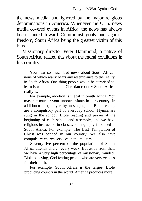the news media, and ignored by the major religious denominations in America. Whenever the U. S. news media covered events in Africa, the news has always been slanted toward Communist goals and against freedom, South Africa being the greatest victim of this bias.

Missionary director Peter Hammond, a native of South Africa, related this about the moral conditions in his country:

You hear so much bad news about South Africa, none of which really bears any resemblance to the reality in South Africa. One thing people would be surprised to learn is what a moral and Christian country South Africa really is.

For example, abortion is illegal in South Africa. You may not murder your unborn infants in our country. In addition to that, prayer, hymn singing, and Bible reading are a compulsory part of everyday school. Hymns are sung in the school, Bible reading and prayer at the beginning of each school and assembly, and we have religious instruction in classes. Pornography is banned in South Africa. For example, The Last Temptation of Christ was banned in our country. We also have compulsory church services in the military.

Seventy-five percent of the population of South Africa attends church every week. But aside from that, we have a very high percentage of missionary minded, Bible believing, God fearing people who are very zealous for their faith.

For example, South Africa is the largest Bible producing country in the world. America produces more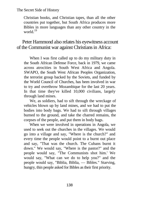Christian books, and Christian tapes, than all the other countries put together, but South Africa produces more Bibles in more languages than any other country in the world.<sup>19</sup>

## Peter Hammond also relates his eyewitness account of the Communist war against Christians in Africa:

When I was first called up to do my military duty in the South African Defense Force, back in 1979, we came across atrocities in South West Africa and Angola. SWAPO, the South West African Peoples Organization, the terrorist group backed by the Soviets, and funded by the World Council of Churches, has been involved in war to try and overthrow Mozambique for the last 20 years. In that time they've killed 10,000 civilians, largely through land mines.

We, as soldiers, had to sift through the wreckage of vehicles blown up by land mines, and we had to put the bodies into body bags. We had to sift through villages burned to the ground, and take the charred remains, the corpses of the people, and put them in body bags.

When we were involved in operations in Angola, we used to seek out the churches in the villages. We would go into a village and say, "Where is the church?" and every time the people would point to a burnt out place and say, "That was the church. The Cubans burnt it down." We would say, "Where is the pastor?" and the people would say, "The Communists shot him.' We would say, "What can we do to help you?" and the people would say, "Biblia, Biblia, — Bibles." Starving, hungry, thin people asked for Bibles as their first priority.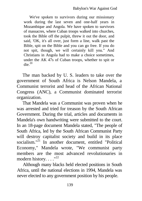We've spoken to survivors during our missionary work during the last seven and one-half years in Mozambique and Angola. We have spoken to survivors of massacres, where Cuban troops walked into churches, took the Bible off the pulpit, threw it out the door, and said, 'OK, it's all over, just form a line, walk past the Bible, spit on the Bible and you can go free. If you do not spit, though, we will certainly kill you." And Christians in Angola had to make a choice sometimes, under the AK 47s of Cuban troops, whether to spit or  $\overline{d}$ ie.<sup>20</sup>

The man backed by U. S. leaders to take over the government of South Africa is Nelson Mandela, a Communist terrorist and head of the African National Congress (ANC), a Communist dominated terrorist organization.

That Mandela was a Communist was proven when he was arrested and tried for treason by the South African Government. During the trial, articles and documents in Mandela's own handwriting were submitted to the court. In an 18-page document Mandela stated, "The people of South Africa, led by the South African Communist Party will destroy capitalist society and build in its place socialism."<sup>21</sup> In another document, entitled "Political Economy," Mandela wrote, "We communist party members are the most advanced revolutionaries in modern history...."<sup>22</sup>

Although many blacks held elected positions in South Africa, until the national elections in 1994, Mandela was never elected to any government position by his people.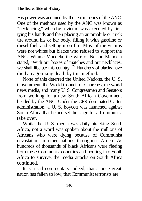His power was acquired by the terror tactics of the ANC. One of the methods used by the ANC was known as "necklacing," whereby a victim was executed by first tying his hands and then placing an automobile or truck tire around his or her body, filling it with gasoline or diesel fuel, and setting it on fire. Most of the victims were not whites but blacks who refused to support the ANC. Winnie Mandela, the wife of Nelson Mandela stated, "With our boxes of matches and our necklaces, we shall liberate this country."<sup>22</sup> Hundreds of blacks have died an agonizing death by this method.

None of this deterred the United Nations, the U. S. Government, the World Council of Churches, the world news media, and many U. S. Congressmen and Senators from working for a new South African Government headed by the ANC. Under the CFR-dominated Carter administration, a U. S. boycott was launched against South Africa that helped set the stage for a Communist take over.

While the U. S. media was daily attacking South Africa, not a word was spoken about the millions of Africans who were dying because of Communist devastation in other nations throughout Africa. As hundreds of thousands of black Africans were fleeing from these Communist countries and pouring into South Africa to survive, the media attacks on South Africa continued.

It is a sad commentary indeed, that a once great nation has fallen so low, that Communist terrorists are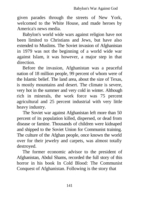given parades through the streets of New York, welcomed to the White House, and made heroes by America's news media.

Babylon's world wide wars against religion have not been limited to Christians and Jews, but have also extended to Muslims. The Soviet invasion of Afghanistan in 1979 was not the beginning of a world wide war against Islam, it was however, a major step in that direction.

Before the invasion, Afghanistan was a peaceful nation of 18 million people, 99 percent of whom were of the Islamic belief. The land area, about the size of Texas, is mostly mountains and desert. The climate is severe, very hot in the summer and very cold in winter. Although rich in minerals, the work force was 75 percent agricultural and 25 percent industrial with very little heavy industry.

The Soviet war against Afghanistan left more than 50 percent of its population killed, dispersed, or dead from disease or famine. Thousands of children were kidnaped and shipped to the Soviet Union for Communist training. The culture of the Afghan people, once known the world over for their jewelry and carpets, was almost totally destroyed.

The former economic advisor to the president of Afghanistan, Abdul Shams, recorded the full story of this horror in his book In Cold Blood: The Communist Conquest of Afghanistan. Following is the story that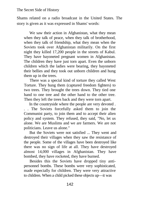Shams related on a radio broadcast in the United States. The story is given as it was expressed in Shams' words:

We saw their action in Afghanistan, what they mean when they talk of peace, when they talk of brotherhood, when they talk of friendship, what they mean when the Soviets took over Afghanistan militarily. On the first night they killed 17,200 people in the streets of Kabul. They have bayoneted pregnant women in Afghanistan. The children they have just torn apart. Even the unborn children which the ladies were bearing, they bayoneted their bellies and they took out unborn children and hung them up in the trees.

There was a special kind of torture they called West Torture. They hung them (captured freedom fighters) to two trees. They brought the trees down. They tied one hand to one tree and the other hand to the other tree. Then they left the trees back and they were torn apart.

In the countryside where the people are very devoted . . . The Soviets forcefully asked them to join the Communist party, to join them and to accept their alien policy and system. They refused, they said, "No, let us alone. We are Muslims and we are farmers. We are not politicians. Leave us alone."

But the Soviets were not satisfied ... They went and destroyed their villages when they saw the resistance of the people. Some of the villages have been destroyed like there was no sign of life at all. They have destroyed almost 14,000 villages in Afghanistan. They have bombed, they have rocketed, they have burned.

Besides this the Soviets have dropped tiny antipersonnel bombs. These bombs were very sophisticated, made especially for children. They were very attractive to children. When a child picked these objects up—it was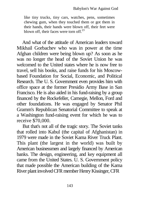like tiny trucks, tiny cars, watches, pens, sometimes chewing gum, when they touched them or got them in their hands, their hands were blown off, their feet were blown off, their faces were torn off. $^{23}$ 

And what of the attitude of American leaders toward Mikhail Gorbachev who was in power at the time Afghan children were being blown up? As soon as he was no longer the head of the Soviet Union he was welcomed to the United states where he is now free to travel, sell his books, and raise funds for his Moscowbased Foundation for Social, Economic, and Political Research. The U. S. Government even provides him with office space at the former Presidio Army Base in San Francisco. He is also aided in his fund-raising by a group financed by the Rockefeller, Carnegie, Mellon, Ford and other foundations. He was engaged by Senator Phil Gramm's Republican Senatorial Committee to speak at a Washington fund-raising event for which he was to receive \$70,000.

But that's not all of the tragic story. The Soviet tanks that rolled into Kabul (the capital of Afghanistan) in 1979 were made in the Soviet Kama River Truck Plant. This plant (the largest in the world) was built by American businessmen and largely financed by American banks. The design, engineering, and key equipment all came from the United States. U. S. Government policy that made possible the American building of the Kama River plant involved CFR member Henry Kissinger, CFR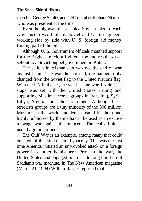member George Shultz, and CFR member Richard Nixon who was president at the time.

Even the highway that enabled Soviet tanks to reach Afghanistan was built by Soviet and U. S. engineers working side by side with U. S. foreign aid money footing part of the bill.

Although U. S. Government officials mouthed support for the Afghan freedom fighters, the end result was a sellout to a Soviet puppet government in Kabul.

The sellout in Afghanistan was not the end of war against Islam. The war did not end, the banners only changed from the Soviet flag to the United Nations flag. With the UN in the act, the war became world wide. The stage was set with the United States arming and supporting Muslim terrorist groups in Iran, Iraq, Syria, Libya, Algeria and a host of others. Although these terrorists groups are a tiny minority of the 800 million Muslims in the world, incidents created by them and highly publicized by the media can be used as an excuse to wage war against the innocent. The real criminals usually go unharmed.

The Gulf War is an example, among many that could be cited, of this kind of foul hypocrisy. This was the first time America initiated an unprovoked attack on a foreign power in another hemisphere. Prior to the war, the United States had engaged in a decade long build up of Saddam's war machine. In The New American magazine (March 21, 1994) William Jasper reported that: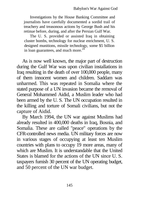Investigations by the House Banking Committee and journalists have carefully documented a sordid trail of treachery and treasonous actions by George Bush and his retinue before, during, and after the Persian Gulf War.

The U. S. provided or assisted Iraq in obtaining cluster bombs, technology for nuclear enrichment, U. S. designed munitions, missile technology, some \$5 billion in loan guarantees, and much more. $^{24}$ 

As is now well known, the major part of destruction during the Gulf War was upon civilian installations in Iraq resulting in the death of over 100,000 people, many of them innocent women and children. Saddam was unharmed. This was repeated in Somalia where the stated purpose of a UN invasion became the removal of General Mohammed Aidid, a Muslim leader who had been armed by the U. S. The UN occupation resulted in the killing and torture of Somali civilians, but not the capture of Aidid.

By March 1994, the UN war against Muslims had already resulted in 400,000 deaths in Iraq, Bosnia, and Somalia. These are called "peace" operations by the CFR-controlled news media. UN military forces are now in various stages of occupying at least ten Muslim countries with plans to occupy 19 more areas, many of which are Muslim. It is understandable that the United States is blamed for the actions of the UN since U. S. taxpayers furnish 30 percent of the UN operating budget, and 50 percent of the UN war budget.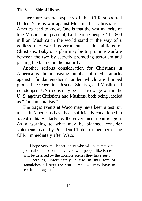There are several aspects of this CFR supported United Nations war against Muslims that Christians in America need to know. One is that the vast majority of true Muslims are peaceful, God-fearing people. The 800 million Muslims in the world stand in the way of a godless one world government, as do millions of Christians. Babylon's plan may be to promote warfare between the two by secretly promoting terrorism and placing the blame on the majority.

Another serious consideration for Christians in America is the increasing number of media attacks against "fundamentalism" under which are lumped groups like Operation Rescue, Zionists, and Muslims. If not stopped, UN troops may be used to wage war in the U. S. against Christians and Muslims, both being labeled as "Fundamentalists."

The tragic events at Waco may have been a test run to see if Americans have been sufficiently conditioned to accept military attacks by the government upon religion. As a warning to what may be planned, consider statements made by President Clinton (a member of the CFR) immediately after Waco:

I hope very much that others who will be tempted to join cults and become involved with people like Koresh will be deterred by the horrible scenes they have seen.

There is, unfortunately, a rise in this sort of fanaticism all over the world. And we may have to confront it again.<sup>25</sup>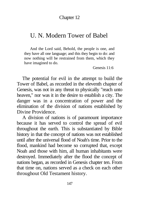### Chapter 12

# U. N. Modern Tower of Babel

And the Lord said, Behold, the people is one, and they have all one language; and this they begin to do: and now nothing will be restrained from them, which they have imagined to do.

Genesis 11:6

The potential for evil in the attempt to build the Tower of Babel, as recorded in the eleventh chapter of Genesis, was not in any threat to physically "reach unto heaven," nor was it in the desire to establish a city. The danger was in a concentration of power and the elimination of the division of nations established by Divine Providence.

A division of nations is of paramount importance because it has served to control the spread of evil throughout the earth. This is substantiated by Bible history in that the concept of nations was not established until after the universal flood of Noah's time. Prior to the flood, mankind had become so corrupted that, except Noah and those with him, all human inhabitants were destroyed. Immediately after the flood the concept of nations began, as recorded in Genesis chapter ten. From that time on, nations served as a check on each other throughout Old Testament history.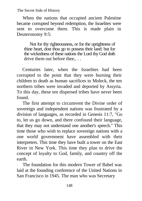When the nations that occupied ancient Palestine became corrupted beyond redemption, the Israelites were sent to overcome them. This is made plain in Deuteronomy 9:5:

Not for thy righteousness, or for the uprightness of thine heart, dost thou go to possess their land: but for the wickedness of these nations the Lord thy God doth drive them out before thee,...

Centuries later, when the Israelites had been corrupted to the point that they were burning their children to death as human sacrifices to Moleck, the ten northern tribes were invaded and deported by Assyria. To this day, these ten dispersed tribes have never been found.

The first attempt to circumvent the Divine order of sovereign and independent nations was frustrated by a division of languages, as recorded in Genesis 11:7, "Go to, let us go down, and there confound their language, that they may not understand one another's speech." This time those who wish to replace sovereign nations with a one world government have assembled with their interpreters. This time they have built a tower on the East River in New York. This time they plan to drive the concept of loyalty to God, family, and country off the earth.

The foundation for this modern Tower of Babel was laid at the founding conference of the United Nations in San Francisco in 1945. The man who was Secretary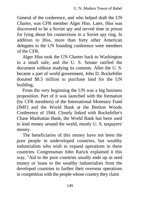General of the conference, and who helped draft the UN Charter, was CFR member Alger Hiss. Later, Hiss was discovered to be a Soviet spy and served time in prison for lying about his connections to a Soviet spy ring. In addition to Hiss, more than forty other American delegates to the UN founding conference were members of the CFR.

Alger Hiss took the UN Charter back to Washington in a small safe, and the U. S. Senate ratified the document without studying its contents. After the U. S. became a part of world government, John D. Rockefeller donated \$8.5 million to purchase land for the UN building.

From the very beginning the UN was a big business proposition. Part of it was launched with the formation (by CFR members) of the International Monetary Fund (IMF) and the World Bank at the Bretton Woods Conference of 1944. Closely linked with Rockefeller's Chase Manhattan Bank, the World Bank has been used to lend money around the world, mostly U. S. taxpayers' money.

The beneficiaries of this money have not been the poor people in undeveloped countries, but wealthy industrialists who wish to expand operations in these countries. Congressman John Rarick explained it this way, "Aid to the poor countries usually ends up as seed money or loans to the wealthy industrialists from the developed countries to further their overseas operations in competition with the people whose country they claim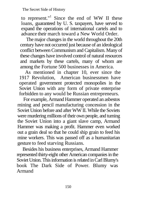to represent."<sup>1</sup> Since the end of WW II these loans, guaranteed by U. S. taxpayers, have served to expand the operations of international cartels and to advance their march toward a New World Order.

The major changes in the world throughout the 20th century have not occurred just because of an ideological conflict between Communism and Capitalism. Many of these changes have involved control of natural resources and markets by these cartels, many of whom are among the Fortune 500 businesses in America.

As mentioned in chapter 10, ever since the 1917 Revolution, American businessmen have operated government protected monopolies in the Soviet Union with any form of private enterprise forbidden to any would be Russian entrepreneurs.

For example, Armand Hammer operated an asbestos mining and pencil manufacturing concession in the Soviet Union before and after WW II. While the Soviets were murdering millions of their own people, and turning the Soviet Union into a giant slave camp, Armand Hammer was making a profit. Hammer even worked out a grain deal so that he could ship grain to feed his mine workers. This was passed off as a humanitarian gesture to feed starving Russians.

Besides his business enterprises, Armand Hammer represented thirty-eight other American companies in the Soviet Union. This information is related in Carl Blumy's book The Dark Side of Power. Blumy was Armand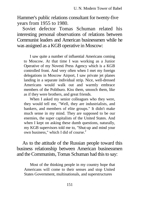Hammer's public relations consultant for twenty-five years from 1955 to 1980.

Soviet defector Tomas Schuman related his interesting personal observations of relations between Communist leaders and American businessmen while he was assigned as a KGB operative in Moscow:

I saw quite a number of influential Americans coming to Moscow. At that time I was working as a Junior Operative of my Novesti Press Agency which is a KGB controlled front. And very often when I met my foreign delegations in Moscow Airport, I saw private jet planes landing in a separate individual strip. Nice, well-dressed Americans would walk out and warmly embrace members of the Politburo. Kiss them, smooch them, like as if they were brothers, and great friends.

When I asked my senior colleagues who they were, they would tell me, "Well, they are industrialists, and bankers, and members of elite groups." It didn't make much sense in my mind. They are supposed to be our enemies, the super capitalists of the United States. And when I kept on asking these dumb questions, naturally, my KGB supervisors told me to, "Shut-up and mind your own business," which I did of course.<sup>2</sup>

As to the attitude of the Russian people toward this business relationship between American businessmen and the Communists, Tomas Schuman had this to say:

Most of the thinking people in my country hope that Americans will come to their senses and stop United States Government, multinationals, and superstructures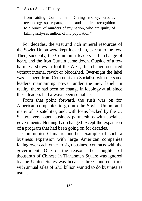from aiding Communism. Giving money, credits, technology, spare parts, grain, and political recognition to a bunch of murders of my nation, who are quilty of killing sixty-six million of my population. $3$ 

For decades, the vast and rich mineral resources of the Soviet Union were kept locked up, except to the few. Then, suddenly, the Communist leaders had a change of heart, and the Iron Curtain came down. Outside of a few harmless shows to fool the West, this change occurred without internal revolt or bloodshed. Over-night the label was changed from Communist to Socialist, with the same leaders mamtaining power under the new label. In reality, there had been no change in ideology at all since these leaders had always been socialists.

From that point forward, the rush was on for American companies to go into the Soviet Union, and many of its satellites, and, with loans backed by the U. S. taxpayers, open business partnerships with socialist governments. Nothing had changed except the expansion of a program that had been going on for decades.

Communist China is another example of such a business expansion with large American companies falling over each other to sign business contracts with the government. One of the reasons the slaughter of thousands of Chinese in Tiananmen Square was ignored by the United States was because three-hundred firms with annual sales of \$7.5 billion wanted to do business as usual.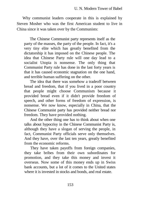Why communist leaders cooperate in this is explained by Steven Mosher who was the first American student to live in China since it was taken over by the Communists:

The Chinese Communist party represents itself as the party of the masses, the party of the people. In fact, it's a very tiny elite which has greatly benefited from the dictatorship it has imposed on the Chinese people. The idea that Chinese Party rule will one day lead to a socialist Utopia is nonsense. The only thing that Communist Party rule has done in the last forty years is that it has caused economic stagnation on the one hand, and terrible human suffering on the other.

The idea that there was somehow a tradeoff between bread and freedom, that if you lived in a poor country that people might choose Communism because it provided bread even if it didn't provide freedom of speech, and other forms of freedom of expression, is nonsense. We now know, especially in China, that the Chinese Communist party has provided neither bread nor freedom. They have provided nothing.

And the other thing one has to think about when one talks about hypocrisy in the Chinese Communist Party is, although they have a slogan of serving the people, in fact, Communist Party officials serve only themselves. And they have, over the last ten years, greatly benefited from the economic reforms.

They have taken payoffs from foreign companies, they take bribes from their own subordinates for promotion, and they take this money and invest it overseas. Now some of this money ends up in Swiss bank accounts, but a lot of it comes to the United states where it is invested in stocks and bonds, and real estate.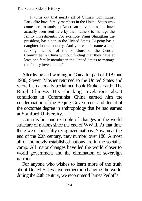It turns out that nearly all of China's Communist Party elite have family members in the United States who come here to study in American universities, but have actually been sent here by their fathers to manage the family investments. For example Yang Shangkun the president, has a son in the United States. Li peng has a daughter in this country. And you cannot name a high ranking member of the Politburo or the Central Committee in China without finding that they have at least one family member in the United States to manage the family investments.<sup>4</sup>

After living and working in China for part of 1979 and 1980, Steven Mosher returned to the United States and wrote his nationally acclaimed book Broken Earth: The Rural Chinese. His shocking revelations about conditions in Communist China earned him the condemnation of the Beijing Government and denial of the doctorate degree in anthropology that he had earned at Stanford University.

China is but one example of changes in the world structure of nations since the end of WW II. At that time there were about fifty recognized nations. Now, near the end of the 20th century, they number over 180. Almost all of the newly established nations are in the socialist camp. All major changes have led the world closer to world government and the elimination of sovereign nations.

For anyone who wishes to learn more of the truth about United States involvement in changing the world during the 20th century, we recommend James Perloff's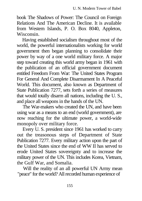book The Shadows of Power: The Council on Foreign Relations And The American Decline. It is available from Western Islands, P. O. Box 8040, Appleton, Wisconsin.

Having established socialism throughout most of the world, the powerful internationalists working for world government then began planning to consolidate their power by way of a one world military force. A major step toward creating this world army began in 1961 with the publication of an official government document entitled Freedom From War: The United States Program For General And Complete Disarmament In A Peaceful World. This document, also known as Department of State Publication 7277, sets forth a series of measures that would totally disarm all nations, including the U. S., and place all weapons in the hands of the UN.

The War-makers who created the UN, and have been using war as a means to an end (world government), are now reaching for the ultimate power, a world-wide monopoly over military force.

Every U. S. president since 1961 has worked to carry out the treasonous steps of Department of State Publication 7277. Every military action upon the part of the United States since the end of WW II has served to erode United States sovereignty and to increase the military power of the UN. This includes Korea, Vietnam, the Gulf War, and Somalia.

Will the reality of an all powerful UN Army mean "peace" for the world? All recorded human experience of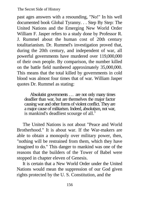past ages answers with a resounding, "No!" In his well documented book Global Tyranny. . . Step By Step: The United Nations and the Emerging New World Order William F. Jasper refers to a study done by Professor R. J. Rummel about the human cost of 20th century totalitarianism. Dr. Rummel's investigation proved that, during the 20th century, and independent of war, all powerful governments have murdered over 119,000,000 of their own people. By comparison, the number killed on the battle field numbered approximately 35,000,000. This means that the total killed by governments in cold blood was almost four times that of war. William Jasper quotes Dr. Rummel as stating:

Absolutist governments ... are not only many times deadlier than war, but are themselves the major factor causing war and other forms of violent conflict. They are a major cause of militarism. Indeed, absolutism, not war, is mankind's deadliest scourge of all.<sup>5</sup>

The United Nations is not about "Peace and World Brotherhood." It is about war. If the War-makers are able to obtain a monopoly over military power, then, "nothing will be restrained from them, which they have imagined to do." This danger to mankind was one of the reasons that the builders of the Tower of Babel were stopped in chapter eleven of Genesis.

It is certain that a New World Order under the United Nations would mean the suppression of our God given rights protected by the U. S. Constitution, and the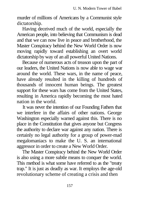murder of millions of Americans by a Communist style dictatorship.

Having deceived much of the world, especially the American people, into believing that Communism is dead and that we can now live in peace and brotherhood, the Master Conspiracy behind the New World Order is now moving rapidly toward establishing an overt world dictatorship by way of an all powerful United Nations.

Because of numerous acts of treason upon the part of our leaders, the United Nations is now able to wage war around the world. These wars, in the name of peace, have already resulted in the killing of hundreds of thousands of innocent human beings. The greatest support for these wars has come from the United States, resulting in America rapidly becoming the most hated nation in the world.

It was never the intention of our Founding Fathers that we interfere in the affairs of other nations. George Washington especially warned against this. There is no place in the Constitution that gives anyone but Congress the authority to declare war against any nation. There is certainly no legal authority for a group of power-mad megalomaniacs to make the U. S. an international aggressor in order to create a New World Order.

The Master Conspiracy behind the New World Order is also using a more subtle means to conquer the world. This method is what some have referred to as the "treaty trap." It is just as deadly as war. It employs the age-old revolutionary scheme of creating a crisis and then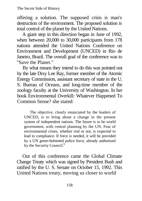offering a solution. The supposed crisis is man's destruction of the environment. The proposed solution is total control of the planet by the United Nations.

A giant step in this direction began in June of 1992, when between 20,000 to 30,000 participants from 178 nations attended the United Nations Conference on Environment and Development (UNCED) in Rio de Janeiro, Brazil. The overall goal of the conference was to "Save the Planet."

By what means they intend to do this was pointed out by the late Dixy Lee Ray, former member of the Atomic Energy Commission, assistant secretary of state in the U. S. Bureau of Oceans, and long-time member of the zoology faculty at the University of Washington. In her book Environmental Overkill: Whatever Happened To Common Sense? she stated:

The objective, clearly enunciated by the leaders of UNCED, is to bring about a change in the present system of independent nations. The future is to be world government, with central planning by the UN. Fear of environmental crises, whether real or not, is expected to lead to compliance. If force is needed, it will be provided by a UN green-helmeted police force, already authorized by the Security Council.<sup>6</sup>

Out of this conference came the Global Climate Change Treaty which was signed by President Bush and ratified by the U. S. Senate on October 15, 1992. This United Nations treaty, moving us closer to world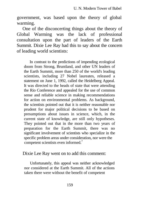government, was based upon the theory of global warming.

One of the disconcerting things about the theory of Global Warming was the lack of professional consultation upon the part of leaders of the Earth Summit. Dixie Lee Ray had this to say about the concern of leading world scientists:

In contrast to the predictions of impending ecological doom from Strong, Bruntland, and other UN leaders of the Earth Summit, more than 250 of the world's leading scientists, including 27 Nobel laureates, released a statement on June 1, 1992, called the Heidelberg Appeal. It was directed to the heads of state that were attending the Rio Conference and appealed for the use of common sense and reliable science in making recommendations for action on environmental problems. As background, the scientists pointed out that it is neither reasonable nor prudent for major political decisions to be based on presumptions about issues in science, which, in the current state of knowledge, are still only hypotheses. They pointed out that in the more than two years of preparation for the Earth Summit, there was no significant involvement of scientists who specialize in the specific problem areas under consideration, nor were the competent scientists even informed.<sup>7</sup>

### Dixie Lee Ray went on to add this comment:

Unfortunately, this appeal was neither acknowledged nor considered at the Earth Summit. All of the actions taken there were without the benefit of competent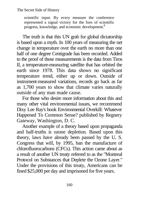scientific input. By every measure the conference represented a signal victory for the foes of scientific progress, knowledge, and economic development.<sup>8</sup>

The truth is that this UN grab for global dictatorship is based upon a myth. In 100 years of measuring the net change in temperature over the earth no more than one half of one degree Centigrade has been recorded. Added to the proof of those measurements is the data from Tiros II, a temperature-measuring satellite that has orbited the earth since 1978. This data shows no significant temperature trend, either up or down. Outside of instrument-measured variations, records go back as far as 1,700 years to show that climate varies naturally outside of any man made cause.

For those who desire more information about this and many other vital environmental issues, we recommend Dixy Lee Ray's book Environmental Overkill: Whatever Happened To Common Sense? published by Regnery Gateway, Washington, D. C.

Another example of a theory based upon propaganda and half-truths is ozone depletion. Based upon this theory, laws have already been passed by the U. S. Congress that will, by 1995, ban the manufacture of chlorofluorocarbons (CFCs). This action came about as a result of another UN treaty referred to as the "Montreal Protocol on Substances that Deplete the Ozone Layer." Under the provisions of this treaty, Americans can be fined \$25,000 per day and imprisoned for five years.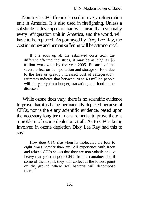Non-toxic CFC (freon) is used in every refrigeration unit in America. It is also used in firefighting. Unless a substitute is developed, its ban will mean that eventually every refrigeration unit in America, and the world, will have to be replaced. As portrayed by Dixy Lee Ray, the cost in money and human suffering will be astronomical:

If one adds up all the estimated costs from the different affected industries, it may be as high as \$5 trillion worldwide by the year 2005. Because of the severe effect on transportation and storage of food due to the loss or greatly increased cost of refrigeration, estimates indicate that between 20 to 40 million people will die yearly from hunger, starvation, and food-borne diseases<sup>9</sup>

While ozone does vary, there is no scientific evidence to prove that it is being permanently depleted because of CFCs, nor is there any scientific evidence, based upon the necessary long term measurements, to prove there is a problem of ozone depletion at all. As to CFCs being involved in ozone depletion Dixy Lee Ray had this to say:

How does CFC rise when its molecules are four to eight times heavier than air? All experience with freon and related CFCs shows that they are non-volatile and so heavy that you can pour CFCs from a container and if some of them spill, they will collect at the lowest point on the ground where soil bacteria will decompose them $10$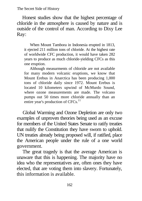Honest studies show that the highest percentage of chloride in the atmosphere is caused by nature and is outside of the control of man. According to Dixy Lee Ray:

When Mount Tambora in Indonesia erupted in 1813, it ejected 211 million tons of chloride. At the highest rate of worldwide CFC production, it would have taken 282 years to produce as much chloride-yielding CFCs as this one eruption.

Although measurments of chloride are not available for many modern volcanic eruptions, we know that Mount Erebus in Anarctica has been producing 1,000 tons of chloride daily since 1972. Mount Erebus is located 10 kilometers upwind of McMurdo Sound, where ozone measurements are made. The volcano pumps out 50 times more chloride annually than an entire year's production of  $CFCs$ <sup>11</sup>

Global Warming and Ozone Depletion are only two examples of unproven theories being used as an excuse for members of the United States Senate to ratify treaties that nulify the Constitution they have sworn to uphold. UN treaties already being proposed will, if ratified, place the American people under the rule of a one world government.

The great tragedy is that the average American is unaware that this is happening. The majority have no idea who the representatives are, often ones they have elected, that are voting them into slavery. Fortunately, this information is available.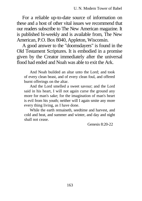For a reliable up-to-date source of information on these and a host of other vital issues we recommend that our readers subscribe to The New American magazine. It is published bi-weekly and is available from, The New American, P.O. Box 8040, Appleton, Wisconsin.

A good answer to the "doomsdayers" is found in the Old Testament Scriptures. It is embodied in a promise given by the Creator immediately after the universal flood had ended and Noah was able to exit the Ark.

And Noah builded an altar unto the Lord; and took of every clean beast, and of every clean foul, and offered burnt offerings on the altar.

And the Lord smelled a sweet savour; and the Lord said in his heart, I will not again curse the ground any more for man's sake; for the imagination of man's heart is evil from his youth; neither will I again smite any more every thing living, as I have done.

While the earth remaineth, seedtime and harvest, and cold and heat, and summer and winter, and day and night shall not cease.

Genesis 8:20-22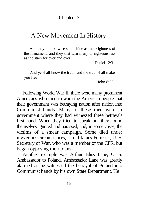### Chapter 13

## A New Movement In History

And they that be wise shall shine as the brightness of the firmament; and they that turn many to righteousness as the stars for ever and ever,

Daniel  $12.3$ 

And ye shall know the truth, and the truth shall make you free.

John 8:32

Following World War II, there were many prominent Americans who tried to warn the American people that their government was betraying nation after nation into Communist hands. Many of these men were in government where they had witnessed these betrayals first hand. When they tried to speak out they found themselves ignored and harassed, and, in some cases, the victims of a smear campaign. Some died under mysterious circumstances, as did James Forrestal, U. S. Secretary of War, who was a member of the CFR, but began opposing their plans.

Another example was Arthur Bliss Lane, U. S. Ambassador to Poland. Ambassador Lane was greatly alarmed as he witnessed the betrayal of Poland into Communist hands by his own State Department. He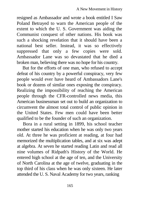resigned as Ambassador and wrote a book entitled I Saw Poland Betrayed to warn the American people of the extent to which the U. S. Government was aiding the Communist conquest of other nations. His book was such a shocking revelation that it should have been a national best seller. Instead, it was so effectively suppressed that only a few copies were sold. Ambassador Lane was so devastated that he died a broken man, believing there was no hope for his country.

But for the efforts of one man, who refused to accept defeat of his country by a powerful conspiracy, very few people would ever have heard of Ambassadors Lane's book or dozens of similar ones exposing the conspiracy. Realizing the impossibility of reaching the American people through the CFR-controlled news media, this American businessman set out to build an organization to circumvent the almost total control of public opinion in the United States. Few men could have been better qualified to be the founder of such an organization.

Bora in a rural setting in 1899, his school teacher mother started his education when he was only two years old. At three he was proficient at reading, at four had memorized the multiplication tables, and at six was adept at algebra. At seven he started reading Latin and read all nine volumes of Ridpath's History of the World. He entered high school at the age of ten, and the University of North Carolina at the age of twelve, graduating in the top third of his class when he was only sixteen. He later attended the U. S. Naval Academy for two years, ranking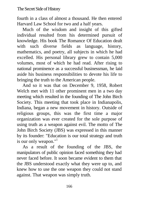fourth in a class of almost a thousand. He then entered Harvard Law School for two and a half years.

Much of the wisdom and insight of this gifted individual resulted from his determined pursuit of knowledge. His book The Romance Of Education dealt with such diverse fields as language, history, mathematics, and poetry, all subjects in which he had excelled. His personal library grew to contain 5,000 volumes, most of which he had read. After rising to national prominence as a successful businessman, he laid aside his business responsibilities to devote his life to bringing the truth to the American people.

And so it was that on December 9, 1958, Robert Welch met with 11 other prominent men in a two day meeting which resulted in the founding of The John Birch Society. This meeting that took place in Indianapolis, Indiana, began a new movement in history. Outside of religious groups, this was the first time a major organization was ever created for the sole purpose of using truth as a weapon against evil. The motto of The John Birch Society (JBS) was expressed in this manner by its founder: "Education is our total strategy and truth is our only weapon."<sup>1</sup>

As a result of the founding of the JBS, the manipulators of public opinion faced something they had never faced before. It soon became evident to them that the JBS understood exactly what they were up to, and knew how to use the one weapon they could not stand against. That weapon was simply truth.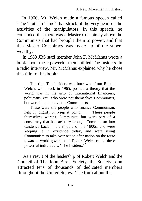In 1966, Mr. Welch made a famous speech called "The Truth In Time" that struck at the very heart of the activities of the manipulators. In this speech, he concluded that there was a Master Conspiracy above the Communists that had brought them to power, and that this Master Conspiracy was made up of the superwealthy.

In 1983 JBS staff member John F. McManus wrote a book about these powerful men entitled The Insiders. In a radio interview, Mr. McManus explained why he chose this title for his book:

The title The Insiders was borrowed from Robert Welch, who, back in 1965, posited a theory that the world was in the grip of international financiers, politicians, etc., who were not themselves Communists, but were in fact above the Communists.

These were the people who finance Communism, help it, dignify it, keep it going. . . . These people themselves weren't Communist, but were part of a conspiracy that had actually brought Communism into existence back in the middle of the 1800s, and were keeping it in existence today, and were using Communism to take over nation after nation on the route toward a world government. Robert Welch called these powerful individuals, "The Insiders."<sup>2</sup>

As a result of the leadership of Robert Welch and the Council of The John Birch Society, the Society soon attracted tens of thousands of dedicated members throughout the United States. The truth about the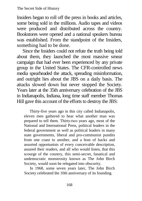Insiders began to roll off the press in books and articles, some being sold in the millions. Audio tapes and videos were produced and distributed across the country. Bookstores were opened and a national speakers bureau was established. From the standpoint of the Insiders, something had to be done.

Since the Insiders could not refute the truth being told about them, they launched the most massive smear campaign that had ever been experienced by any private group in the United States. The CFR-controlled news media spearheaded the attack, spreading misinformation, and outright lies about the JBS on a daily basis. The attacks slowed down but never stopped the Society. Years later at the 35th anniversary celebration of the JBS in Indianapolis, Indiana, long time staff member Thomas Hill gave this account of the efforts to destroy the JBS:

Thirty-five years ago in this city called Indianapolis, eleven men gathered to hear what another man was prepared to tell them. Thirty-two years ago, most of the National and International Press, political leaders in the federal government as well as political leaders in many state governments, liberal and pro-communist pundits from one coast to another, and a host of hacks and assorted opportunists of every conceivable description, assured their readers, and all who would listen, that this scourge of the country, this semi-secret, fanatical and undemocratic monstrosity known as The John Birch Society, would soon be relegated into obscurity.

In 1968, some seven years later, The John Birch Society celebrated the 10th anniversary of its founding.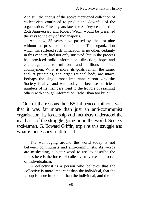And still the chorus of the above mentioned collection of collectivists continued to predict the downfall of the organization. Fifteen years later the Society celebrated its 25th Anniversary and Robert Welch would be presented the keys to the city of Indianapolis.

And now, 35 years have passed by, the last nine without the presence of our founder. This organization which has suffered such vilification as no other, certainly in this century, had not only survived, but in the process has provided solid information, direction, hope and encouragement to millions and millions of our countrymen. What is more, its goals remain the same; and its principles, and organizational body are intact. Perhaps the single most important reason why the Society is alive and well today, is because sufficient numbers of its members went to the trouble of reaching others with enough information, rather than too little.<sup>3</sup>

One of the reasons the JBS influenced millions was that it was far more than just an anti-communist organization. Its leadership and members understood the real basis of the struggle going on in the world. Society spokesman, G. Edward Griffin, explains this struggle and what is necessary to defeat it:

The war raging around the world today is not between communists and anti-communists. As words are misleading, a better word to use to describe the forces here is the forces of collectivism verses the forces of individualism.

A collectivist is a person who believes that the collective is more important than the individual, that the group is more important than the individual, and the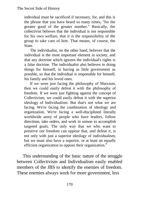individual must be sacrificed if necessary, for, and this is the phrase that you have heard so many times, "for the greater good of the greater number." Basically, the collectivist believes that the individual is not responsible for his own welfare, that it is the responsibility of the group to take care of him. That means, of course, the State.

The individualist, on the other hand, believes that the individual is the most important element in society, and that any doctrine which ignores the individual's rights is a false doctrine. The individualist also believes in doing things for himself, in having as little government as possible, so that the individual is responsible for himself, his family and his loved ones.

If we were just facing the philosophy of Marxism, then we could easily defeat it with the philosophy of freedom. If we were just fighting against the concept of Collectivism, we could easily defeat it with the superior ideology of Individualism. But that's not what we are facing. We're facing the combination of ideology and organization. We're facing a well-disciplined literally worldwide army of people who have leaders, follow directions, take orders, and work in unison to accomplish targeted goals. The only way that we who want to preserve our freedom can oppose that, and defeat it, is not only with just a superior ideology of individualism, but we must also have a superior, or at least an equally efficient organization to oppose their organization.<sup>4</sup>

This understanding of the basic nature of the struggle between Collectivism and Individualism easily enabled members of the JBS to identify the enemies of freedom. These enemies always work for more government, less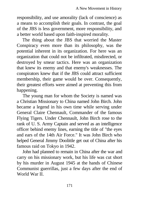responsibility, and use amorality (lack of conscience) as a means to accomplish their goals. In contrast, the goal of the JBS is less government, more responsibility, and a better world based upon faith-inspired morality.

The thing about the JBS that worried the Master Conspiracy even more than its philosophy, was the potential inherent in its organization. For here was an organization that could not be infiltrated, misdirected, or destroyed by smear tactics. Here was an organization that knew its enemy and that enemy's weaknesses. The conspirators knew that if the JBS could attract sufficient membership, their game would be over. Consequently, their greatest efforts were aimed at preventing this from happening.

The young man for whom the Society is named was a Christian Missionary to China named John Birch. John became a legend in his own time while serving under General Claire Chennault, Commander of the famous Flying Tigers. Under Chennault, John Birch rose to the rank of U. S. Army Captain and served as an intelligence officer behind enemy lines, earning the title of "the eyes and ears of the 14th Air Force." It was John Birch who helped General Jimmy Doolittle get out of China after his famous raid on Tokyo in 1942.

John had planned to remain in China after the war and carry on his missionary work, but his life was cut short by his murder in August 1945 at the hands of Chinese Communist guerrillas, just a few days after the end of World War II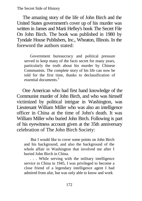The amazing story of the life of John Birch and the United States government's cover up of his murder was written in James and Marti Hefley's book The Secret File On John Birch. The book was published in 1980 by Tyndale House Publishers, Inc., Wheaton, Illinois. In the foreword the authors stated:

Government bureaucracy and political pressure served to keep many of the facts secret for many years, particularly the truth about his murder by Chinese Communists. The complete story of his life can now be told for the first time, thanks to declassification of essential documents.<sup>5</sup>

One American who had first hand knowledge of the Communist murder of John Birch, and who was himself victimized by political intrigue in Washington, was Lieutenant William Miller who was also an intelligence officer in China at the time of John's death. It was William Miller who buried John Birch. Following is part of his eyewitness account given at the 35th anniversary celebration of The John Birch Society:

But I would like to cover some points on John Birch and his background, and also the background of the whole affair in Washington that involved me after I buried John Birch in China.

. . . While serving with the military intelligence service in China in 1945, I was privileged to become a close friend of a legendary intelligence agent I had admired from afar, but was only able to know and work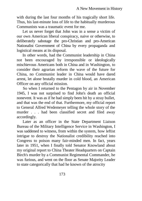with during the last four months of his tragically short life. Thus, his last-minute loss of life to the habitually murderous Communists was a traumatic event for me.

Let us never forget that John was in a sense a victim of our own American liberal conspiracy, naive or otherwise, to deliberately sabotage the pro-Christian and pro-American Nationalist Government of China by every propaganda and logistical means at its disposal.

In other words, had the Communist leadership in China not been encouraged by irresponsible or ideologically mischievous Americans both in China and in Washington, to consider their agrarian reform the wave of the future for China, no Communist leader in China would have dared arrest, let alone brutally murder in cold blood, an American Officer on any official mission.

So when I returned to the Pentagon by air in November 1945, I was not surprised to find John's death an official nonevent. It was as if he had simply been hit by a stray bullet, and that was the end of that. Furthermore, my official report to General Alfred Wedemeyer telling the whole story of the murder . . . had been classified secret and filed away accordingly.

Later as an officer in the State Department Liaison Bureau of the Military Intelligence Service in Washington, I was saddened to witness, from within the system, how leftist intrigue to destroy the Nationalist credibility reached into Congress to poison many fair-minded men. In fact, years later in 1951, when I finally told Senator Knowland about my original report to China Theater Headquarters on Captain Birch's murder by a Communist Regimental Commander, he was furious, and went on the floor as Senate Majority Leader to state categorically that had he known of the atrocity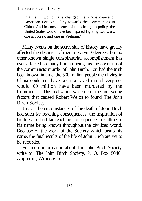in time, it would have changed the whole course of American Foreign Policy towards the Communists in China. And in consequence of this change in policy, the United States would have been spared fighting two wars, one in Korea, and one in Vietnam.<sup>6</sup>

Many events on the secret side of history have greatly affected the destinies of men to varying degrees, but no other known single conspiratorial accomplishment has ever affected so many human beings as the cover-up of the communists' murder of John Birch. For, had the truth been known in time, the 500 million people then living in China could not have been betrayed into slavery nor would 60 million have been murdered by the Communists. This realization was one of the motivating factors that caused Robert Welch to found The John Birch Society.

Just as the circumstances of the death of John Birch had such far reaching consequences, the inspiration of his life also had far reaching consequences, resulting in his name being known throughout the civilized world. Because of the work of the Society which bears his name, the final results of the life of John Birch are yet to be recorded.

For more information about The John Birch Society write to, The John Birch Society, P. O. Box 8040, Appleton, Winconsin.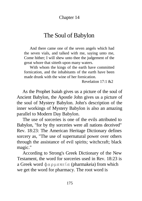Chapter 14

## The Soul of Babylon

And there came one of the seven angels which had the seven vials, and talked with me, saying unto me, Come hither; I will shew unto thee the judgement of the great whore that sitteth upon many waters.

With whom the kings of the earth have committed fornication, and the inhabitants of the earth have been made drunk with the wine of her fornication.

Revelation 17:1 &2

As the Prophet Isaiah gives us a picture of the soul of Ancient Babylon, the Apostle John gives us a picture of the soul of Mystery Babylon. John's description of the inner workings of Mystery Babylon is also an amazing parallel to Modern Day Babylon.

The use of sorceries is one of the evils attributed to Babylon, "for by thy sorceries were all nations deceived" Rev. 18:23: The American Heritage Dictionary defines sorcery as, "The use of supernatural power over others through the assistance of evil spirits; witchcraft; black magic."

According to Strong's Greek Dictionary of the New Testament, the word for sorceries used in Rev. 18:23 is a Greek word  $\phi \alpha \rho \mu \alpha \kappa \in \alpha$  (pharmakeia) from which we get the word for pharmacy. The root word is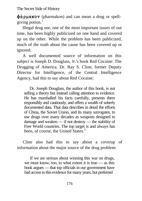The Secret Side of History

 $\phi \dot{\alpha}$  pu $\alpha$  kov (pharmakon) and can mean a drug or spellgiving potion. $<sup>1</sup>$ </sup>

Illegal drug use, one of the most important issues of our time, has been highly publicized on one hand and covered up on the other. While the problem has been publicized, much of the truth about the cause has been covered up or ignored.

A well documented source of information on this subject is Joseph D. Douglass, Jr.'s book Red Cocaine: The Drugging of America. Dr. Ray S. Cline, former Deputy Director for Intelligence, of the Central Intelligence Agency, had this to say about Red Cocaine:

Dr. Joseph Douglass, the author of this book, is not selling a theory but instead calling attention to evidence. He has marshalled his facts carefully, presents them responsibly and cautiously, and offers a wealth of soberly documented data. That data describes in detail the efforts of China, the Soviet Union, and its many surrogates, to use drugs over many decades as weapons designed to damage and weaken — if not destroy — the stability of Free World countries. The top target is and always has been, of course, the United States.<sup>2</sup>

Cline also had this to say about a coverup of information about the major source of the drug problem:

If we are serious about winning this war on drugs, we must know, too, to what extent it is true — as this book argues — that top officials in our government have had access to this evidence for many years, but preferred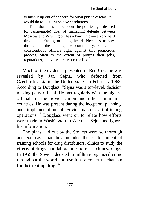to hush it up out of concern for what public disclosure would do to U. S.-Sino/Soviet relations.

Data that does not support the politically - desired (or fashionable) goal of managing detente between Moscow and Washington has a hard time — a very hard time — surfacing or being heard. Needless to say, throughout the intelligence community, scores of conscientious officers fight against this pernicious process, often to the extent of putting their jobs, reputations, and very careers on the line.<sup>3</sup>

Much of the evidence presented in Red Cocaine was revealed by Jan Sejna, who defected from Czechoslovakia to the United states in February 1968. According to Douglass, "Sejna was a top-level, decision making party official. He met regularly with the highest officials in the Soviet Union and other communist countries. He was present during the inception, planning, and implementation of Soviet narcotics trafficking operations."<sup>4</sup> Douglass went on to relate how efforts were made in Washington to sidetrack Sejna and ignore his information.

The plans laid out by the Soviets were so thorough and extensive that they included the establishment of training schools for drug distributors, clinics to study the effects of drugs, and laboratories to research new drugs. In 1955 the Soviets decided to infiltrate organized crime throughout the world and use it as a covert mechanism for distributing drugs. $5$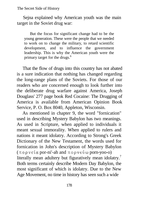The Secret Side of History

Seina explained why American youth was the main target in the Soviet drug war:

But the focus for significant change had to be the young generation. These were the people that we needed to work on to change the military, to retard scientific development, and to influence the government leadership. This is why the American youth were the primary target for the drugs.<sup>6</sup>

That the flow of drugs into this country has not abated is a sure indication that nothing has changed regarding the long-range plans of the Soviets. For those of our readers who are concerned enough to look further into the deliberate drug warfare against America, Joseph Douglass' 277 page book Red Cocaine: The Drugging of America is available from American Opinion Book Service, P. O. Box 8040, Appleton, Wisconsin.

As mentioned in chapter 9, the word "fornication" used in describing Mystery Babylon has two meanings. As used in Scripture, when applied to individuals it meant sexual immorality. When applied to rulers and nations it meant idolatry. According to Strong's Greek Dictionary of the New Testament, the words used for fornication in John's description of Mystery Babylon  $(\pi \circ \rho \vee \varepsilon \land \alpha \text{ por-ni'-ah and } \pi \circ \rho \vee \varepsilon \land \omega \text{ porn-yoo-o})$ literally mean adultery but figuratively mean idolatry.<sup>7</sup> Both terms certainly describe Modern Day Babylon, the most significant of which is idolatry. Due to the New Age Movement, no time in history has seen such a wide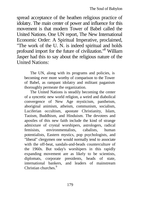spread acceptance of the heathen religious practice of idolatry. The main center of power and influence for this movement is that modern Tower of Babel called the United Nations. One UN report, The New International Economic Order: A Spiritual Imperative, proclaimed, "The work of the U. N. is indeed spiritual and holds profound import for the future of civilization."<sup>8</sup> William Jasper had this to say about the religious nature of the United Nations:

The UN, along with its programs and policies, is becoming ever more worthy of comparison to the Tower of Babel, as rampant idolatry and militant paganism thoroughly permeate the organization.

The United Nations is steadily becoming the center of a syncretic new world religion, a weird and diabolical convergence of New Age mysticism, pantheism, aboriginal animism, atheism, communism, socialism, Luciferian occultism, apostate Christianity, Islam, Taoism, Buddhism, and Hinduism. The devotees and apostles of this new faith include the kind of strange admixture of crystal worshipers, astrologers, radical femisists, environmentalists, cabalists, human potentialists, Eastern mystics, pop psychologists, and "liberal" clergymen one would normally tend to associate with the off-beat, sandals-and-beads counterculture of the 1960s. But today's worshipers in this rapidly expanding movement are as likely to be scientists, diplomats, corporate presidents, heads of state, international bankers, and leaders of mainstream Christian churches.<sup>9</sup>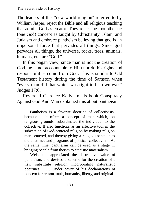The leaders of this "new world religion" referred to by William Jasper, reject the Bible and all religious teaching that admits God as creator. They reject the monotheistic (one God) concept as taught by Christianity, Islam, and Judaism and embrace pantheism believing that god is an impersonal force that pervades all things. Since god pervades all things, the universe, rocks, trees, animals, humans, etc. are "God."

In this pagan view, since man is not the creation of God, he is not accountable to Him nor do his rights and responsibilities come from God. This is similar to Old Testament history during the time of Samson when "every man did that which was right in his own eyes" Judges 17:6.

Reverend Clarence Kelly, in his book Conspiracy Against God And Man explained this about pantheism:

Pantheism is a favorite doctrine of collectivists, because ... it offers a concept of man which, on religious grounds, subordinates the individual to the collective. It also functions as an effective tool in the subversion of God-centered religion by making religion man-centered, and thereby giving a religious sanction to the doctrines and programs of political collectivism. At the same time, pantheism can be used as a stage in bringing people from theism to atheistic materialism.

Weishaupt appreciated the destructive value of pantheism, and devised a scheme for the creation of a new substitute religion incorporating naturalistic doctrines. . . . Under cover of his declamations of concern for reason, truth, humanity, liberty, and original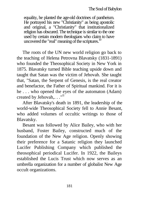#### The Soul of Babylon

equality, he planted the age-old doctrines of pantheism. He portrayed his new "Christianity" as being apostolic and original, a "Christianity" that institutionalized religion has obscured. The technique is similar to the one used by certain modern theologians who claim to have uncovered the "real" meaning of the scriptures. $^{10}$ 

The roots of the UN new world religion go back to the teaching of Helena Petrovna Blavatsky (1831-1891) who founded the Theosophical Society in New York in 1875. Blavatsky turned Bible teaching upside down and taught that Satan was the victim of Jehovah. She taught that, "Satan, the Serpent of Genesis, is the real creator and benefactor, the Father of Spiritual mankind. For it is he . . . who opened the eyes of the automaton (Adam) created by Jehovah..."<sup>11</sup>

After Blavatsky's death in 1891, the leadership of the world-wide Theosophical Society fell to Annie Besant, who added volumes of occultic writings to those of Blavatsky.

Besant was followed by Alice Bailey, who with her husband, Foster Bailey, constructed much of the foundation of the New Age religion. Openly showing their preference for a Satanic religion they launched Lucifer Publishing Company which published the theosophical periodical Lucifer. In 1922, the Baileys established the Lucis Trust which now serves as an umbrella organization for a number of globalist New Age occult organizations.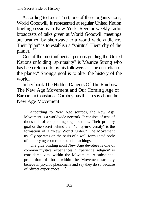According to Lucis Trust, one of these organizations, World Goodwill, is represented at regular United Nation briefing sessions in New York. Regular weekly radio broadcasts of talks given at World Goodwill meetings are beamed by shortwave to a world wide audience. Their "plan" is to establish a "spiritual Hierarchy of the planet."<sup>12</sup>

One of the most influential persons guiding the United Nations unfolding "spirituality" is Maurice Strong who has been referred to by his followers as "the custodian of the planet." Strong's goal is to alter the history of the world $^{13}$ 

In her book The Hidden Dangers Of The Rainbow: The New Age Movement and Our Coming Age of Barbarism Constance Cumbey has this to say about the New Age Movement:

According to New Age sources, the New Age Movement is a worldwide network. It consists of tens of thousands of cooperating organizations. Their primary goal or the secret behind their "unity-in-diversity" is the formation of a "New World Order." The Movement usually operates on the basis of a well-formulated body of underlying esoteric or occult teachings.

The glue binding most New Age devotees is one of common mystical experiences. "Experiential religion" is considered vital within the Movement. A substantial proportion of those within the Movement strongly believe in psychic phenomena and say they do so because of "direct experiences. "<sup>14</sup>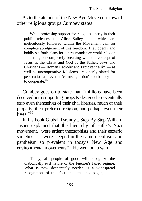As to the attitude of the New Age Movement toward other religious groups Cumbey states:

While professing support for religious liberty in their public releases, the Alice Bailey books which are meticulously followed within the Movement call for complete abridgement of this freedom. They openly and boldly set forth plans for a new mandatory world religion — a religion completely breaking with the concept of Jesus as the Christ and God as the Father. Jews and Christians — Roman Catholic and Protestant alike — as well as uncooperative Moslems are openly slated for persecution and even a "cleansing action" should they fail to cooperate.<sup>15</sup>

Cumbey goes on to state that, "millions have been deceived into supporting projects designed to eventually strip even themselves of their civil liberties, much of their property, their preferred religion, and perhaps even their  $\frac{1}{\text{lives}}$  "<sup>16</sup>

In his book Global Tyranny... Step By Step William Jasper explained that the hierarchy of Hitler's Nazi movement, "were ardent theosophists and their esoteric societies . . . were steeped in the same occultism and pantheism so prevalent in today's New Age and environmental movements."<sup>17</sup> He went on to warn:

Today, all people of good will recognize the diabolically evil nature of the Fuehrer's failed regime. What is now desperately needed is a widespread recognition of the fact that the neo-pagan,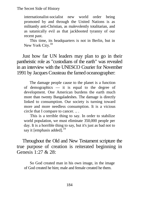internationalist-socialist new world order being promoted by and through the United Nations is as militantly anti-Christian, as malevolently totalitarian, and as satanically evil as that jackbooted tyranny of our recent past.

This time, its headquarters is not in Berlin, but in New York City.<sup>18</sup>

Just how far UN leaders may plan to go in their pantheistic role as "custodians of the earth" was revealed in an interview with the UNESCO Courier for November 1991 by Jacques Cousteau the famed oceanographer:

The damage people cause to the planet is a function of demographics — it is equal to the degree of development. One American burdens the earth much more than twenty Bangaladeshes. The damage is directly linked to consumption. Our society is turning toward more and more needless consumption. It is a vicious circle that I compare to cancer. .. .

This is a terrible thing to say. In order to stabilize world population, we must eliminate 350,000 people per day. It is a horrible thing to say, but it's just as bad not to say it [emphasis added].<sup>19</sup>

Throughout the Old and New Testament scripture the true purpose of creation is reiterated beginning in Genesis 1:27 & 28:

So God created man in his own image, in the image of God created he him; male and female created he them.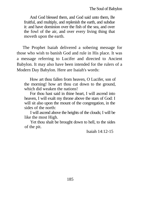And God blessed them, and God said unto them, Be fruitful, and multiply, and replenish the earth, and subdue it: and have dominion over the fish of the sea, and over the fowl of the air, and over every living thing that moveth upon the earth.

The Prophet Isaiah delivered a sobering message for those who wish to banish God and rule in His place. It was a message referring to Lucifer and directed to Ancient Babylon. It may also have been intended for the rulers of a Modern Day Babylon. Here are Isaiah's words:

How art thou fallen from heaven, O Lucifer, son of the morning! how art thou cut down to the ground, which did weaken the nations!

For thou hast said in thine heart, I will ascend into heaven, I will exalt my throne above the stars of God: I will sit also upon the mount of the congregation, in the sides of the north:

I will ascend above the heights of the clouds; I will be like the most High.

Yet thou shalt be brought down to hell, to the sides of the pit.

Isaiah 14:12-15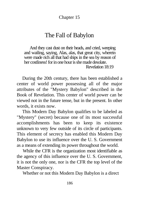Chapter 15

## The Fall of Babylon

And they cast dust on their heads, and cried, weeping and wailing, saying, Alas, alas, that great city, wherein were made rich all that had ships in the sea by reason of her costliness! for in one hour is she made desolate. Revelation 18:19

During the 20th century, there has been established a center of world power possessing all of the major attributes of the "Mystery Babylon" described in the Book of Revelation. This center of world power can be viewed not in the future tense, but in the present. In other words, it exists now.

This Modern Day Babylon qualifies to be labeled as "Mystery" (secret) because one of its most successful accomplishments has been to keep its existence unknown to very few outside of its circle of participants. This element of secrecy has enabled this Modern Day Babylon to use its influence over the U. S. Government as a means of extending its power throughout the world.

While the CFR is the organization most identifiable as the agency of this influence over the U. S. Government, it is not the only one, nor is the CFR the top level of the Master Conspiracy.

Whether or not this Modern Day Babylon is a direct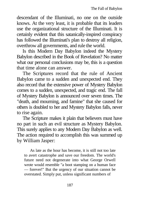descendant of the Illuminati, no one on the outside knows. At the very least, it is probable that its leaders use the organizational structure of the Illuminati. It is certainly evident that this satanically-inspired conspiracy has followed the Illuminati's plan to destroy all religion, overthrow all governments, and rule the world.

Is this Modern Day Babylon indeed the Mystery Babylon described in the Book of Revelation? No matter what our personal conclusions may be, this is a question that time alone can answer.

The Scriptures record that the rule of Ancient Babylon came to a sudden and unexpected end. They also record that the extensive power of Mystery Babylon comes to a sudden, unexpected, and tragic end. The fall of Mystery Babylon is announced over seven times. The "death, and mourning, and famine" that she caused for others is doubled to her and Mystery Babylon falls, never to rise again.

The Scripture makes it plain that believers must have no part in such an evil structure as Mystery Babylon. This surely applies to any Modern Day Babylon as well. The action required to accomplish this was summed up by William Jasper:

As late as the hour has become, it is still not too late to avert catastrophe and save our freedom. The world's future need not degenerate into what George Orwell wrote would resemble "a boot stamping on a human face — forever!" But the urgency of our situation cannot be overstated. Simply put, unless significant numbers of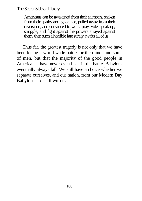The Secret Side of History

Americans can be awakened from their slumbers, shaken from their apathy and ignorance, pulled away from their diversions, and convinced to work, pray, vote, speak up, struggle, and fight against the powers arrayed against them, then such a horrible fate surely awaits all of  $\overline{u}$   $\overline{s}$ .

Thus far, the greatest tragedy is not only that we have been losing a world-wade battle for the minds and souls of men, but that the majority of the good people in America — have never even been in the battle. Babylons eventually always fall. We still have a choice whether we separate ourselves, and our nation, from our Modern Day Babylon — or fall with it.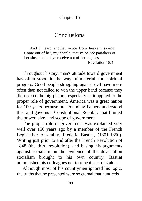#### Chapter 16

## **Conclusions**

And I heard another voice from heaven, saying, Come out of her, my people, that ye be not partakers of her sins, and that ye receive not of her plagues.

Revelation 18:4

Throughout history, man's attitude toward government has often stood in the way of material and spiritual progress. Good people struggling against evil have more often than not failed to win the upper hand because they did not see the big picture, especially as it applied to the proper role of government. America was a great nation for 100 years because our Founding Fathers understood this, and gave us a Constitutional Republic that limited the power, size, and scope of government.

The proper role of government was explained very well over 150 years ago by a member of the French Legislative Assembly, Frederic Bastiat, (1801-1850). Writing just prior to and after the French Revolution of 1848 (the third revolution), and basing his arguments against socialism on the evidence of the devastation socialism brought to his own country, Bastiat admonished his colleagues not to repeat past mistakes.

Although most of his countrymen ignored his logic, the truths that he presented were so eternal that hundreds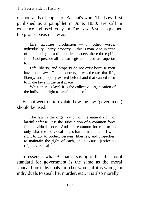of thousands of copies of Baistiat's work The Law, first published as a pamphlet in June, 1850, are still in existence and used today. In The Law Bastiat explained the proper basis of law as:

Life, faculties, production — in other words, individuality, liberty, property — this is man. And in spite of the cunning of artful political leaders, these three gifts from God precede all human legislation, and are superior to it.

Life, liberty, and property do not exist because men have made laws. On the contrary, it was the fact that life, liberty, and property existed beforehand that caused men to make laws in the first place.

What, then, is law? It is the collective organization of the individual right to lawful defense.<sup>1</sup>

Bastiat went on to explain how the law (government) should be used:

The law is the organization of the natural right of lawful defense. It is the substitution of a common force for individual forces. And this common force is to do only what the individual forces have a natural and lawful right to do: to protect persons, liberties, and properties; to maintain the right of each, and to cause justice to reign over us all. $^{2}$ 

In essence, what Bastiat is saying is that the moral standard for government is the same as the moral standard for individuals. In other words, if it is wrong for individuals to steal, lie, murder, etc., it is also morally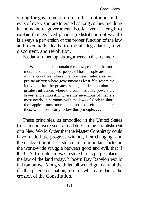Conclusions

wrong for government to do so. It is unfortunate that evils of every sort are tolerated as long as they are done in the name of government. Bastiat went at length to explain that legalized plunder (redistribution of wealth) is always a perversion of the proper function of the law and eventually leads to moral degradation, civil discontent, and revolution.

Bastiat summed up his arguments in this manner:

Which countries contain the most peaceful, the most moral, and the happiest people? Those people are found in the countries where the law least interferes with private affairs; where government is least felt; where the individual has the greatest scope, and free opinion the greatest influence; where the administrative powers are fewest and simplest;... where the inventions of men are most nearly in harmony with the laws of God; in short, the happiest, most moral, and most peaceful people are those who most nearly follow this principle.  $\ldots$ <sup>3</sup>

These principles, as embodied in the United States Constitution, were such a roadblock to the establishment of a New World Order that the Master Conspiracy could have made little progress without, first changing, and then subverting it. It is still such an important factor in the world-wide struggle between good and evil, that if the U. S. Constitution was restored to its proper place as the law of the land today, Modern Day Babylon would fall tomorrow. Along with its fall would go many of the ills that plague our nation, most of which are due to the erosion of the Constitution.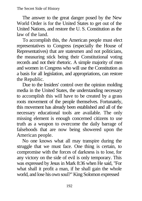The answer to the great danger posed by the New World Order is for the United States to get out of the United Nations, and restore the U. S. Constitution as the law of the land.

To accomplish this, the American people must elect representatives to Congress (especially the House of Representatives) that are statesmen and not politicians, the measuring stick being their Constitutional voting records and not their rhetoric. A simple majority of men and women in Congress who will use the Constitution as a basis for all legislation, and appropriations, can restore the Republic.

Due to the Insiders' control over the opinion molding media in the United States, the understanding necessary to accomplish this will have to be created by a grass roots movement of the people themselves. Fortunately, this movement has already been established and all of the necessary educational tools are available. The only missing element is enough concerned citizens to use truth as a weapon to overcome the daily barrage of falsehoods that are now being showered upon the American people.

No one knows what all may transpire during the struggle that we must face. One thing is certain, to compromise with the forces of darkness is to lose, for any victory on the side of evil is only temporary. This was expressed by Jesus in Mark 8:36 when He said, "For what shall it profit a man, if he shall gain the whole world, and lose his own soul?" King Solomon expressed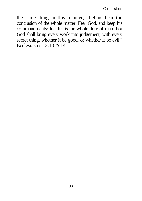the same thing in this manner, "Let us hear the conclusion of the whole matter: Fear God, and keep his commandments: for this is the whole duty of man. For God shall bring every work into judgement, with every secret thing, whether it be good, or whether it be evil." Ecclesiastes 12:13 & 14.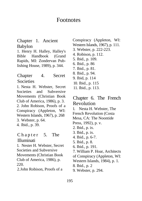### Footnotes

Chapter 1. Ancient Babylon

1. Henry H. Halley, Halley's Bible Handbook (Grand Rapids, MI: Zondervan Publishing House, 1989), p. 344.

Chapter 4. Secret **Societies** 

1. Nesta H. Webster, Secret Societies and Subversive Movements (Christian Book Club of America, 1986), p. 3. 2. John Robison, Proofs of a Conspiracy (Appleton, WI: Western Islands, 1967), p. 268 3. Webster, p. 64.

4. Ibid., p. 39.

#### Chapter 5. The Illuminati

1. Nester H. Webster, Secret Societies and Subversive Movements (Christian Book Club of America, 1986), p. 220.

2. John Robison, Proofs of a

Conspiracy (Appleton, WI: Western Islands, 1967), p. 111. 3. Webster, p. 222-223. 4. Robison, p. 112. 5. Ibid., p. 109. 6. Ibid., p. 86 7. Ibid., p. 81. 8. Ibid., p. 94. 9. Ibid, p. 114 10. Ibid., p. 115 11. Ibid., p. 113.

### Chapter 6. The French Revolution

1. Nesta H. Webster, The French Revolution (Costa Mesa, CA: The Noontide Press, 1992), p. v. 2. Ibid., p. ix. 3. Ibid., p. ix. 4. Ibid., p. 6-7. 5. Ibid., p. 8. 6. Ibid., p. 191. 7. William P. Hoar, Architects of Conspiracy (Appleton, WI: Western Islands, 1984), p. 1. 8. Ibid., p. 2 9. Webster, p. 294.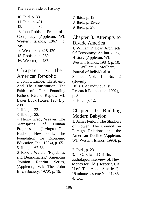The Secret Side of History

10. Ibid, p. 331. 11. Ibid., p. 431. 12. Ibid., p. 432. 13 John Robison, Proofs of a Conspiracy (Appleton, WI: Western Islands, 1967), p. 245. 14 Webster, p. 428-429 15. Robison, p. 260.

16. Webster, p. 487.

#### Chapter 7. The American Republic

1. John Eidsmoe, Christianity And The Constitution: The Faith of Our Founding Fathers (Grand Rapids, MI: Baker Book House, 1987), p. 208.

- 2. Ibid., p. 22.
- 3. Ibid., p. 22.

4. Henry Grady Weaver, The Mainspring of Human Progress (Irvington-On-Hudson, New York: The Foundation for Economic Education, Inc., 1984), p. 65 5. Ibid., p. 67-68.

6. Robert Welch, "Republics and Democracies," American Opinion Reprint Series, (Appleton, WI: The John Birch Society, 1970), p. 19.

7. Ibid., p. 19. 8. Ibid., p. 19-20. 9. Ibid., p. 27.

Chapter 8. Attempts to Divide America 1. William P. Hoar, Architects Of Conspiracy: An Intriguing History (Appleton, WI: Western Islands, 1984), p. 10. 2. William H. McIlhany, Journal of Individualist Studies Vol. 1, No. 2 (Beverly Hills, CA: Individualist Research Foundation, 1992), p. 3. 3. Hoar, p. 12.

### Chapter 10. Building Modern Babylon

1. James Perloff, The Shadows of Power: The Council on Foreign Relations and the American Decline (Appleton, WI: Western Islands, 1990), p. 23.

2. Ibid., p. 23.

3. G. Edward Griffin,

audiotaped interview of, New Money for Old, (Hesperia, CA: "Let's Talk About America"), 15 minute cassette No. P12S5. 4. Ibid.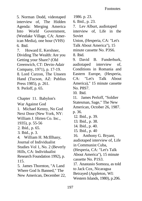5. Norman Dodd, videotaped interview of, The Hidden Agenda: Merging America Into World Government, (Westlake Village, CA: American Media), one hour (VHS) 6. Ibid.

7. Howard E. Kershner, Dividing The Wealth: Are you Getting your Share? (Old Greenwich, CT: Devin-Adair Company, 1971), p. 17-19. 8. Lord Curzon, The Unseen Hand (Tucson, AZ: Publius Press 1985), p. 261. 9. Perloff, p. 65.

Chapter 11. Babylon's War Against God 1. Michael Kenny, No God Next Door (New York, NY: William J. Hirten Co. Inc., 1935), p. 55-56 2. Ibid., p. 65. 3. Ibid., p. 3. 4. William H. McIllhany, Journal of Individualist Studies Vol 1, No. 2 (Beverly Hills, CA: Individualist Research Foundation 1992), p. 115. 5. James Thornton, "A Land Where God Is Banned," The

New American, December 22,

1986. p. 23. 6. Ibid., p. 23. 7. Lev Alburt, audiotaped interview of, Life in the Soviet Union, (Hesperia, CA: "Let's Talk About America"), 15 minute cassette No. P3S6. 8. Ibid. 9. David B. Funderburk, audiotaped interview of, Conditions in Romania and Eastern Europe, (Hesperia, CA: "Let's Talk About America)," 15 minute cassette No. P8S7. 10. Ibid. 11. James Perloff, "Soldier Statesman, Sage," The New American, October 26, 1987. p. 36. 12. Ibid., p. 39. 13. Ibid., p. 38. 14. Ibid., p. 40. 15. Ibid., p. 40 16. Anthony G. Bryant, audiotaped interview of, Life in Communist Cuba, (Hesperia, CA: "Let's Talk About America"), 15 minute cassette No. P1S3. 17. Anastasio Somoza, as told to Jack Cox, Nicaragua Betrayed (Appleton, WI: Western Islands, 1980), p.206.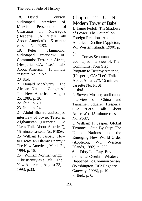18. David Courson, audiotaped interview of, Marxist Persecution of Christians in Nicaragua, (Hesperia, CA: "Let's Talk About America"), 15 minute cassette No. P2S3.

19. Peter Hammond, audiotaped interview of, Communist Terror in Africa, (Hesperia, CA: "Let's Talk About America"), 15 minute cassette No. P1S7.

20. Ibid.

21. Donald McAlvany, "The African National Congress," The New American, August 25, 1986. p. 20.

22. Ibid., p. 20.

23. Ibid., p. 24.

24. Abdul Shams, audiotaped interview of Soviet Terror in Afghanistan, (Hesperia, CA: "Let's Talk About America"), 15 minute cassette No. P10S6. 25. William F. Jasper, "How to Create an Islamic Enemy," The New American, March 21,

1994. p. 15.

26. William Norman Grigg, "Christianity as a Cult." The New American, August 23, 1993. p.33.

Chapter 12. U. N. Modern Tower of Babel 1. James Perloff, The Shadows of Power; The Council on Foreign Relations And the American Decline (Appleton, WI: Western Islands, 1990), p. 73.

2. Tomas Schuman, audiotaped interview of, The Communist Four Step Program to Destroy America, (Hesperia, CA: "Let's Talk About America"), 15 minute cassette No. PI SI.

3. Ibid.

4. Steven Mosher, audiotaped interview of, China and Tianamen Square, (Hesperia, CA: "Let's Talk About America"), 15 minute cassette No. P6S7.

5. William F. Jasper, Global Tyranny... Step By Step: The United Nations and the Emerging New World Order (Appleton, WI. Western Islands, 1992), p. 265.

6. Dixy Lee Ray, Envi ronmental Overkill: Whatever Happened To Common Sense? (Washington, DC: Regnery Gateway, 1993), p. 10. 7. Ibid., p. 6.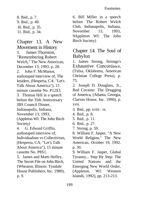8. Ibid., p. 7. 9. Ibid., p. 49. 10. Ibid., p. 35. 11. Ibid., p. 34.

Chapter 13. A New Movement in History 1. James Thornton, "Remembering Robert Welch," The New American, December 13, 1993. p. 28. 2. John F. McManus, audiotaped interview of, The Insiders, (Hesperia, CA: "Let's Talk About America"), 15 minute cassette No. P12S3. 3. Thomas Hill in a speech before the 35th Anniversary JBS Council Dinner, Indianapolis, Indiana, November 13, 1993, (Appleton WI: The John Birch Society) 4. G. Edward Griffin, audiotaped interview of, Individualism vs Collectivism, (Hesperia, CA: "Let's Talk About America"), 15 minute cassette No. P8S1. 5. James and Marti Hefley, The Secret File on John Birch, (Wheaton, Illinois: Tyndale House Publishers, Inc. 1980), p. 9.

6. Bill Miller in a speech before The Robert Welch Club, Indianapolis, Indiana, November 13, 1993, 9Appleton WI: The John Birch Society)

### Chapter 14. The Soul of Babylon

1. James Strong, Strongs's Exhaustive Concordance, (Tulsa, Oklahoma, American Christian College Press), p. 75.

2. Joseph D. Douglass, Jr., Red Cocaine: The Drugging of America, (Atlanta, Georgia, Clarion House, Inc. 1990), p. xvii.

- 3. Ibid., pp. xviii ix.
- 4. Ibid., p. 8.
- 5. Ibid., p. 11.
- 6. Ibid., p. 27.
- 7. Strong, p. 59.

8. William F. Jasper, "A New World Religion," The New American, October 19, 1992. p. 30.

9. William F. Jasper, Global Tyranny... Step By Step: The United Nations and the Emerging New World Order, (Appleton, WI: Western Islands, 1992), pp. 213-213.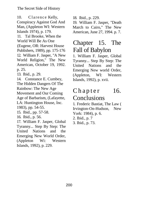10. Clarence Kelly, Conspiracy Against God And Man, (Appleton WI: Western Islands 1974), p. 179. 11. Tal Brooke, When the World Will Be As One (Eugene, OR: Harvest House Publishers, 1989), pp. 175-176 12. William F. Jasper, "A New World Religion," The New American, October 19, 1992. p. 25.

13. Ibid., p. 29.

14. Constance E. Cumbey, The Hidden Dangers Of The Rainbow: The New Age Movement and Our Coming Age of Barbarism, (Lafayette, LA: Huntington House, Inc. 1983), pp. 54-55.

- 15. Ibid., pp. 57-58.
- 16. Ibid., p. 56.

17. William F. Jasper, Global Tyranny... Step By Step: The United Nations and the Emerging New World Order, (Appleton Wi: Western Islands, 1992), p. 229.

18. Ibid., p. 229.

19. William F. Jasper, "Death March to Cairo," The New American, June 27, 1994. p. 7.

# Chapter 15. The Fall of Babylon

1. William F. Jasper, Global Tyranny... Step By Step: The United Nations and the Emerging New world Order, (Appleton, WI: Western Islands, 1992), p. xvii.

# Chapter 16. **Conclusions**

1. Frederic Bastiat, The Law ( Irvington-On-Hudson, New York: 1984), p. 6.

- 2. Ibid., p. 7
- 3. Ibid., p. 73.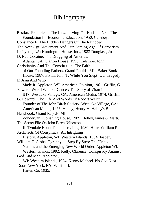## Bibliography

- Bastiat, Frederick. The Law. Irving-On-Hudson, NY: The Foundation for Economic Education, 1950. Cumbey,
- Constance E. The Hidden Dangers Of The Rainbow:
- The New Age Movement And Our Coming Age Of Barbarism.
- Lafayette, LA: Huntington House, Inc., 1983 Douglass, Joseph D. Red Cocaine: The Drugging of America.

Atlanta, GA: Clarion House, 1990. Eidsmoe, John.

Christianity And The Constitution: The Faith of Our Founding Fathers. Grand Rapids, MI: Baker Book House, 1987. Flynn, John T. While You Slept: Our Tragedy

In Asia And Who

Made It. Appleton, WI: American Opinion, 1961. Griffin, G Edward. World Without Cancer: The Story of Vitamin

B17. Westlake Village, CA: American Media, 1974. Griffin,

G. Edward. The Life And Words Of Robert Welch Founder of The John Birch Society. Westlake Village, CA: American Media, 1975. Halley, Henry H. Halley's Bible

Handbook. Grand Rapids, MI:

Zondervan Publishing House, 1989. Hefley, James & Marti. The Secret File On John Birch. Wheaton,

Il: Tyndale House Publishers, Inc., 1980. Hoar, William P. Architects Of Conspiracy: An Intriguing

History. Appleton, WI: Western Islands, 1984. Jasper,

William F. Global Tyranny. . . Step By Step: The United Nations and the Emerging New World Order. Appleton WI: Western Islands, 1992. Kelly, Clarence. Conspiracy Against God And Man. Appleton,

WI: Western Islands, 1974. Kenny Michael. No God Next Door. New York, NY: William J.

Hirten Co. 1935.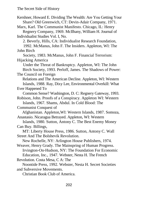Kershner, Howard E. Dividing The Wealth: Are You Getting Your Share? Old Greenwich, CT: Devin-Adair Company, 1971.

Marx, Karl. The Communist Manifesto. Chicago, IL: Henry Regnery Company, 1969. McIlhany, William H. Journal of

Individualist Studies Vol. I, No.

2. Beverly, Hills, CA: Individualist Research Foundation,

1992. McManus, John F. The Insiders. Appleton, WI: The John Birch

Society, 1983. McManus, John F. Financial Terrorism: Hijacking America

Under the Threat of Bankruptcy. Appleton, WI: The John Birch Society, 1993. Perloff, James. The Shadows of Power: The Council on Foreign

Relations and The American Decline. Appleton, WI: Western Islands, 1988. Ray, Dixy Lee, Environmental Overkill: What Ever Happened To

Common Sense? Washington, D. C: Regnery Gateway, 1993. Robison, John. Proofs of a Conspiracy. Appleton WI: Western

Islands, 1967. Shams, Abdul. In Cold Blood: The

Communist Conquest of

Afghanistan. Appleton,WI: Western Islands, 1987. Somoza, Anastasio. Nicaragua Betrayed. Appleton, WI: Western

Islands, 1980. Sutton, Antony C. The Best Enemy Money Can Buy. Billings,

MT: Liberty House Press, 1986. Sutton, Antony C. Wall Street And The Bolshevik Revolution.

New Rochelle, NY: Arlington House Publishers, 1974.

Weaver, Henry Grady. The Mainspring of Human Progress. Irvington-On-Hudson, NY: The Foundation For Economic Education, Inc., 1947. Webster, Nesta H. The French

Revolution. Costa Mesa, C A: The

Noontide Press, 1992. Webster, Nesta H. Secret Societies and Subversive Movements.

Christian Book Club of America.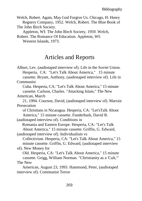Welch, Robert. Again, May God Forgive Us. Chicago, H: Henry Regnery Company, 1952. Welch, Robert. The Blue Book of The John Birch Society.

Appleton, WI: The John Birch Society, 1959. Welch, Robert. The Romance Of Education. Appleton, WI:

Western Islands, 1973.

### Articles and Reports

Alburt, Lev. (audiotaped interview of). Life in the Soviet Union. Hesperia, CA: "Let's Talk About America," 15 minute cassette. Bryant, Anthony, (audiotaped interview of). Life in Communist Cuba. Hesperia, CA: "Let's Talk About America," 15 minute cassette. Carlson, Charles. "Attacking Islam," The New American, March

21, 1994. Courson, David, (audiotaped interview of). Marxist **Persecution** 

of Christians in Nicaragua. Hesperia, CA: "Let'sTalk About America," 15 minute cassette. Funderburk, David B.

(audiotaped interview of). Conditions in

Romania and Eastern Europe. Hesperia, CA: "Let's Talk About America," 15 minute cassette. Griffin, G. Edward,

(audiotaped interview of). Individualism vs

Collectivism. Hesperia, CA: "Let's Talk About America," 15 minute cassette. Griffin, G. Edward, (audiotaped interview of). New Money for

Old. Hesperia, CA: "Let's Talk About America," 15 minute cassette. Grigg, William Norman. "Christianity as a 'Cult,'" The New

American, August 23, 1993. Hammond, Peter, (audiotaped interview of). Communist Terror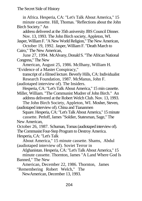The Secret Side of History

in Africa. Hesperia, CA: "Let's Talk About America," 15 minute cassette. Hill, Thomas. "Reflections about the John Birch Society." An address delivered at the 35th aniversity JBS Council Dinner. Nov. 13, 1993. The John Birch society, Appleton, WI. Jasper, William F. "A New World Religion," The New American, October 19, 1992. Jasper, William F. "Death March to Cairo," The New American, June 27, 1994. McAlvany, Donald S. "The African National Congress," The New American, August 25, 1986. Mcllhany, William H. "Evidence of a Master Conspiracy," transcript of a filmed lecture. Beverly Hills, CA: Individualist Research Foundation, 1987. McManus, John F. (audiotaped interview of). The Insiders. Hesperia, CA: "Let's Talk About America," 15 min cassette. Miller, William. "The Communist Mudrer of John Birch." An address delivered at the Robert Welch Club. Nov. 13, 1993. The John Birch Society, Appleton, WI. Mosher, Steven, (audiotaped interview of). China and Tiananmen Square. Hesperia, CA: "Let's Talk About America," 15 minute cassette. Perloff, James "Soldier, Statesman, Sage," The New American, October 26, 1987. Schuman, Tomas (audiotaped interview of). The Commusist Four-Step Program to Destroy America. Hesperia, CA: "Let's Talk About America," 15 minute cassette. Shams, Abdul (audiotaped interview of). Soviet Terror in Afghanistan. Hesperia, CA: "Let's Talk About America," 15 minute cassette. Thornton, James "A Land Where God Is Banned," The New American, December 22, 1986. Thornton, James "Remembering Robert Welch," The

NewAmerican, December 13, 1993.